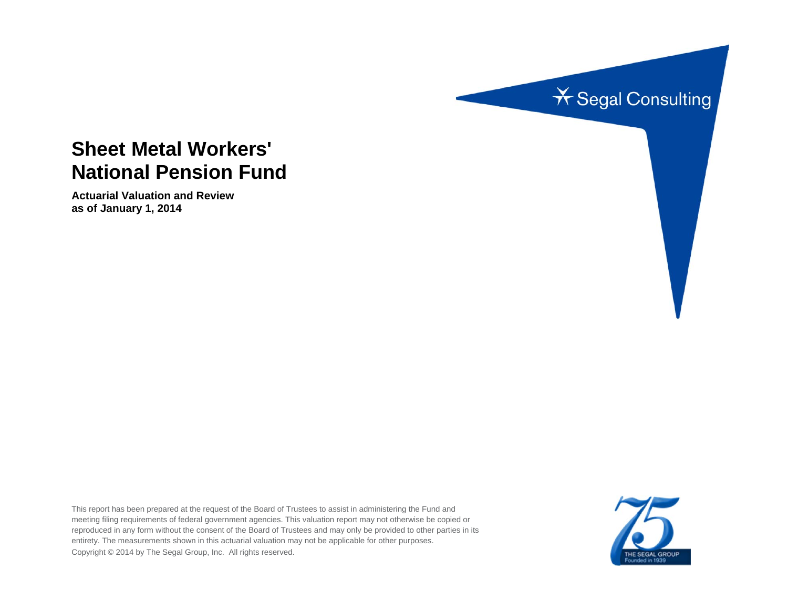

# **Sheet Metal Workers' National Pension Fund**

**Actuarial Valuation and Review as of January 1, 2014** 

This report has been prepared at the request of the Board of Trustees to assist in administering the Fund and meeting filing requirements of federal government agencies. This valuation report may not otherwise be copied or reproduced in any form without the consent of the Board of Trustees and may only be provided to other parties in its entirety. The measurements shown in this actuarial valuation may not be applicable for other purposes. Copyright © 2014 by The Segal Group, Inc. All rights reserved.

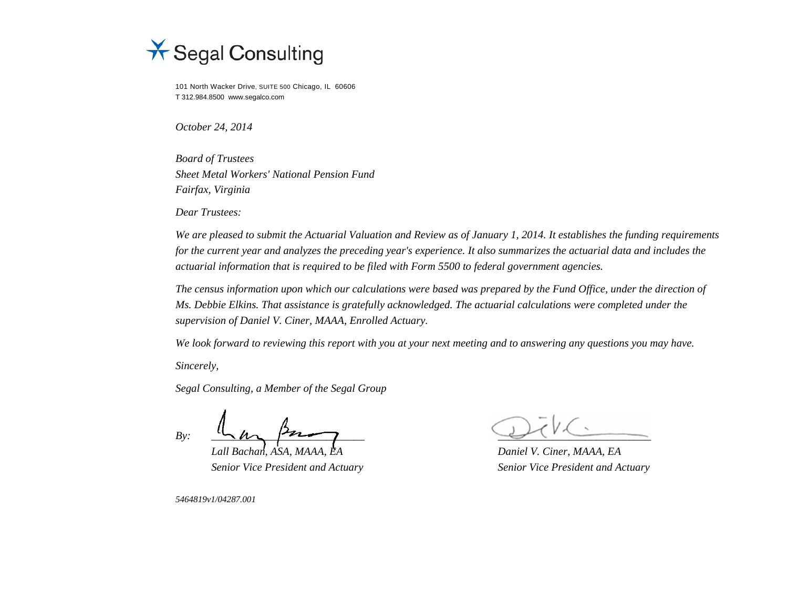

101 North Wacker Drive, SUITE 500 Chicago, IL 60606 T 312.984.8500 www.segalco.com

*October 24, 2014* 

*Board of Trustees Sheet Metal Workers' National Pension Fund Fairfax, Virginia* 

*Dear Trustees:* 

*We are pleased to submit the Actuarial Valuation and Review as of January 1, 2014. It establishes the funding requirements for the current year and analyzes the preceding year's experience. It also summarizes the actuarial data and includes the actuarial information that is required to be filed with Form 5500 to federal government agencies.* 

*The census information upon which our calculations were based was prepared by the Fund Office, under the direction of Ms. Debbie Elkins. That assistance is gratefully acknowledged. The actuarial calculations were completed under the supervision of Daniel V. Ciner, MAAA, Enrolled Actuary.* 

*We look forward to reviewing this report with you at your next meeting and to answering any questions you may have.* 

*Sincerely,* 

*Segal Consulting, a Member of the Segal Group* 

 $By:$   $\frac{y}{y}$   $\frac{y}{y}$   $\frac{y}{y}$   $\frac{y}{y}$   $\frac{y}{y}$   $\frac{y}{y}$   $\frac{y}{y}$   $\frac{y}{y}$ 

 *Lall Bachan, ASA, MAAA, EA Daniel V. Ciner, MAAA, EA* 

 *Senior Vice President and Actuary Senior Vice President and Actuary* 

*5464819v1/04287.001*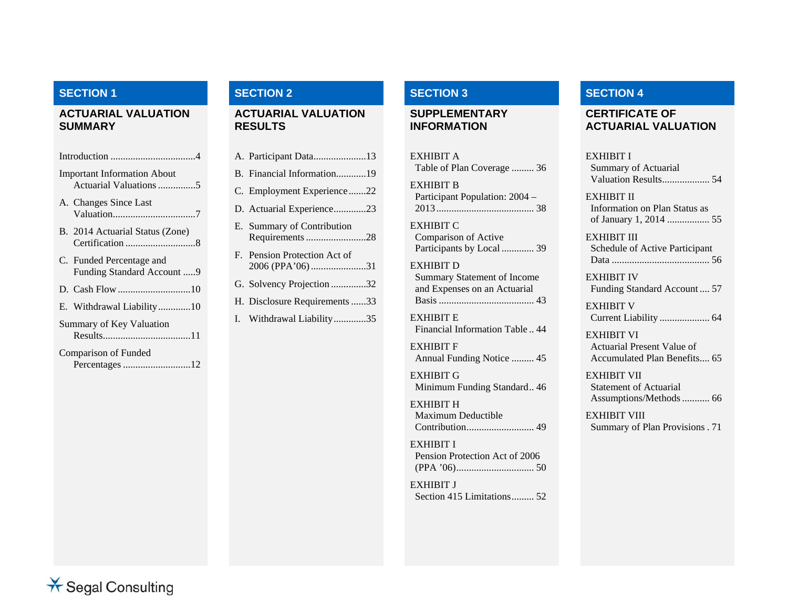## **SECTION 1**

#### **ACTUARIAL VALUATION SUMMARY**

| Introduction $\dots \dots \dots \dots \dots \dots \dots \dots \dots$ |                                                              |  |  |  |  |
|----------------------------------------------------------------------|--------------------------------------------------------------|--|--|--|--|
|                                                                      | <b>Important Information About</b><br>Actuarial Valuations 5 |  |  |  |  |
|                                                                      | A. Changes Since Last                                        |  |  |  |  |
|                                                                      | B. 2014 Actuarial Status (Zone)                              |  |  |  |  |
|                                                                      | C. Funded Percentage and<br>Funding Standard Account 9       |  |  |  |  |
|                                                                      |                                                              |  |  |  |  |
|                                                                      | E. Withdrawal Liability10                                    |  |  |  |  |
|                                                                      | Summary of Key Valuation                                     |  |  |  |  |
|                                                                      | Comparison of Funded<br>Percentages 12                       |  |  |  |  |

#### **ACTUARIAL VALUATION RESULTS**

| B. Financial Information19                       |  |
|--------------------------------------------------|--|
| C. Employment Experience22                       |  |
| D. Actuarial Experience23                        |  |
| E. Summary of Contribution                       |  |
| F. Pension Protection Act of<br>2006 (PPA'06) 31 |  |
| G. Solvency Projection 32                        |  |
| H. Disclosure Requirements 33                    |  |
| I. Withdrawal Liability35                        |  |

### **SECTION 2 SECTION 3 SECTION 4**

#### **SUPPLEMENTARY INFORMATION**

EXHIBIT ATable of Plan Coverage ......... 36 EXHIBIT BParticipant Population: 2004 – 2013 ....................................... 38 EXHIBIT CComparison of Active Participants by Local ............. 39 EXHIBIT DSummary Statement of Income and Expenses on an Actuarial Basis ...................................... 43EXHIBIT E

Financial Information Table .. 44EXHIBIT F

Annual Funding Notice ......... 45

EXHIBIT GMinimum Funding Standard.. 46

EXHIBIT HMaximum Deductible Contribution ........................... 49

EXHIBIT IPension Protection Act of 2006 (PPA '06) ............................... 50

EXHIBIT J Section 415 Limitations ......... 52

#### **CERTIFICATE OF ACTUARIAL VALUATION**

| EXHIBIT I<br><b>Summary of Actuarial</b><br>Valuation Results 54                |  |
|---------------------------------------------------------------------------------|--|
| EXHIBIT II<br>Information on Plan Status as<br>of January 1, 2014  55           |  |
| EXHIBIT III<br>Schedule of Active Participant                                   |  |
| EXHIBIT IV<br>Funding Standard Account  57                                      |  |
| EXHIBIT V                                                                       |  |
| EXHIBIT VI<br><b>Actuarial Present Value of</b><br>Accumulated Plan Benefits 65 |  |
| EXHIBIT VII<br><b>Statement of Actuarial</b>                                    |  |
| EXHIBIT VIII<br>Summary of Plan Provisions. 71                                  |  |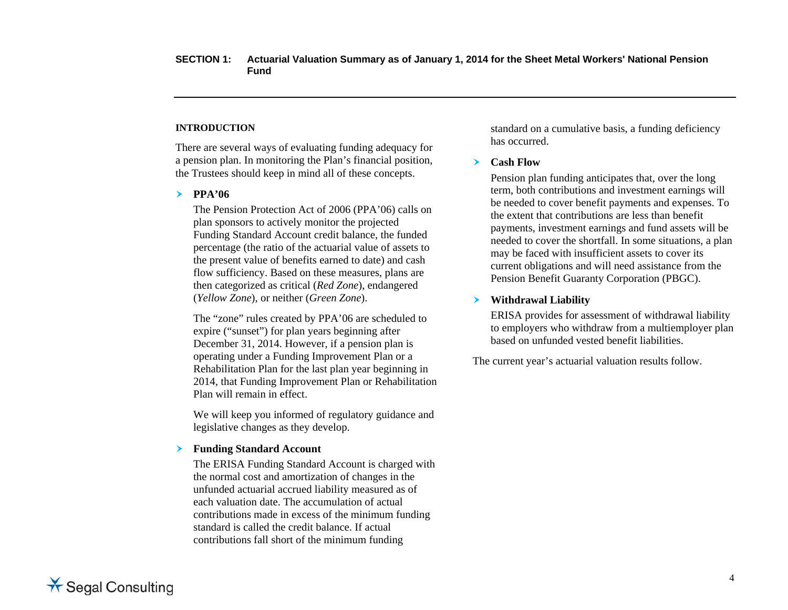#### **INTRODUCTION**

There are several ways of evaluating funding adequacy for a pension plan. In monitoring the Plan's financial position, the Trustees should keep in mind all of these concepts.

#### **PPA'06**

The Pension Protection Act of 2006 (PPA'06) calls on plan sponsors to actively monitor the projected Funding Standard Account credit balance, the funded percentage (the ratio of the actuarial value of assets to the present value of benefits earned to date) and cash flow sufficiency. Based on these measures, plans are then categorized as critical (*Red Zone*), endangered (*Yellow Zone*), or neither (*Green Zone*).

The "zone" rules created by PPA'06 are scheduled to expire ("sunset") for plan years beginning after December 31, 2014. However, if a pension plan is operating under a Funding Improvement Plan or a Rehabilitation Plan for the last plan year beginning in 2014, that Funding Improvement Plan or Rehabilitation Plan will remain in effect.

We will keep you informed of regulatory guidance and legislative changes as they develop.

#### **Funding Standard Account**

The ERISA Funding Standard Account is charged with the normal cost and amortization of changes in the unfunded actuarial accrued liability measured as of each valuation date. The accumulation of actual contributions made in excess of the minimum funding standard is called the credit balance. If actual contributions fall short of the minimum funding

standard on a cumulative basis, a funding deficiency has occurred.

#### $\blacktriangleright$ **Cash Flow**

Pension plan funding anticipates that, over the long term, both contributions and investment earnings will be needed to cover benefit payments and expenses. To the extent that contributions are less than benefit payments, investment earnings and fund assets will be needed to cover the shortfall. In some situations, a plan may be faced with insufficient assets to cover its current obligations and will need assistance from the Pension Benefit Guaranty Corporation (PBGC).

#### $\blacktriangleright$ **Withdrawal Liability**

ERISA provides for assessment of withdrawal liability to employers who withdraw from a multiemployer plan based on unfunded vested benefit liabilities.

The current year's actuarial valuation results follow.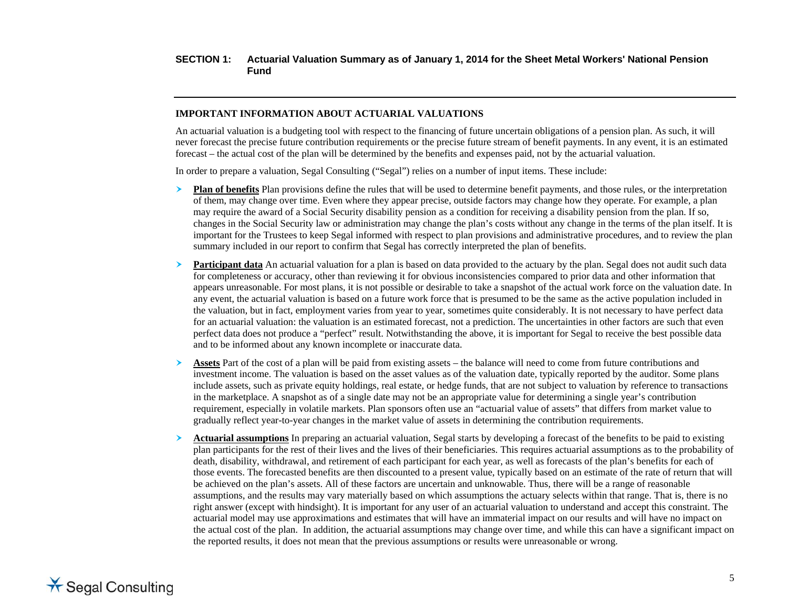#### **IMPORTANT INFORMATION ABOUT ACTUARIAL VALUATIONS**

An actuarial valuation is a budgeting tool with respect to the financing of future uncertain obligations of a pension plan. As such, it will never forecast the precise future contribution requirements or the precise future stream of benefit payments. In any event, it is an estimated forecast – the actual cost of the plan will be determined by the benefits and expenses paid, not by the actuarial valuation.

In order to prepare a valuation, Segal Consulting ("Segal") relies on a number of input items. These include:

- ≻ **Plan of benefits** Plan provisions define the rules that will be used to determine benefit payments, and those rules, or the interpretation of them, may change over time. Even where they appear precise, outside factors may change how they operate. For example, a plan may require the award of a Social Security disability pension as a condition for receiving a disability pension from the plan. If so, changes in the Social Security law or administration may change the plan's costs without any change in the terms of the plan itself. It is important for the Trustees to keep Segal informed with respect to plan provisions and administrative procedures, and to review the plan summary included in our report to confirm that Segal has correctly interpreted the plan of benefits.
- ≻ **Participant data** An actuarial valuation for a plan is based on data provided to the actuary by the plan. Segal does not audit such data for completeness or accuracy, other than reviewing it for obvious inconsistencies compared to prior data and other information that appears unreasonable. For most plans, it is not possible or desirable to take a snapshot of the actual work force on the valuation date. In any event, the actuarial valuation is based on a future work force that is presumed to be the same as the active population included in the valuation, but in fact, employment varies from year to year, sometimes quite considerably. It is not necessary to have perfect data for an actuarial valuation: the valuation is an estimated forecast, not a prediction. The uncertainties in other factors are such that even perfect data does not produce a "perfect" result. Notwithstanding the above, it is important for Segal to receive the best possible data and to be informed about any known incomplete or inaccurate data.
- ➤ **Assets** Part of the cost of a plan will be paid from existing assets – the balance will need to come from future contributions and investment income. The valuation is based on the asset values as of the valuation date, typically reported by the auditor. Some plans include assets, such as private equity holdings, real estate, or hedge funds, that are not subject to valuation by reference to transactions in the marketplace. A snapshot as of a single date may not be an appropriate value for determining a single year's contribution requirement, especially in volatile markets. Plan sponsors often use an "actuarial value of assets" that differs from market value to gradually reflect year-to-year changes in the market value of assets in determining the contribution requirements.
- ≻ **Actuarial assumptions** In preparing an actuarial valuation, Segal starts by developing a forecast of the benefits to be paid to existing plan participants for the rest of their lives and the lives of their beneficiaries. This requires actuarial assumptions as to the probability of death, disability, withdrawal, and retirement of each participant for each year, as well as forecasts of the plan's benefits for each of those events. The forecasted benefits are then discounted to a present value, typically based on an estimate of the rate of return that will be achieved on the plan's assets. All of these factors are uncertain and unknowable. Thus, there will be a range of reasonable assumptions, and the results may vary materially based on which assumptions the actuary selects within that range. That is, there is no right answer (except with hindsight). It is important for any user of an actuarial valuation to understand and accept this constraint. The actuarial model may use approximations and estimates that will have an immaterial impact on our results and will have no impact on the actual cost of the plan. In addition, the actuarial assumptions may change over time, and while this can have a significant impact on the reported results, it does not mean that the previous assumptions or results were unreasonable or wrong.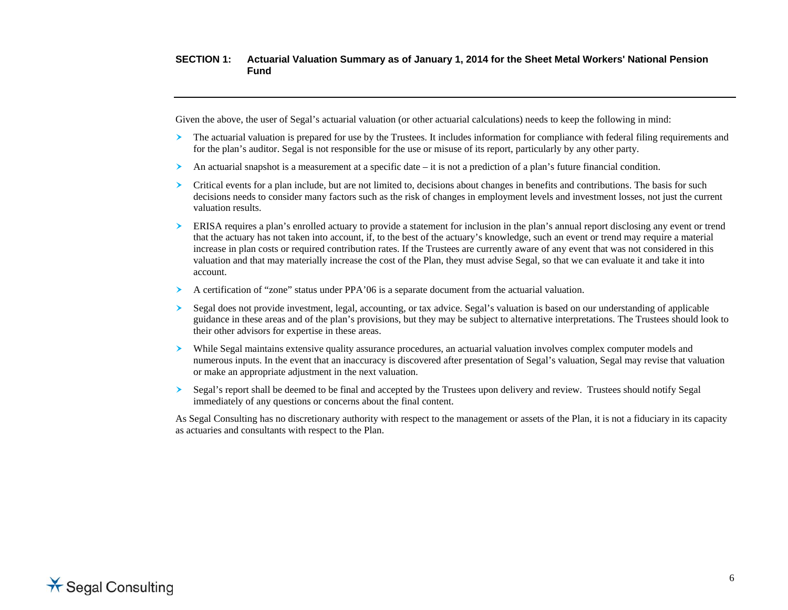Given the above, the user of Segal's actuarial valuation (or other actuarial calculations) needs to keep the following in mind:

- $\blacktriangleright$  The actuarial valuation is prepared for use by the Trustees. It includes information for compliance with federal filing requirements and for the plan's auditor. Segal is not responsible for the use or misuse of its report, particularly by any other party.
- ➤ An actuarial snapshot is a measurement at a specific date – it is not a prediction of a plan's future financial condition.
- ≻ Critical events for a plan include, but are not limited to, decisions about changes in benefits and contributions. The basis for such decisions needs to consider many factors such as the risk of changes in employment levels and investment losses, not just the current valuation results.
- $\blacktriangleright$  ERISA requires a plan's enrolled actuary to provide a statement for inclusion in the plan's annual report disclosing any event or trend that the actuary has not taken into account, if, to the best of the actuary's knowledge, such an event or trend may require a material increase in plan costs or required contribution rates. If the Trustees are currently aware of any event that was not considered in this valuation and that may materially increase the cost of the Plan, they must advise Segal, so that we can evaluate it and take it into account.
- ➤ A certification of "zone" status under PPA'06 is a separate document from the actuarial valuation.
- ➤ Segal does not provide investment, legal, accounting, or tax advice. Segal's valuation is based on our understanding of applicable guidance in these areas and of the plan's provisions, but they may be subject to alternative interpretations. The Trustees should look to their other advisors for expertise in these areas.
- $\blacktriangleright$  While Segal maintains extensive quality assurance procedures, an actuarial valuation involves complex computer models and numerous inputs. In the event that an inaccuracy is discovered after presentation of Segal's valuation, Segal may revise that valuation or make an appropriate adjustment in the next valuation.
- $\blacktriangleright$  Segal's report shall be deemed to be final and accepted by the Trustees upon delivery and review. Trustees should notify Segal immediately of any questions or concerns about the final content.

As Segal Consulting has no discretionary authority with respect to the management or assets of the Plan, it is not a fiduciary in its capacity as actuaries and consultants with respect to the Plan.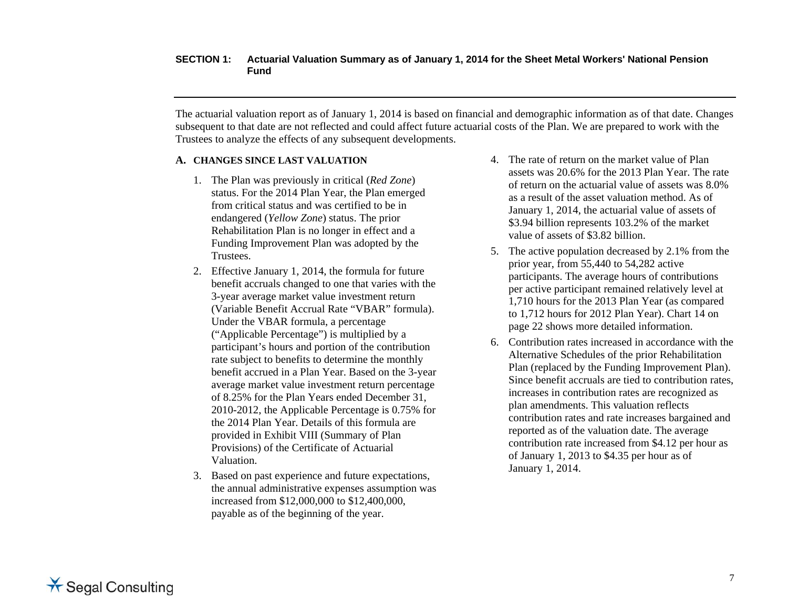The actuarial valuation report as of January 1, 2014 is based on financial and demographic information as of that date. Changes subsequent to that date are not reflected and could affect future actuarial costs of the Plan. We are prepared to work with the Trustees to analyze the effects of any subsequent developments.

#### **A. CHANGES SINCE LAST VALUATION**

- 1. The Plan was previously in critical (*Red Zone*) status. For the 2014 Plan Year, the Plan emerged from critical status and was certified to be in endangered (*Yellow Zone*) status. The prior Rehabilitation Plan is no longer in effect and a Funding Improvement Plan was adopted by the Trustees.
- 2. Effective January 1, 2014, the formula for future benefit accruals changed to one that varies with the 3-year average market value investment return (Variable Benefit Accrual Rate "VBAR" formula). Under the VBAR formula, a percentage ("Applicable Percentage") is multiplied by a participant's hours and portion of the contribution rate subject to benefits to determine the monthly benefit accrued in a Plan Year. Based on the 3-year average market value investment return percentage of 8.25% for the Plan Years ended December 31, 2010-2012, the Applicable Percentage is 0.75% for the 2014 Plan Year. Details of this formula are provided in Exhibit VIII (Summary of Plan Provisions) of the Certificate of Actuarial Valuation.
- 3. Based on past experience and future expectations, the annual administrative expenses assumption was increased from \$12,000,000 to \$12,400,000, payable as of the beginning of the year.
- 4. The rate of return on the market value of Plan assets was 20.6% for the 2013 Plan Year. The rate of return on the actuarial value of assets was 8.0% as a result of the asset valuation method. As of January 1, 2014, the actuarial value of assets of \$3.94 billion represents 103.2% of the market value of assets of \$3.82 billion.
- 5. The active population decreased by 2.1% from the prior year, from 55,440 to 54,282 active participants. The average hours of contributions per active participant remained relatively level at 1,710 hours for the 2013 Plan Year (as compared to 1,712 hours for 2012 Plan Year). Chart 14 on page 22 shows more detailed information.
- 6. Contribution rates increased in accordance with the Alternative Schedules of the prior Rehabilitation Plan (replaced by the Funding Improvement Plan). Since benefit accruals are tied to contribution rates, increases in contribution rates are recognized as plan amendments. This valuation reflects contribution rates and rate increases bargained and reported as of the valuation date. The average contribution rate increased from \$4.12 per hour as of January 1, 2013 to \$4.35 per hour as of January 1, 2014.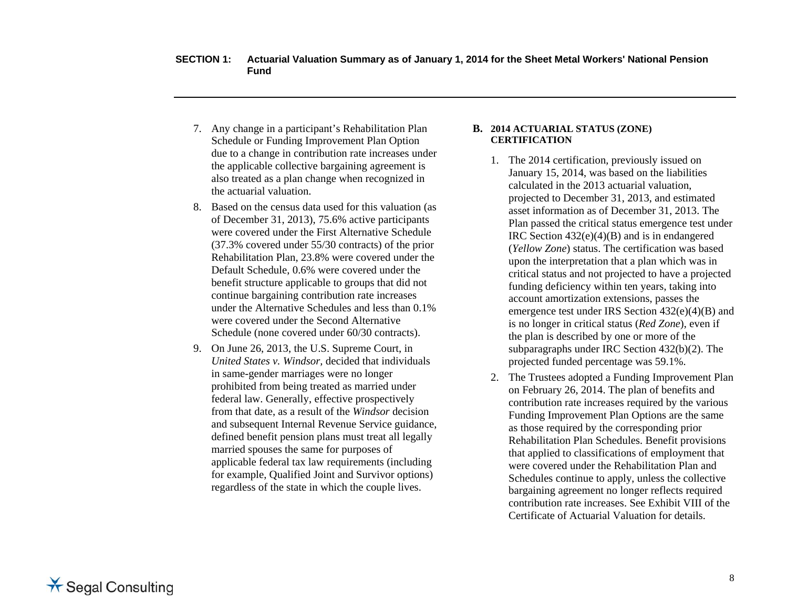- 7. Any change in a participant's Rehabilitation Plan Schedule or Funding Improvement Plan Option due to a change in contribution rate increases under the applicable collective bargaining agreement is also treated as a plan change when recognized in the actuarial valuation.
- 8. Based on the census data used for this valuation (as of December 31, 2013), 75.6% active participants were covered under the First Alternative Schedule (37.3% covered under 55/30 contracts) of the prior Rehabilitation Plan, 23.8% were covered under the Default Schedule, 0.6% were covered under the benefit structure applicable to groups that did not continue bargaining contribution rate increases under the Alternative Schedules and less than 0.1% were covered under the Second Alternative Schedule (none covered under 60/30 contracts).
- 9. On June 26, 2013, the U.S. Supreme Court, in *United States v. Windsor,* decided that individuals in same-gender marriages were no longer prohibited from being treated as married under federal law. Generally, effective prospectively from that date, as a result of the *Windsor* decision and subsequent Internal Revenue Service guidance, defined benefit pension plans must treat all legally married spouses the same for purposes of applicable federal tax law requirements (including for example, Qualified Joint and Survivor options) regardless of the state in which the couple lives.

#### **B. 2014 ACTUARIAL STATUS (ZONE) CERTIFICATION**

- 1. The 2014 certification, previously issued on January 15, 2014, was based on the liabilities calculated in the 2013 actuarial valuation, projected to December 31, 2013, and estimated asset information as of December 31, 2013. The Plan passed the critical status emergence test under IRC Section 432(e)(4)(B) and is in endangered (*Yellow Zone*) status. The certification was based upon the interpretation that a plan which was in critical status and not projected to have a projected funding deficiency within ten years, taking into account amortization extensions, passes the emergence test under IRS Section 432(e)(4)(B) and is no longer in critical status (*Red Zone*), even if the plan is described by one or more of the subparagraphs under IRC Section 432(b)(2). The projected funded percentage was 59.1%.
- 2. The Trustees adopted a Funding Improvement Plan on February 26, 2014. The plan of benefits and contribution rate increases required by the various Funding Improvement Plan Options are the same as those required by the corresponding prior Rehabilitation Plan Schedules. Benefit provisions that applied to classifications of employment that were covered under the Rehabilitation Plan and Schedules continue to apply, unless the collective bargaining agreement no longer reflects required contribution rate increases. See Exhibit VIII of the Certificate of Actuarial Valuation for details.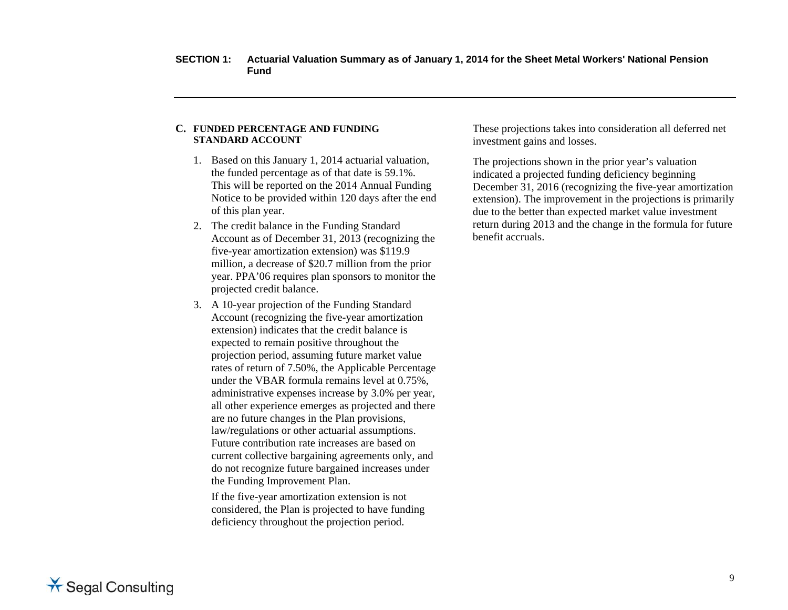#### **C. FUNDED PERCENTAGE AND FUNDING STANDARD ACCOUNT**

- 1. Based on this January 1, 2014 actuarial valuation, the funded percentage as of that date is 59.1%. This will be reported on the 2014 Annual Funding Notice to be provided within 120 days after the end of this plan year.
- 2. The credit balance in the Funding Standard Account as of December 31, 2013 (recognizing the five-year amortization extension) was \$119.9 million, a decrease of \$20.7 million from the prior year. PPA'06 requires plan sponsors to monitor the projected credit balance.
- 3. A 10-year projection of the Funding Standard Account (recognizing the five-year amortization extension) indicates that the credit balance is expected to remain positive throughout the projection period, assuming future market value rates of return of 7.50%, the Applicable Percentage under the VBAR formula remains level at 0.75%, administrative expenses increase by 3.0% per year, all other experience emerges as projected and there are no future changes in the Plan provisions, law/regulations or other actuarial assumptions. Future contribution rate increases are based on current collective bargaining agreements only, and do not recognize future bargained increases under the Funding Improvement Plan.

If the five-year amortization extension is not considered, the Plan is projected to have funding deficiency throughout the projection period.

These projections takes into consideration all deferred net investment gains and losses.

The projections shown in the prior year's valuation indicated a projected funding deficiency beginning December 31, 2016 (recognizing the five-year amortization extension). The improvement in the projections is primarily due to the better than expected market value investment return during 2013 and the change in the formula for future benefit accruals.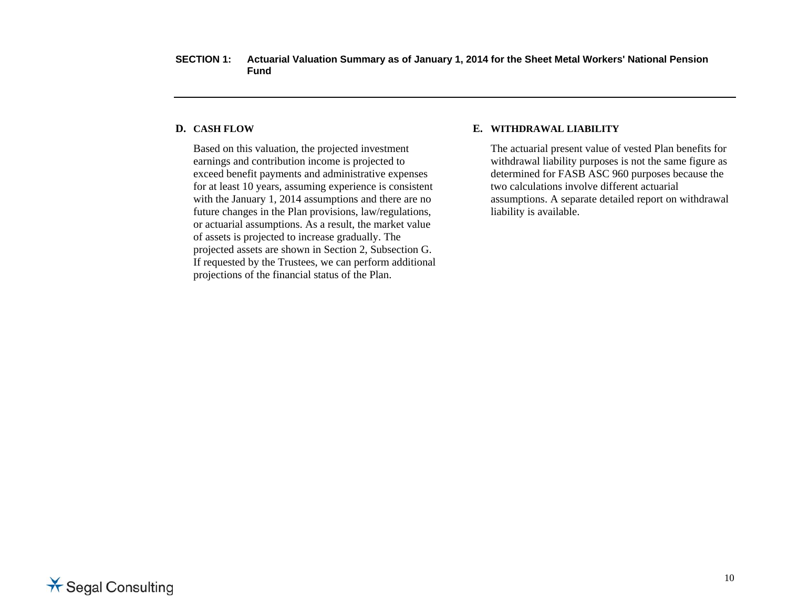#### **D. CASH FLOW**

Based on this valuation, the projected investment earnings and contribution income is projected to exceed benefit payments and administrative expenses for at least 10 years, assuming experience is consistent with the January 1, 2014 assumptions and there are no future changes in the Plan provisions, law/regulations, or actuarial assumptions. As a result, the market value of assets is projected to increase gradually. The projected assets are shown in Section 2, Subsection G. If requested by the Trustees, we can perform additional projections of the financial status of the Plan.

#### **E. WITHDRAWAL LIABILITY**

The actuarial present value of vested Plan benefits for withdrawal liability purposes is not the same figure as determined for FASB ASC 960 purposes because the two calculations involve different actuarial assumptions. A separate detailed report on withdrawal liability is available.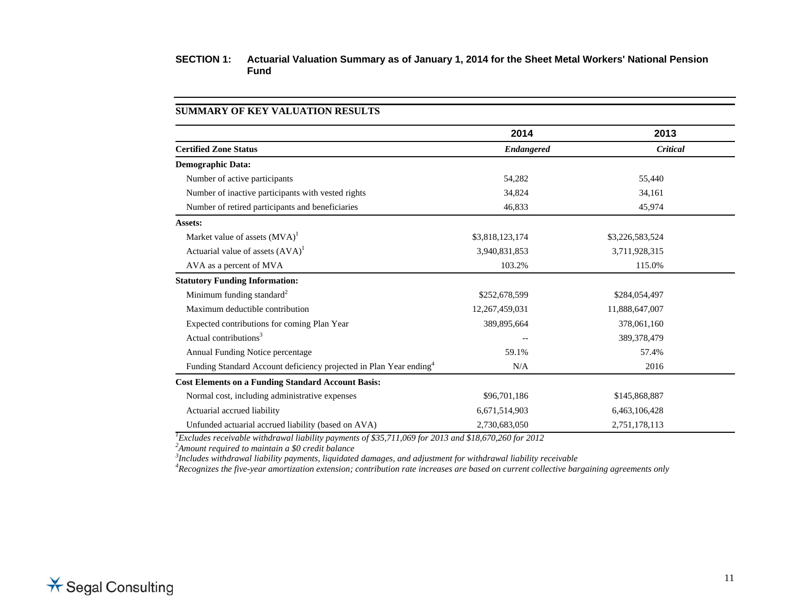|                                                                                | 2014              | 2013            |
|--------------------------------------------------------------------------------|-------------------|-----------------|
| <b>Certified Zone Status</b>                                                   | <b>Endangered</b> | Critical        |
| <b>Demographic Data:</b>                                                       |                   |                 |
| Number of active participants                                                  | 54,282            | 55,440          |
| Number of inactive participants with vested rights                             | 34,824            | 34,161          |
| Number of retired participants and beneficiaries                               | 46,833            | 45,974          |
| Assets:                                                                        |                   |                 |
| Market value of assets $(MVA)^1$                                               | \$3,818,123,174   | \$3,226,583,524 |
| Actuarial value of assets $(AVA)^1$                                            | 3,940,831,853     | 3,711,928,315   |
| AVA as a percent of MVA                                                        | 103.2%            | 115.0%          |
| <b>Statutory Funding Information:</b>                                          |                   |                 |
| Minimum funding standard <sup>2</sup>                                          | \$252,678,599     | \$284,054,497   |
| Maximum deductible contribution                                                | 12,267,459,031    | 11,888,647,007  |
| Expected contributions for coming Plan Year                                    | 389,895,664       | 378,061,160     |
| Actual contributions <sup>3</sup>                                              |                   | 389,378,479     |
| Annual Funding Notice percentage                                               | 59.1%             | 57.4%           |
| Funding Standard Account deficiency projected in Plan Year ending <sup>4</sup> | N/A               | 2016            |
| <b>Cost Elements on a Funding Standard Account Basis:</b>                      |                   |                 |
| Normal cost, including administrative expenses                                 | \$96,701,186      | \$145,868,887   |
| Actuarial accrued liability                                                    | 6,671,514,903     | 6,463,106,428   |
| Unfunded actuarial accrued liability (based on AVA)                            | 2,730,683,050     | 2,751,178,113   |

**SUMMARY OF KEY VALUATION RESULTS** 

<sup>7</sup>Excludes receivable withdrawal liability payments of \$35,711,069 for 2013 and \$18,670,260 for 2012<br><sup>2</sup>Amount required to maintain a \$0 credit balance<br><sup>3</sup>Includes withdrawal liability payments, liquidated damages, and ad

<sup>4</sup>Recognizes the five-year amortization extension; contribution rate increases are based on current collective bargaining agreements only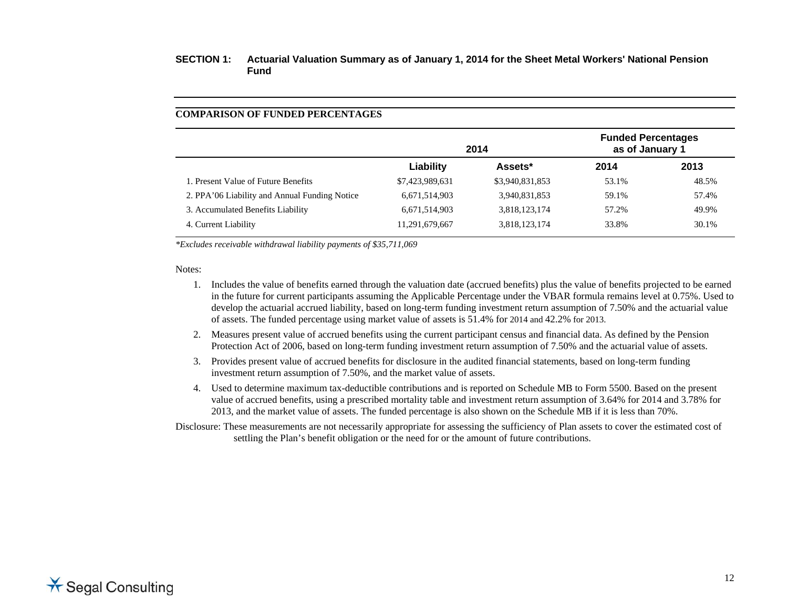#### **COMPARISON OF FUNDED PERCENTAGES**

|                                               |                 | 2014            | <b>Funded Percentages</b><br>as of January 1 |       |
|-----------------------------------------------|-----------------|-----------------|----------------------------------------------|-------|
|                                               | Liability       | Assets*         | 2014                                         | 2013  |
| 1. Present Value of Future Benefits           | \$7,423,989,631 | \$3,940,831,853 | 53.1%                                        | 48.5% |
| 2. PPA'06 Liability and Annual Funding Notice | 6,671,514,903   | 3,940,831,853   | 59.1%                                        | 57.4% |
| 3. Accumulated Benefits Liability             | 6,671,514,903   | 3,818,123,174   | 57.2%                                        | 49.9% |
| 4. Current Liability                          | 11,291,679,667  | 3,818,123,174   | 33.8%                                        | 30.1% |

*\*Excludes receivable withdrawal liability payments of \$35,711,069* 

#### Notes:

- 1. Includes the value of benefits earned through the valuation date (accrued benefits) plus the value of benefits projected to be earned in the future for current participants assuming the Applicable Percentage under the VBAR formula remains level at 0.75%. Used to develop the actuarial accrued liability, based on long-term funding investment return assumption of 7.50% and the actuarial value of assets. The funded percentage using market value of assets is 51.4% for 2014 and 42.2% for 2013.
- 2. Measures present value of accrued benefits using the current participant census and financial data. As defined by the Pension Protection Act of 2006, based on long-term funding investment return assumption of 7.50% and the actuarial value of assets.
- 3. Provides present value of accrued benefits for disclosure in the audited financial statements, based on long-term funding investment return assumption of 7.50%, and the market value of assets.
- 4. Used to determine maximum tax-deductible contributions and is reported on Schedule MB to Form 5500. Based on the present value of accrued benefits, using a prescribed mortality table and investment return assumption of 3.64% for 2014 and 3.78% for 2013, and the market value of assets. The funded percentage is also shown on the Schedule MB if it is less than 70%.

Disclosure: These measurements are not necessarily appropriate for assessing the sufficiency of Plan assets to cover the estimated cost of settling the Plan's benefit obligation or the need for or the amount of future contributions.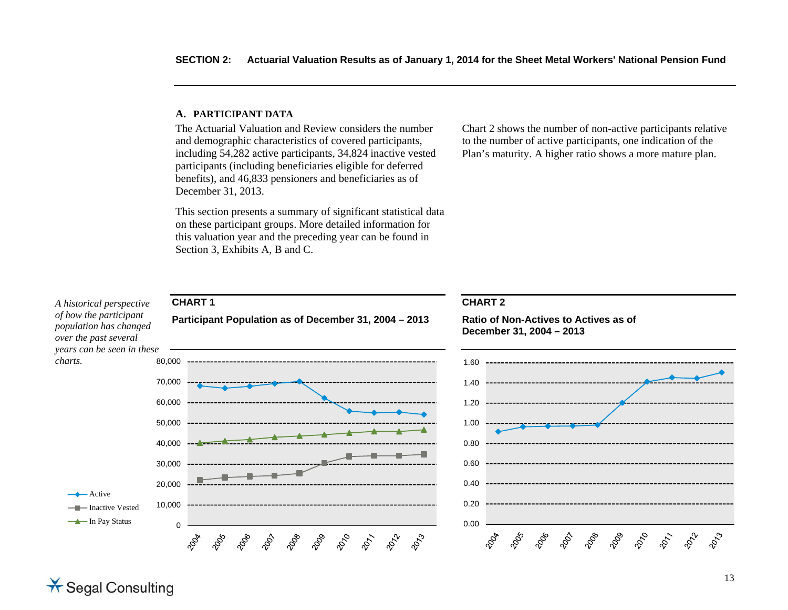#### **A. PARTICIPANT DATA**

\* Segal Consulting

The Actuarial Valuation and Review considers the number and demographic characteristics of covered participants, including 54,282 active participants, 34,824 inactive vested participants (including beneficiaries eligible for deferred benefits), and 46,833 pensioners and beneficiaries as of December 31, 2013.

This section presents a summary of significant statistical data on these participant groups. More detailed information for this valuation year and the preceding year can be found in Section 3, Exhibits A, B and C.

Chart 2 shows the number of non-active participants relative to the number of active participants, one indication of the Plan's maturity. A higher ratio shows a more mature plan.

#### **CHART 1 CHART 2** *A historical perspective of how the participant*  **Participant Population as of December 31, 2004 – 2013 Ratio of Non-Actives to Actives as of** *population has changed*  **December 31, 2004 – 2013** *over the past several years can be seen in these charts.* 80,000 1.6070,000 1.4060,000 1.2050,000 1.0040,000 0.800.6030,000 20,000 0.40 $\leftarrow$  Active 0.2010,000 **Inactive Vested** In Pay Status **0.000 1.0000 1.0000 1.0000 1.0000 1.0000 1.0000 1.0000 1.0000 1.0000 1.0000 1.0000 1.0000 1.0000 1.0000 1.0000 1.0000 1.0000 1.0000 1.0000 1.0000 1.0000 1.0000 1.0000 1.0000 1.0000 1.0000 1.0000 1.0000 1.0**  $\Omega$ 2009 2010 20<sub>00</sub>  $\phi^{\!\mathcal{S}}_{\!\mathcal{S}}$  $\hat{\mathcal{C}}_{\mathcal{O}}$ 2013 2004 2065 2006 2012 2008 **P22** 2023 2005 2066 **PO**  $\hat{\mathcal{C}}_{\gamma}$ 2017 2024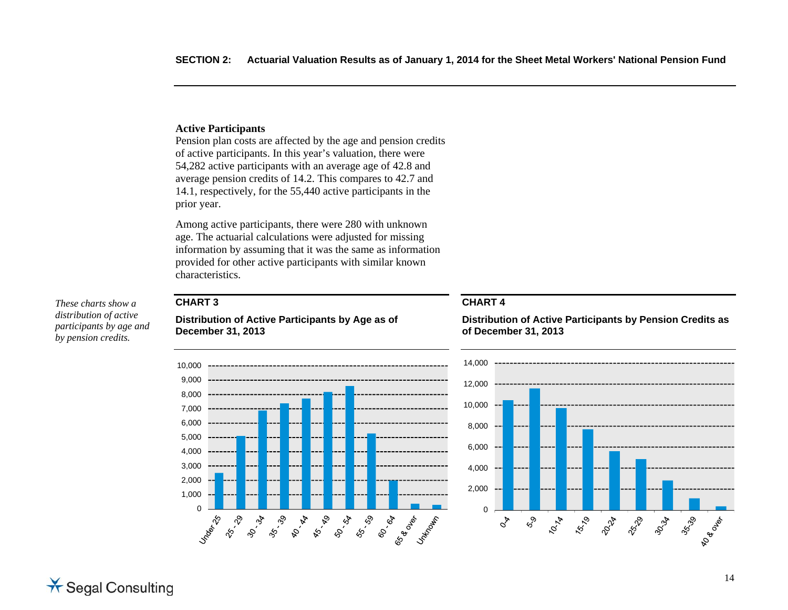#### **Active Participants**

Pension plan costs are affected by the age and pension credits of active participants. In this year's valuation, there were 54,282 active participants with an average age of 42.8 and average pension credits of 14.2. This compares to 42.7 and 14.1, respectively, for the 55,440 active participants in the prior year.

Among active participants, there were 280 with unknown age. The actuarial calculations were adjusted for missing information by assuming that it was the same as information provided for other active participants with similar known characteristics.

### **CHART 3**

**Distribution of Active Participants by Age as of December 31, 2013** 



**Distribution of Active Participants by Pension Credits as of December 31, 2013** 





*These charts show a distribution of active participants by age and by pension credits.*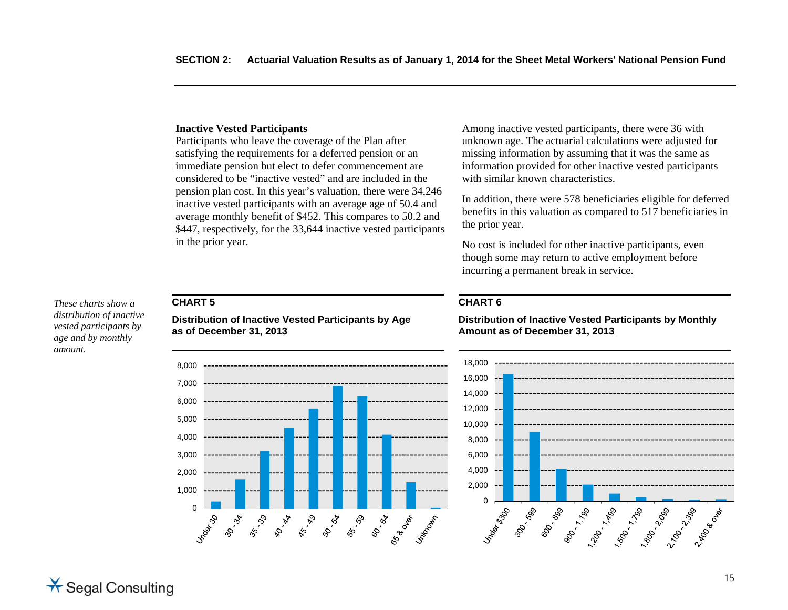#### **Inactive Vested Participants**

Participants who leave the coverage of the Plan after satisfying the requirements for a deferred pension or an immediate pension but elect to defer commencement are considered to be "inactive vested" and are included in the pension plan cost. In this year's valuation, there were 34,246 inactive vested participants with an average age of 50.4 and average monthly benefit of \$452. This compares to 50.2 and \$447, respectively, for the 33,644 inactive vested participants in the prior year.

Among inactive vested participants, there were 36 with unknown age. The actuarial calculations were adjusted for missing information by assuming that it was the same as information provided for other inactive vested participants with similar known characteristics.

In addition, there were 578 beneficiaries eligible for deferred benefits in this valuation as compared to 517 beneficiaries in the prior year.

No cost is included for other inactive participants, even though some may return to active employment before incurring a permanent break in service.

### **CHART 5**

*These charts show a distribution of inactive vested participants by age and by monthly amount.* 

**Distribution of Inactive Vested Participants by Age as of December 31, 2013** 



## **CHART 6**

18,000 16,000 14,000 12,000 10,000 8,000 6,000 4,000 2,000  $\Omega$ **PROTECTION** Underston 300-000 2,700 - 2,990 89 - 1.26 - 1.89 - 1.89 - 1.89 - 1.89 - 1.89 - 1.89 - 1.89 - 1.89 - 1.89 - 1.89 - 1.89 - 1.89 - 1.89 - 1.89 - <br>1.89 - 1.89 - 1.89 - 1.89 - 1.89 - 1.89 - 1.89 - 1.89 - 1.89 - 1.89 - 1.89 - 1.89 - 1.89 - 1.89 - 1.89 - 1.89 11200 BEE

**Distribution of Inactive Vested Participants by Monthly Amount as of December 31, 2013**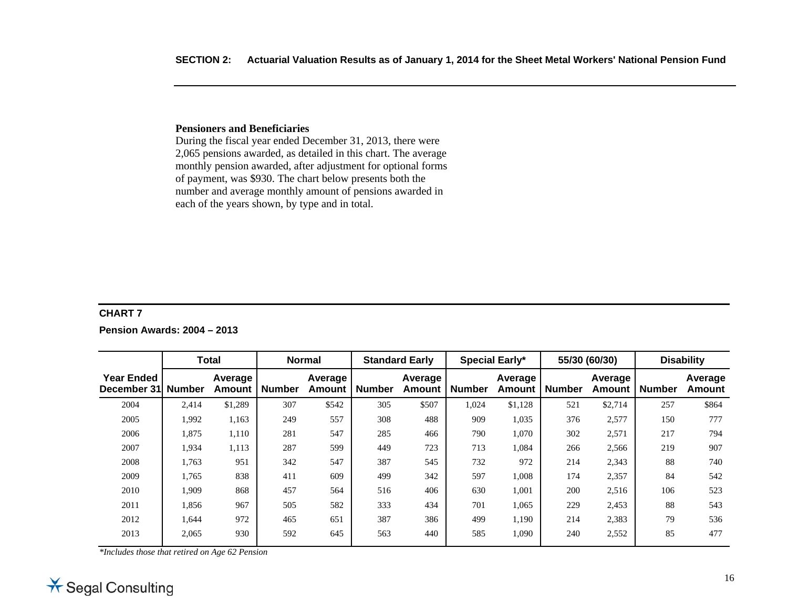#### **Pensioners and Beneficiaries**

During the fiscal year ended December 31, 2013, there were 2,065 pensions awarded, as detailed in this chart. The average monthly pension awarded, after adjustment for optional forms of payment, was \$930. The chart below presents both the number and average monthly amount of pensions awarded in each of the years shown, by type and in total.

#### **CHART 7**

**Pension Awards: 2004 – 2013** 

|                                  |               | <b>Total</b>             |               | <b>Normal</b>     |               | <b>Standard Early</b> |               | <b>Special Early*</b> |               | 55/30 (60/30)     |               | <b>Disability</b>        |
|----------------------------------|---------------|--------------------------|---------------|-------------------|---------------|-----------------------|---------------|-----------------------|---------------|-------------------|---------------|--------------------------|
| <b>Year Ended</b><br>December 31 | <b>Number</b> | Average<br><b>Amount</b> | <b>Number</b> | Average<br>Amount | <b>Number</b> | Average<br>Amount     | <b>Number</b> | Average<br>Amount     | <b>Number</b> | Average<br>Amount | <b>Number</b> | Average<br><b>Amount</b> |
| 2004                             | 2,414         | \$1,289                  | 307           | \$542             | 305           | \$507                 | 1,024         | \$1,128               | 521           | \$2,714           | 257           | \$864                    |
| 2005                             | 1,992         | 1,163                    | 249           | 557               | 308           | 488                   | 909           | 1,035                 | 376           | 2,577             | 150           | 777                      |
| 2006                             | 1,875         | 1,110                    | 281           | 547               | 285           | 466                   | 790           | 1,070                 | 302           | 2,571             | 217           | 794                      |
| 2007                             | 1,934         | 1,113                    | 287           | 599               | 449           | 723                   | 713           | 1,084                 | 266           | 2,566             | 219           | 907                      |
| 2008                             | 1,763         | 951                      | 342           | 547               | 387           | 545                   | 732           | 972                   | 214           | 2,343             | 88            | 740                      |
| 2009                             | 1,765         | 838                      | 411           | 609               | 499           | 342                   | 597           | 1,008                 | 174           | 2,357             | 84            | 542                      |
| 2010                             | 1,909         | 868                      | 457           | 564               | 516           | 406                   | 630           | 1,001                 | 200           | 2,516             | 106           | 523                      |
| 2011                             | 1,856         | 967                      | 505           | 582               | 333           | 434                   | 701           | 1,065                 | 229           | 2,453             | 88            | 543                      |
| 2012                             | 1,644         | 972                      | 465           | 651               | 387           | 386                   | 499           | 1,190                 | 214           | 2,383             | 79            | 536                      |
| 2013                             | 2,065         | 930                      | 592           | 645               | 563           | 440                   | 585           | 1,090                 | 240           | 2,552             | 85            | 477                      |
|                                  |               |                          |               |                   |               |                       |               |                       |               |                   |               |                          |

*\*Includes those that retired on Age 62 Pension* 

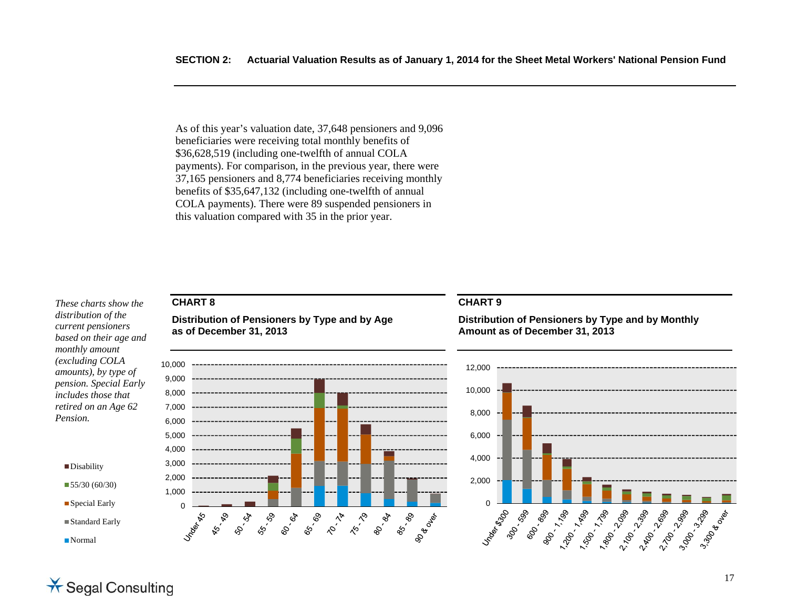As of this year's valuation date, 37,648 pensioners and 9,096 beneficiaries were receiving total monthly benefits of \$36,628,519 (including one-twelfth of annual COLA payments). For comparison, in the previous year, there were 37,165 pensioners and 8,774 beneficiaries receiving monthly benefits of \$35,647,132 (including one-twelfth of annual COLA payments). There were 89 suspended pensioners in this valuation compared with 35 in the prior year.

*These charts show the distribution of the current pensioners based on their age and monthly amount (excluding COLA amounts), by type of pension. Special Early includes those that retired on an Age 62 Pension.* 



### **CHART 8**

**Distribution of Pensioners by Type and by Age as of December 31, 2013** 



#### **CHART 9**

**Distribution of Pensioners by Type and by Monthly Amount as of December 31, 2013** 



# \* Segal Consulting

■Normal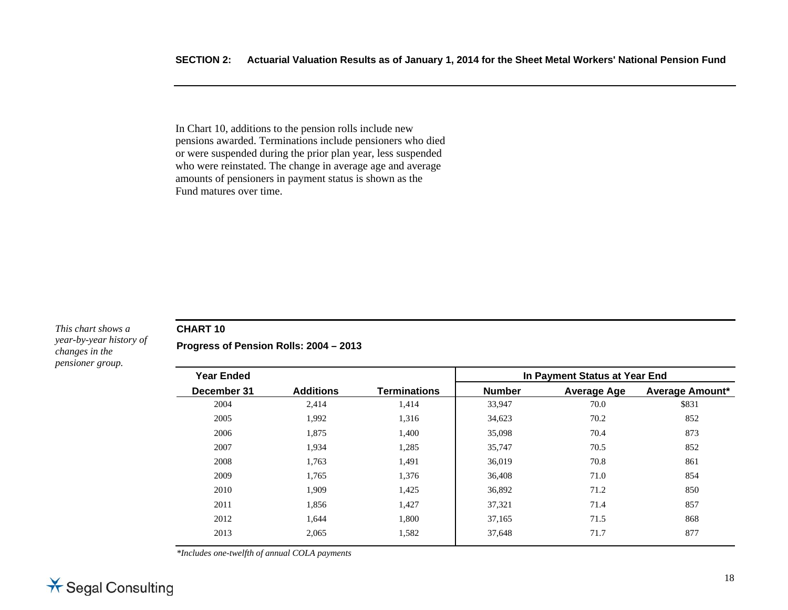In Chart 10, additions to the pension rolls include new pensions awarded. Terminations include pensioners who died or were suspended during the prior plan year, less suspended who were reinstated. The change in average age and average amounts of pensioners in payment status is shown as the Fund matures over time.

#### *This chart shows a year-by-year history of changes in the pensioner group.*

#### **CHART 10**

**Progress of Pension Rolls: 2004 – 2013** 

| <b>Year Ended</b> |                  |                     | In Payment Status at Year End |                    |                        |
|-------------------|------------------|---------------------|-------------------------------|--------------------|------------------------|
| December 31       | <b>Additions</b> | <b>Terminations</b> | <b>Number</b>                 | <b>Average Age</b> | <b>Average Amount*</b> |
| 2004              | 2,414            | 1,414               | 33,947                        | 70.0               | \$831                  |
| 2005              | 1,992            | 1,316               | 34,623                        | 70.2               | 852                    |
| 2006              | 1,875            | 1,400               | 35,098                        | 70.4               | 873                    |
| 2007              | 1,934            | 1,285               | 35,747                        | 70.5               | 852                    |
| 2008              | 1,763            | 1,491               | 36,019                        | 70.8               | 861                    |
| 2009              | 1,765            | 1,376               | 36,408                        | 71.0               | 854                    |
| 2010              | 1,909            | 1,425               | 36,892                        | 71.2               | 850                    |
| 2011              | 1,856            | 1,427               | 37,321                        | 71.4               | 857                    |
| 2012              | 1,644            | 1,800               | 37,165                        | 71.5               | 868                    |
| 2013              | 2,065            | 1,582               | 37,648                        | 71.7               | 877                    |

*\*Includes one-twelfth of annual COLA payments*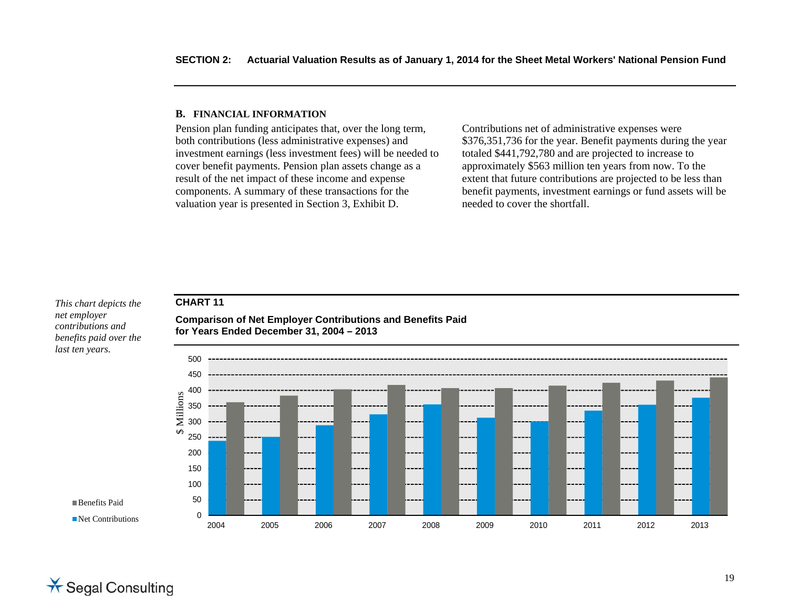#### **B. FINANCIAL INFORMATION**

Pension plan funding anticipates that, over the long term, both contributions (less administrative expenses) and investment earnings (less investment fees) will be needed to cover benefit payments. Pension plan assets change as a result of the net impact of these income and expense components. A summary of these transactions for the valuation year is presented in Section 3, Exhibit D.

Contributions net of administrative expenses were \$376,351,736 for the year. Benefit payments during the year totaled \$441,792,780 and are projected to increase to approximately \$563 million ten years from now. To the extent that future contributions are projected to be less than benefit payments, investment earnings or fund assets will be needed to cover the shortfall.

### **CHART 11**

*This chart depicts the net employer contributions and benefits paid over the last ten years.* 

450500**for Years Ended December 31, 2004 – 2013** 

**Comparison of Net Employer Contributions and Benefits Paid** 



2004 2005 2006 2007 2008 2009 2010 2011 2012 2013

**Benefits Paid** 

Net Contributions

**X** Segal Consulting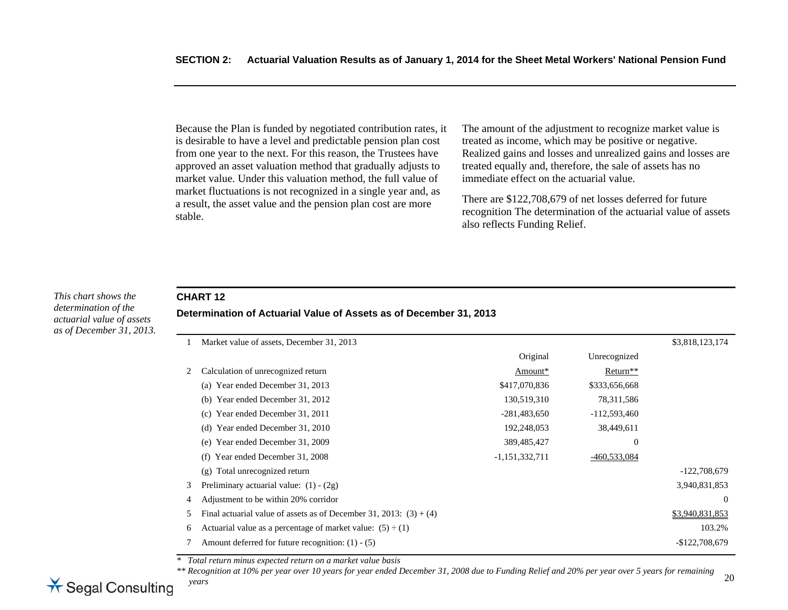Because the Plan is funded by negotiated contribution rates, it is desirable to have a level and predictable pension plan cost from one year to the next. For this reason, the Trustees have approved an asset valuation method that gradually adjusts to market value. Under this valuation method, the full value of market fluctuations is not recognized in a single year and, as a result, the asset value and the pension plan cost are more stable.

The amount of the adjustment to recognize market value is treated as income, which may be positive or negative. Realized gains and losses and unrealized gains and losses are treated equally and, therefore, the sale of assets has no immediate effect on the actuarial value.

There are \$122,708,679 of net losses deferred for future recognition The determination of the actuarial value of assets also reflects Funding Relief.

#### *This chart shows the determination of the actuarial value of assets as of December 31, 2013.*

## **CHART 12 Determination of Actuarial Value of Assets as of December 31, 2013**

|   | Market value of assets, December 31, 2013                            |                  |                      | \$3,818,123,174 |
|---|----------------------------------------------------------------------|------------------|----------------------|-----------------|
|   |                                                                      | Original         | Unrecognized         |                 |
| 2 | Calculation of unrecognized return                                   | Amount*          | Return <sup>**</sup> |                 |
|   | Year ended December 31, 2013<br>(a)                                  | \$417,070,836    | \$333,656,668        |                 |
|   | Year ended December 31, 2012<br>(b)                                  | 130,519,310      | 78,311,586           |                 |
|   | Year ended December 31, 2011<br>(c)                                  | $-281,483,650$   | $-112,593,460$       |                 |
|   | Year ended December 31, 2010<br>(d)                                  | 192,248,053      | 38,449,611           |                 |
|   | (e) Year ended December 31, 2009                                     | 389,485,427      | $\boldsymbol{0}$     |                 |
|   | Year ended December 31, 2008<br>(f)                                  | $-1,151,332,711$ | -460,533,084         |                 |
|   | Total unrecognized return<br>(g)                                     |                  |                      | $-122,708,679$  |
| 3 | Preliminary actuarial value: $(1) - (2g)$                            |                  |                      | 3,940,831,853   |
| 4 | Adjustment to be within 20% corridor                                 |                  |                      | $\overline{0}$  |
| 5 | Final actuarial value of assets as of December 31, 2013: $(3) + (4)$ |                  |                      | \$3,940,831,853 |
| 6 | Actuarial value as a percentage of market value: $(5) \div (1)$      |                  |                      | 103.2%          |
|   | Amount deferred for future recognition: $(1) - (5)$                  |                  |                      | $-$122,708,679$ |

*\* Total return minus expected return on a market value basis* 

*\*\* Recognition at 10% per year over 10 years for year ended December 31, 2008 due to Funding Relief and 20% per year over 5 years for remaining years* 

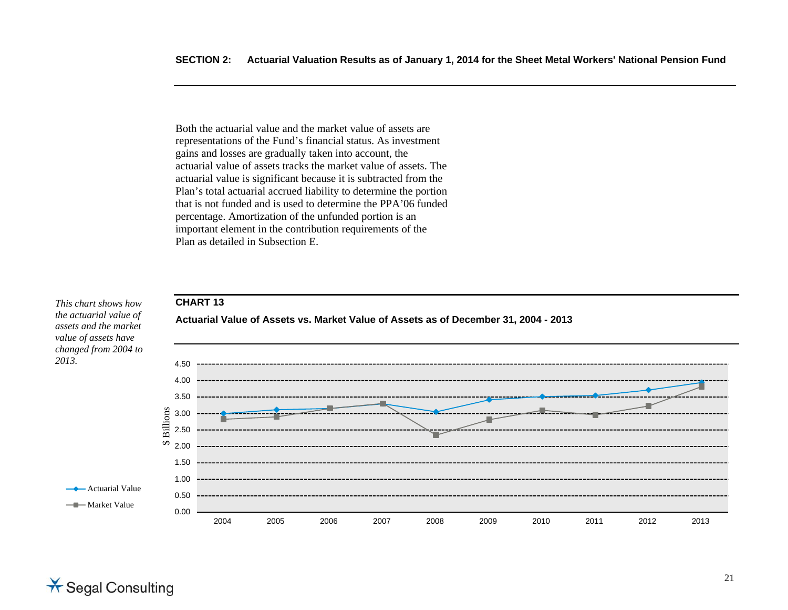Both the actuarial value and the market value of assets are representations of the Fund's financial status. As investment gains and losses are gradually taken into account, the actuarial value of assets tracks the market value of assets. The actuarial value is significant because it is subtracted from the Plan's total actuarial accrued liability to determine the portion that is not funded and is used to determine the PPA'06 funded percentage. Amortization of the unfunded portion is an important element in the contribution requirements of the Plan as detailed in Subsection E.



\* Segal Consulting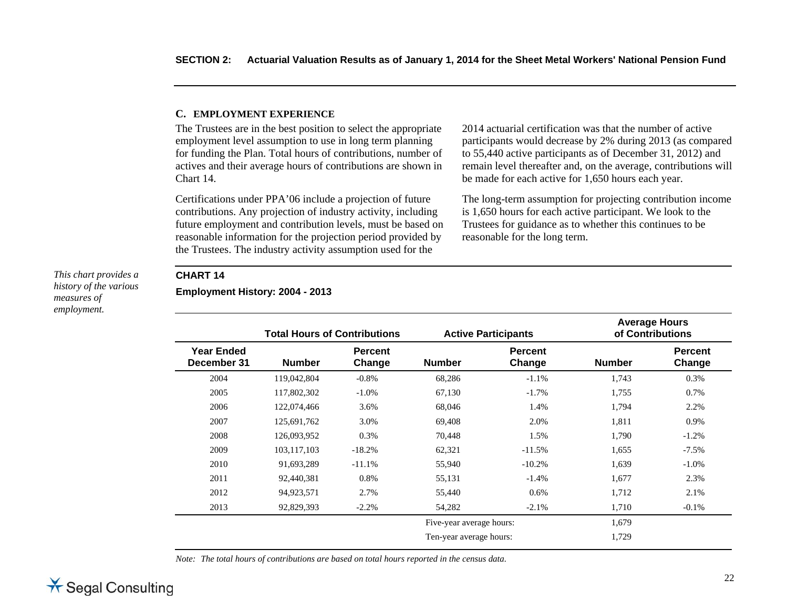#### **C. EMPLOYMENT EXPERIENCE**

The Trustees are in the best position to select the appropriate employment level assumption to use in long term planning for funding the Plan. Total hours of contributions, number of actives and their average hours of contributions are shown in Chart 14.

Certifications under PPA'06 include a projection of future contributions. Any projection of industry activity, including future employment and contribution levels, must be based on reasonable information for the projection period provided by the Trustees. The industry activity assumption used for the

2014 actuarial certification was that the number of active participants would decrease by 2% during 2013 (as compared to 55,440 active participants as of December 31, 2012) and remain level thereafter and, on the average, contributions will be made for each active for 1,650 hours each year.

The long-term assumption for projecting contribution income is 1,650 hours for each active participant. We look to the Trustees for guidance as to whether this continues to be reasonable for the long term.

#### *This chart provides a history of the various measures of employment.*

#### **CHART 14**

**Employment History: 2004 - 2013** 

|                                  | <b>Total Hours of Contributions</b> |                          |                          | <b>Active Participants</b> | <b>Average Hours</b><br>of Contributions |                          |
|----------------------------------|-------------------------------------|--------------------------|--------------------------|----------------------------|------------------------------------------|--------------------------|
| <b>Year Ended</b><br>December 31 | <b>Number</b>                       | <b>Percent</b><br>Change | <b>Number</b>            | <b>Percent</b><br>Change   | <b>Number</b>                            | <b>Percent</b><br>Change |
| 2004                             | 119,042,804                         | $-0.8%$                  | 68,286                   | $-1.1%$                    | 1,743                                    | 0.3%                     |
| 2005                             | 117,802,302                         | $-1.0\%$                 | 67,130                   | $-1.7%$                    | 1,755                                    | 0.7%                     |
| 2006                             | 122,074,466                         | 3.6%                     | 68,046                   | 1.4%                       | 1,794                                    | 2.2%                     |
| 2007                             | 125,691,762                         | 3.0%                     | 69,408                   | 2.0%                       | 1,811                                    | 0.9%                     |
| 2008                             | 126,093,952                         | $0.3\%$                  | 70,448                   | 1.5%                       | 1,790                                    | $-1.2%$                  |
| 2009                             | 103,117,103                         | $-18.2%$                 | 62,321                   | $-11.5%$                   | 1,655                                    | $-7.5%$                  |
| 2010                             | 91,693,289                          | $-11.1%$                 | 55,940                   | $-10.2%$                   | 1,639                                    | $-1.0%$                  |
| 2011                             | 92,440,381                          | 0.8%                     | 55,131                   | $-1.4%$                    | 1,677                                    | 2.3%                     |
| 2012                             | 94,923,571                          | 2.7%                     | 55,440                   | 0.6%                       | 1,712                                    | 2.1%                     |
| 2013                             | 92,829,393                          | $-2.2\%$                 | 54,282                   | $-2.1%$                    | 1,710                                    | $-0.1%$                  |
|                                  |                                     |                          | Five-year average hours: |                            | 1,679                                    |                          |
|                                  |                                     |                          | Ten-year average hours:  |                            | 1,729                                    |                          |

*Note: The total hours of contributions are based on total hours reported in the census data.*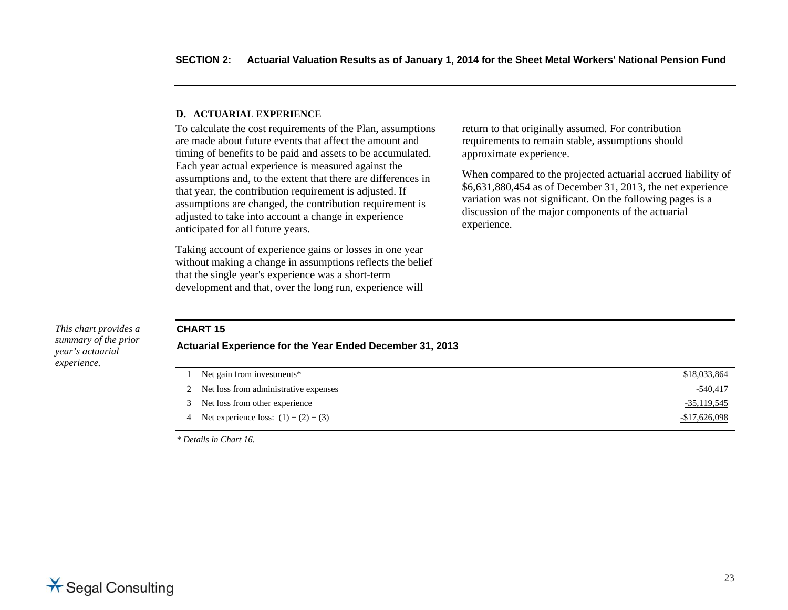#### **D. ACTUARIAL EXPERIENCE**

To calculate the cost requirements of the Plan, assumptions are made about future events that affect the amount and timing of benefits to be paid and assets to be accumulated. Each year actual experience is measured against the assumptions and, to the extent that there are differences in that year, the contribution requirement is adjusted. If assumptions are changed, the contribution requirement is adjusted to take into account a change in experience anticipated for all future years.

Taking account of experience gains or losses in one year without making a change in assumptions reflects the belief that the single year's experience was a short-term development and that, over the long run, experience will

return to that originally assumed. For contribution requirements to remain stable, assumptions should approximate experience.

When compared to the projected actuarial accrued liability of \$6,631,880,454 as of December 31, 2013, the net experience variation was not significant. On the following pages is a discussion of the major components of the actuarial experience.

#### *This chart provides a summary of the prior year's actuarial experience.*

#### **CHART 15**

#### **Actuarial Experience for the Year Ended December 31, 2013**

| 1 Net gain from investments*             | \$18,033,864  |
|------------------------------------------|---------------|
| 2 Net loss from administrative expenses  | $-540.417$    |
| 3 Net loss from other experience         | -35,119,545   |
| 4 Net experience loss: $(1) + (2) + (3)$ | -\$17,626,098 |

*\* Details in Chart 16.*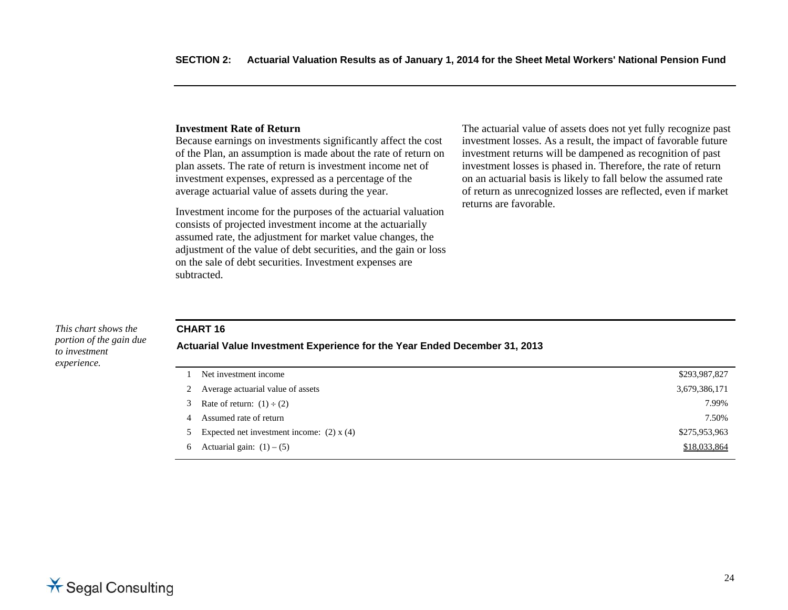#### **Investment Rate of Return**

Because earnings on investments significantly affect the cost of the Plan, an assumption is made about the rate of return on plan assets. The rate of return is investment income net of investment expenses, expressed as a percentage of the average actuarial value of assets during the year.

Investment income for the purposes of the actuarial valuation consists of projected investment income at the actuarially assumed rate, the adjustment for market value changes, the adjustment of the value of debt securities, and the gain or loss on the sale of debt securities. Investment expenses are subtracted.

The actuarial value of assets does not yet fully recognize past investment losses. As a result, the impact of favorable future investment returns will be dampened as recognition of past investment losses is phased in. Therefore, the rate of return on an actuarial basis is likely to fall below the assumed rate of return as unrecognized losses are reflected, even if market returns are favorable.

#### *This chart shows the portion of the gain due to investment experience.*

#### **CHART 16**

#### **Actuarial Value Investment Experience for the Year Ended December 31, 2013**

| Net investment income                           | \$293,987,827 |
|-------------------------------------------------|---------------|
| 2 Average actuarial value of assets             | 3,679,386,171 |
| 3 Rate of return: $(1) \div (2)$                | 7.99%         |
| 4 Assumed rate of return                        | 7.50%         |
| 5 Expected net investment income: $(2)$ x $(4)$ | \$275,953,963 |
| 6 Actuarial gain: $(1) - (5)$                   | \$18,033,864  |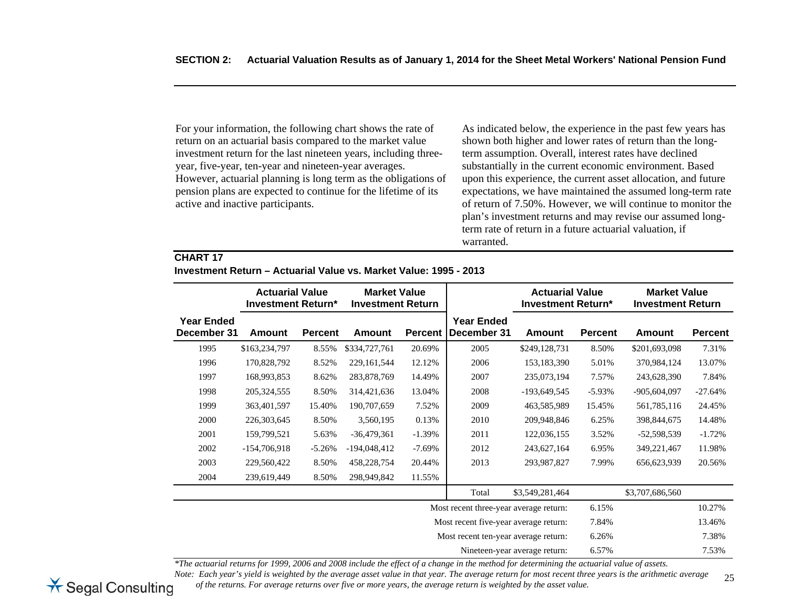For your information, the following chart shows the rate of return on an actuarial basis compared to the market value investment return for the last nineteen years, including threeyear, five-year, ten-year and nineteen-year averages. However, actuarial planning is long term as the obligations of pension plans are expected to continue for the lifetime of its active and inactive participants.

As indicated below, the experience in the past few years has shown both higher and lower rates of return than the longterm assumption. Overall, interest rates have declined substantially in the current economic environment. Based upon this experience, the current asset allocation, and future expectations, we have maintained the assumed long-term rate of return of 7.50%. However, we will continue to monitor the plan's investment returns and may revise our assumed longterm rate of return in a future actuarial valuation, if warranted.

#### **CHART 17**

|                                  | <b>Actuarial Value</b><br><b>Investment Return*</b> |                | <b>Market Value</b><br><b>Investment Return</b> |                |                                        | <b>Actuarial Value</b><br><b>Investment Return*</b> |                | <b>Market Value</b><br><b>Investment Return</b> |                |
|----------------------------------|-----------------------------------------------------|----------------|-------------------------------------------------|----------------|----------------------------------------|-----------------------------------------------------|----------------|-------------------------------------------------|----------------|
| <b>Year Ended</b><br>December 31 | Amount                                              | <b>Percent</b> | <b>Amount</b>                                   | <b>Percent</b> | <b>Year Ended</b><br>December 31       | <b>Amount</b>                                       | <b>Percent</b> | <b>Amount</b>                                   | <b>Percent</b> |
| 1995                             | \$163,234,797                                       | 8.55%          | \$334,727,761                                   | 20.69%         | 2005                                   | \$249,128,731                                       | 8.50%          | \$201,693,098                                   | 7.31%          |
| 1996                             | 170,828,792                                         | 8.52%          | 229, 161, 544                                   | 12.12%         | 2006                                   | 153,183,390                                         | 5.01%          | 370,984,124                                     | 13.07%         |
| 1997                             | 168,993,853                                         | 8.62%          | 283,878,769                                     | 14.49%         | 2007                                   | 235,073,194                                         | 7.57%          | 243,628,390                                     | 7.84%          |
| 1998                             | 205, 324, 555                                       | 8.50%          | 314,421,636                                     | 13.04%         | 2008                                   | $-193,649,545$                                      | $-5.93\%$      | $-905,604,097$                                  | $-27.64%$      |
| 1999                             | 363,401,597                                         | 15.40%         | 190,707,659                                     | 7.52%          | 2009                                   | 463,585,989                                         | 15.45%         | 561,785,116                                     | 24.45%         |
| 2000                             | 226, 303, 645                                       | 8.50%          | 3,560,195                                       | 0.13%          | 2010                                   | 209,948,846                                         | 6.25%          | 398,844,675                                     | 14.48%         |
| 2001                             | 159,799,521                                         | 5.63%          | $-36,479,361$                                   | $-1.39%$       | 2011                                   | 122,036,155                                         | 3.52%          | $-52,598,539$                                   | $-1.72%$       |
| 2002                             | $-154,706,918$                                      | $-5.26%$       | $-194,048,412$                                  | $-7.69\%$      | 2012                                   | 243,627,164                                         | 6.95%          | 349,221,467                                     | 11.98%         |
| 2003                             | 229,560,422                                         | 8.50%          | 458,228,754                                     | 20.44%         | 2013                                   | 293,987,827                                         | 7.99%          | 656,623,939                                     | 20.56%         |
| 2004                             | 239,619,449                                         | 8.50%          | 298,949,842                                     | 11.55%         |                                        |                                                     |                |                                                 |                |
|                                  |                                                     |                |                                                 |                | Total                                  | \$3,549,281,464                                     |                | \$3,707,686,560                                 |                |
|                                  |                                                     |                |                                                 |                | Most recent three-year average return: |                                                     | 6.15%          |                                                 | 10.27%         |
|                                  |                                                     |                |                                                 |                | Most recent five-year average return:  |                                                     | 7.84%          |                                                 | 13.46%         |
|                                  |                                                     |                |                                                 |                | Most recent ten-year average return:   |                                                     | 6.26%          |                                                 | 7.38%          |
|                                  |                                                     |                |                                                 |                | Nineteen-year average return:          |                                                     | 6.57%          |                                                 | 7.53%          |

*\*The actuarial returns for 1999, 2006 and 2008 include the effect of a change in the method for determining the actuarial value of assets.* 

25*Note: Each year's yield is weighted by the average asset value in that year. The average return for most recent three years is the arithmetic average of the returns. For average returns over five or more years, the average return is weighted by the asset value.* 

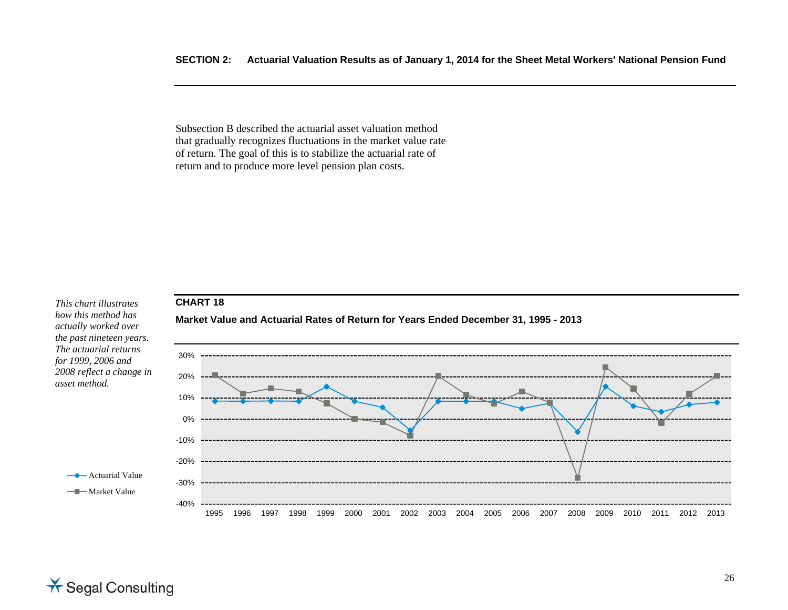Subsection B described the actuarial asset valuation method that gradually recognizes fluctuations in the market value rate of return. The goal of this is to stabilize the actuarial rate of return and to produce more level pension plan costs.

## **CHART 18**

*This chart illustrates how this method has actually worked over the past nineteen years. The actuarial returns for 1999, 2006 and 2008 reflect a change in asset method.* 

> $\rightarrow$  Actuarial Value -Market Value



# **Market Value and Actuarial Rates of Return for Years Ended December 31, 1995 - 2013**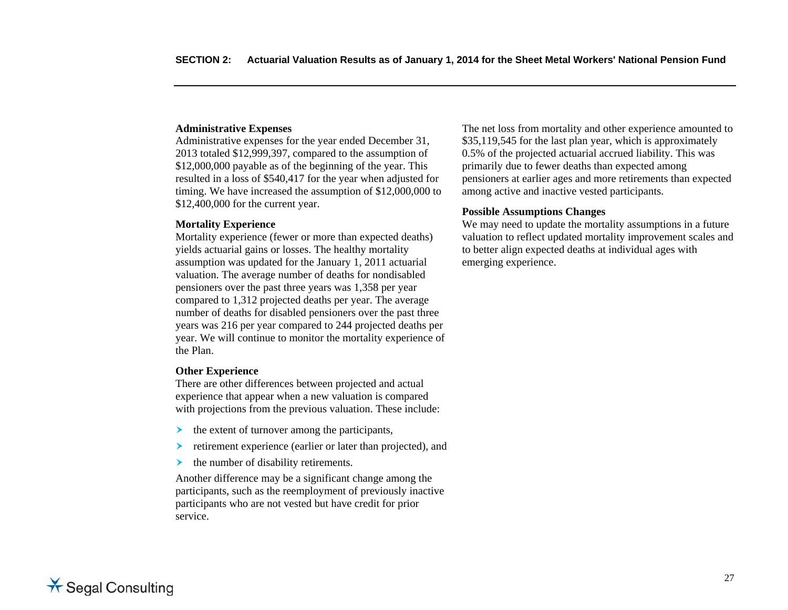#### **Administrative Expenses**

Administrative expenses for the year ended December 31, 2013 totaled \$12,999,397, compared to the assumption of \$12,000,000 payable as of the beginning of the year. This resulted in a loss of \$540,417 for the year when adjusted for timing. We have increased the assumption of \$12,000,000 to \$12,400,000 for the current year.

#### **Mortality Experience**

Mortality experience (fewer or more than expected deaths) yields actuarial gains or losses. The healthy mortality assumption was updated for the January 1, 2011 actuarial valuation. The average number of deaths for nondisabled pensioners over the past three years was 1,358 per year compared to 1,312 projected deaths per year. The average number of deaths for disabled pensioners over the past three years was 216 per year compared to 244 projected deaths per year. We will continue to monitor the mortality experience of the Plan.

#### **Other Experience**

There are other differences between projected and actual experience that appear when a new valuation is compared with projections from the previous valuation. These include:

- ≻ the extent of turnover among the participants,
- ➤ retirement experience (earlier or later than projected), and
- ➤ the number of disability retirements.

Another difference may be a significant change among the participants, such as the reemployment of previously inactive participants who are not vested but have credit for prior service.

The net loss from mortality and other experience amounted to \$35,119,545 for the last plan year, which is approximately 0.5% of the projected actuarial accrued liability. This was primarily due to fewer deaths than expected among pensioners at earlier ages and more retirements than expected among active and inactive vested participants.

#### **Possible Assumptions Changes**

We may need to update the mortality assumptions in a future valuation to reflect updated mortality improvement scales and to better align expected deaths at individual ages with emerging experience.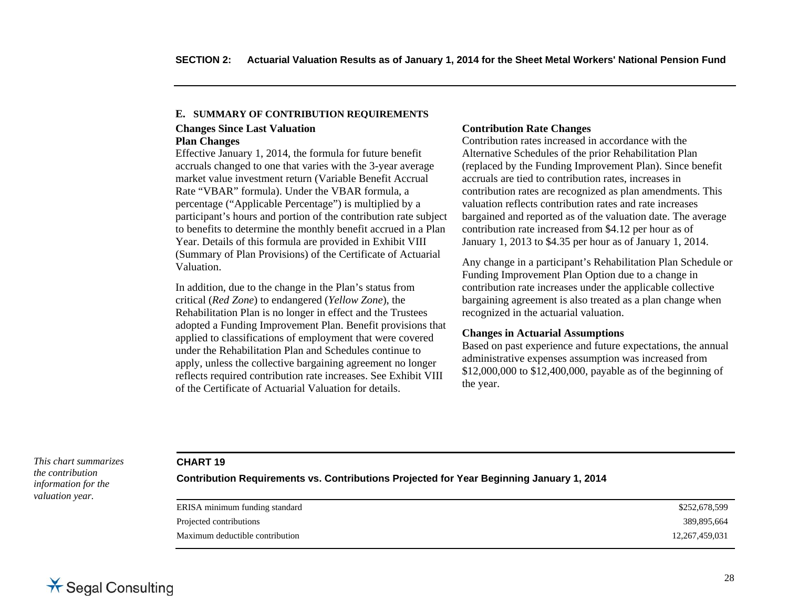#### **Changes Since Last Valuation E. SUMMARY OF CONTRIBUTION REQUIREMENTS**

#### **Plan Changes**

Effective January 1, 2014, the formula for future benefit accruals changed to one that varies with the 3-year average market value investment return (Variable Benefit Accrual Rate "VBAR" formula). Under the VBAR formula, a percentage ("Applicable Percentage") is multiplied by a participant's hours and portion of the contribution rate subject to benefits to determine the monthly benefit accrued in a Plan Year. Details of this formula are provided in Exhibit VIII (Summary of Plan Provisions) of the Certificate of Actuarial Valuation.

In addition, due to the change in the Plan's status from critical (*Red Zone*) to endangered (*Yellow Zone*), the Rehabilitation Plan is no longer in effect and the Trustees adopted a Funding Improvement Plan. Benefit provisions that applied to classifications of employment that were covered under the Rehabilitation Plan and Schedules continue to apply, unless the collective bargaining agreement no longer reflects required contribution rate increases. See Exhibit VIII of the Certificate of Actuarial Valuation for details.

#### **Contribution Rate Changes**

Contribution rates increased in accordance with the Alternative Schedules of the prior Rehabilitation Plan (replaced by the Funding Improvement Plan). Since benefit accruals are tied to contribution rates, increases in contribution rates are recognized as plan amendments. This valuation reflects contribution rates and rate increases bargained and reported as of the valuation date. The average contribution rate increased from \$4.12 per hour as of January 1, 2013 to \$4.35 per hour as of January 1, 2014.

Any change in a participant's Rehabilitation Plan Schedule or Funding Improvement Plan Option due to a change in contribution rate increases under the applicable collective bargaining agreement is also treated as a plan change when recognized in the actuarial valuation.

#### **Changes in Actuarial Assumptions**

Based on past experience and future expectations, the annual administrative expenses assumption was increased from \$12,000,000 to \$12,400,000, payable as of the beginning of the year.

*This chart summarizes the contribution information for the valuation year.* 

#### **CHART 19**

**Contribution Requirements vs. Contributions Projected for Year Beginning January 1, 2014**

| \$252,678,599     |
|-------------------|
| 389,895,664       |
| 12, 267, 459, 031 |
|                   |

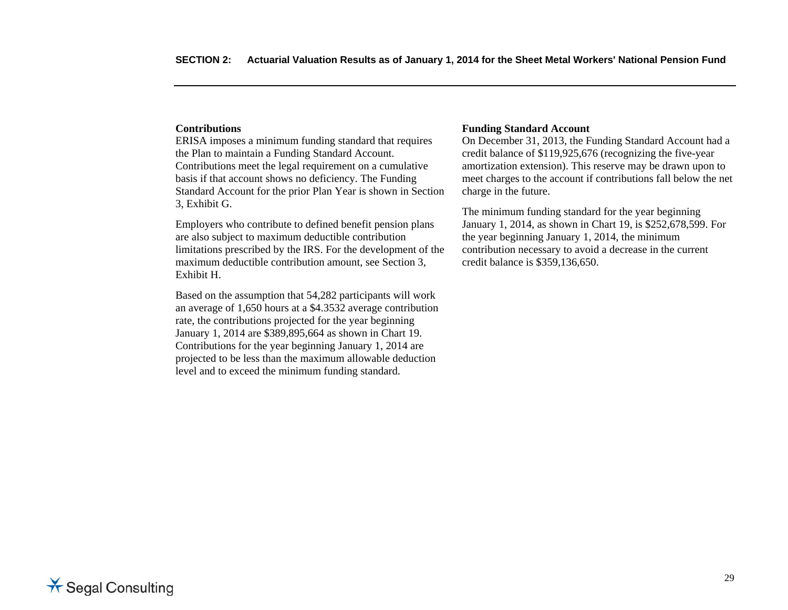#### **Contributions**

ERISA imposes a minimum funding standard that requires the Plan to maintain a Funding Standard Account. Contributions meet the legal requirement on a cumulative basis if that account shows no deficiency. The Funding Standard Account for the prior Plan Year is shown in Section 3, Exhibit G.

Employers who contribute to defined benefit pension plans are also subject to maximum deductible contribution limitations prescribed by the IRS. For the development of the maximum deductible contribution amount, see Section 3, Exhibit H.

Based on the assumption that 54,282 participants will work an average of 1,650 hours at a \$4.3532 average contribution rate, the contributions projected for the year beginning January 1, 2014 are \$389,895,664 as shown in Chart 19. Contributions for the year beginning January 1, 2014 are projected to be less than the maximum allowable deduction level and to exceed the minimum funding standard.

#### **Funding Standard Account**

On December 31, 2013, the Funding Standard Account had a credit balance of \$119,925,676 (recognizing the five-year amortization extension). This reserve may be drawn upon to meet charges to the account if contributions fall below the net charge in the future.

The minimum funding standard for the year beginning January 1, 2014, as shown in Chart 19, is \$252,678,599. For the year beginning January 1, 2014, the minimum contribution necessary to avoid a decrease in the current credit balance is \$359,136,650.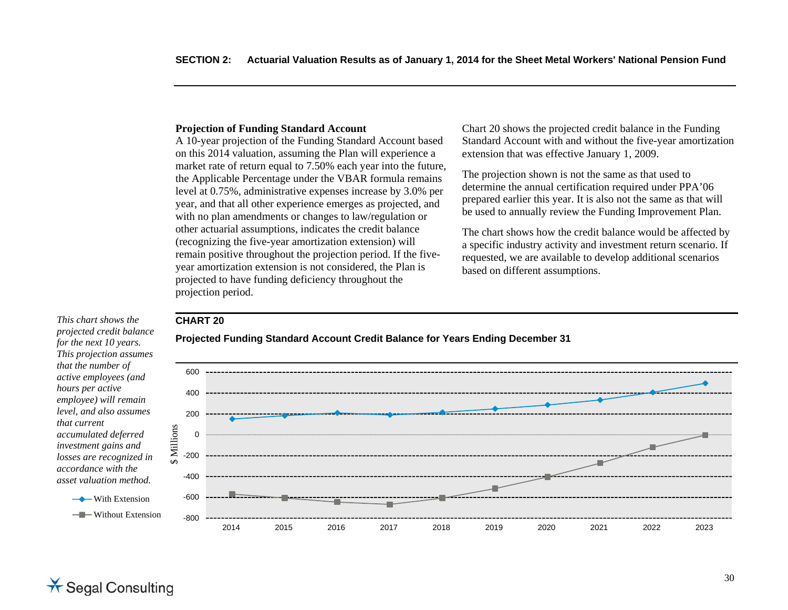#### **Projection of Funding Standard Account**

A 10-year projection of the Funding Standard Account based on this 2014 valuation, assuming the Plan will experience a market rate of return equal to 7.50% each year into the future, the Applicable Percentage under the VBAR formula remains level at 0.75%, administrative expenses increase by 3.0% per year, and that all other experience emerges as projected, and with no plan amendments or changes to law/regulation or other actuarial assumptions, indicates the credit balance (recognizing the five-year amortization extension) will remain positive throughout the projection period. If the fiveyear amortization extension is not considered, the Plan is projected to have funding deficiency throughout the projection period.

Chart 20 shows the projected credit balance in the Funding Standard Account with and without the five-year amortization extension that was effective January 1, 2009.

The projection shown is not the same as that used to determine the annual certification required under PPA'06 prepared earlier this year. It is also not the same as that will be used to annually review the Funding Improvement Plan.

The chart shows how the credit balance would be affected by a specific industry activity and investment return scenario. If requested, we are available to develop additional scenarios based on different assumptions.

#### **CHART 20**

*projected credit balance for the next 10 years. This projection assumes that the number of active employees (and hours per active employee) will remain level, and also assumes that current accumulated deferred investment gains and losses are recognized in accordance with the asset valuation method.* 

*This chart shows the* 

**→** With Extension ——Without Extension



**Projected Funding Standard Account Credit Balance for Years Ending December 31**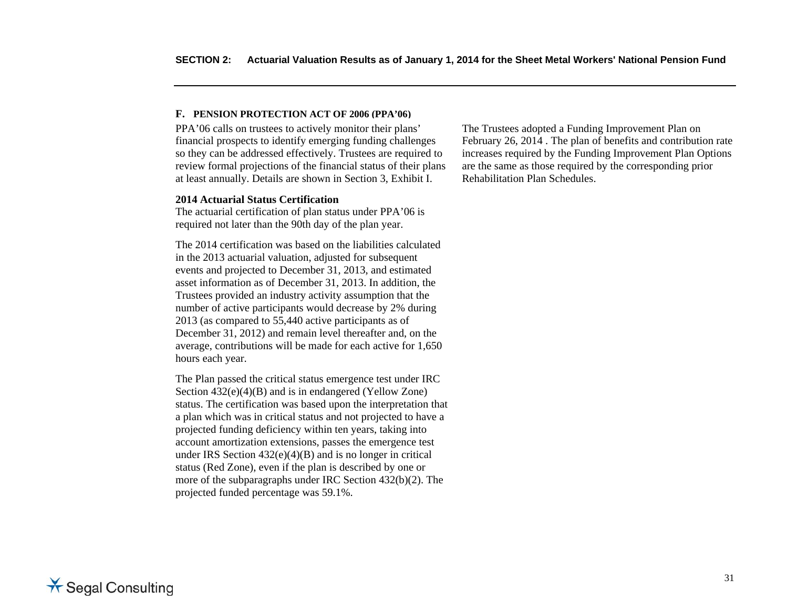#### **F. PENSION PROTECTION ACT OF 2006 (PPA'06)**

PPA'06 calls on trustees to actively monitor their plans' financial prospects to identify emerging funding challenges so they can be addressed effectively. Trustees are required to review formal projections of the financial status of their plans at least annually. Details are shown in Section 3, Exhibit I.

#### **2014 Actuarial Status Certification**

The actuarial certification of plan status under PPA'06 is required not later than the 90th day of the plan year.

The 2014 certification was based on the liabilities calculated in the 2013 actuarial valuation, adjusted for subsequent events and projected to December 31, 2013, and estimated asset information as of December 31, 2013. In addition, the Trustees provided an industry activity assumption that the number of active participants would decrease by 2% during 2013 (as compared to 55,440 active participants as of December 31, 2012) and remain level thereafter and, on the average, contributions will be made for each active for 1,650 hours each year.

The Plan passed the critical status emergence test under IRC Section 432(e)(4)(B) and is in endangered (Yellow Zone) status. The certification was based upon the interpretation that a plan which was in critical status and not projected to have a projected funding deficiency within ten years, taking into account amortization extensions, passes the emergence test under IRS Section  $432(e)(4)(B)$  and is no longer in critical status (Red Zone), even if the plan is described by one or more of the subparagraphs under IRC Section 432(b)(2). The projected funded percentage was 59.1%.

The Trustees adopted a Funding Improvement Plan on February 26, 2014 . The plan of benefits and contribution rate increases required by the Funding Improvement Plan Options are the same as those required by the corresponding prior Rehabilitation Plan Schedules.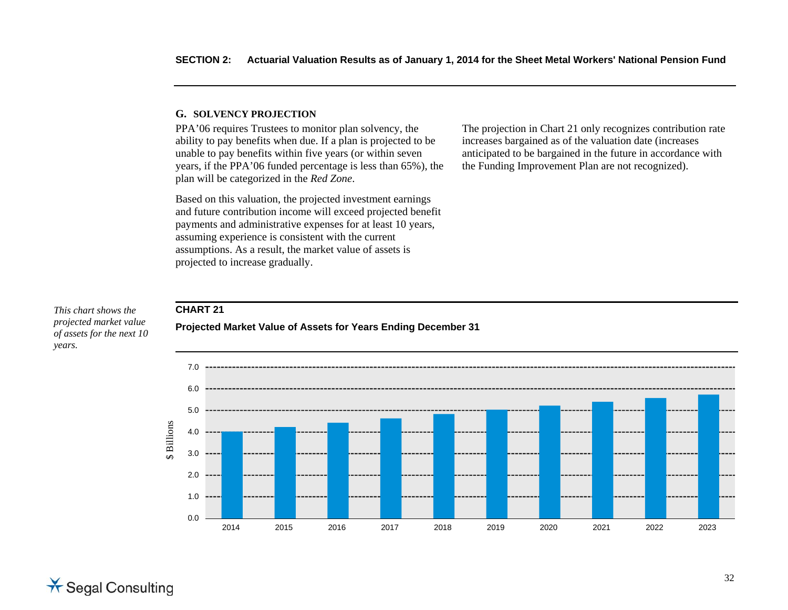#### **G. SOLVENCY PROJECTION**

**CHART 21** 

PPA'06 requires Trustees to monitor plan solvency, the ability to pay benefits when due. If a plan is projected to be unable to pay benefits within five years (or within seven years, if the PPA'06 funded percentage is less than 65%), the plan will be categorized in the *Red Zone*.

Based on this valuation, the projected investment earnings and future contribution income will exceed projected benefit payments and administrative expenses for at least 10 years, assuming experience is consistent with the current assumptions. As a result, the market value of assets is projected to increase gradually.

**Projected Market Value of Assets for Years Ending December 31** 

The projection in Chart 21 only recognizes contribution rate increases bargained as of the valuation date (increases anticipated to be bargained in the future in accordance with the Funding Improvement Plan are not recognized).

#### *This chart shows the projected market value of assets for the next 10 years.*



**X** Segal Consulting

#### 32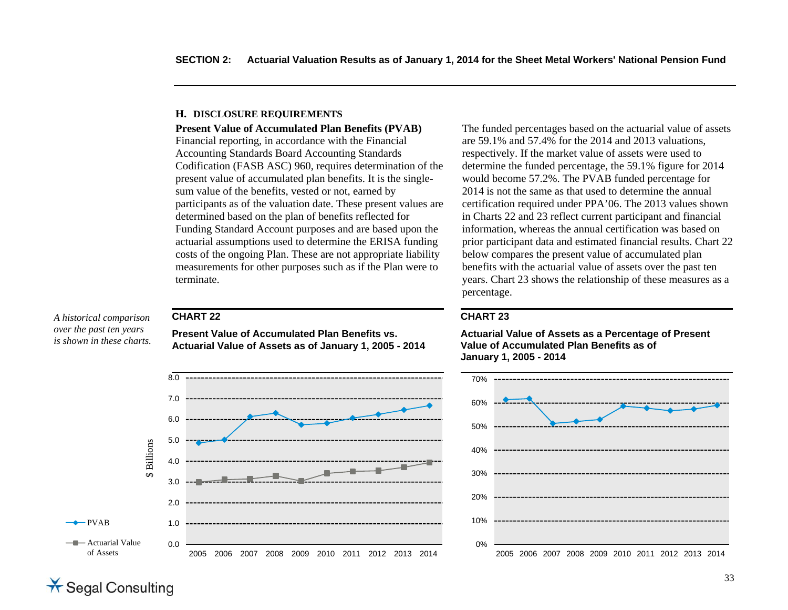#### **H. DISCLOSURE RE QUIREMENTS**

**Present Value of Accumulated Plan Benefits (PVAB)** 

Financial reporting, in accordance with the Financial Accounting Standards Board Accounting Standards Codification (FASB ASC) 960, requires determination of the present value of accumulated plan benefits. It is the singlesum value of the benefits, vested or not, earned by participants as of the valuation date. These present values are determined based on the plan of benefits reflected for Funding Standard Account purposes and are based upon the actuarial assumptions used to determine the ERISA funding costs of the ongoing Plan. These are not appropriate liability measurements for other purposes such as if the Plan were to terminate.

**CHART 22** 

*A historical comparison over the past ten years is shown in these charts.* 

**Present Value of Accumulated Plan Benefits vs. Actuarial Value of Assets as of January 1, 2005 - 2014** 



The funded percentages based on the actuarial value of assets are 59.1% and 57.4% for the 2014 and 2013 valuations, respectively. If the market value of assets were used to determine the funded percentage, the 59.1% figure for 2014 would become 57.2%. The PVAB funded percentage for 2014 is not the same as that used to determine the annual certification required under PPA'06. The 2013 values shown in Charts 22 and 23 reflect current participant and financial information, whereas the annual certification was based on prior participant data and estimated financial results. Chart 22 below compares the present value of accumulated plan benefits with the actuarial value of assets over the past ten years. Chart 23 shows the relationship of these measures as a percentage.

#### **CHART 23**

**Actuarial Value of Assets as a Percentage of Present Value of Accumulated Plan Benefits as of January 1, 2005 - 2014** 

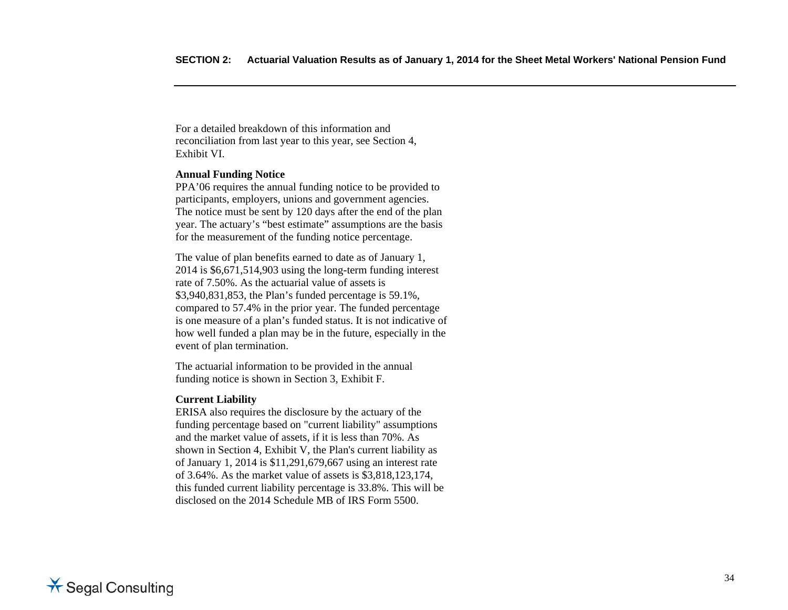For a detailed breakdown of this information and reconciliation from last year to this year, see Section 4, Exhibit VI.

#### **Annual Funding Notice**

PPA'06 requires the annual funding notice to be provided to participants, employers, unions and government agencies. The notice must be sent by 120 days after the end of the plan year. The actuary's "best estimate" assumptions are the basis for the measurement of the funding notice percentage.

The value of plan benefits earned to date as of January 1, 2014 is \$6,671,514,903 using the long-term funding interest rate of 7.50%. As the actuarial value of assets is \$3,940,831,853, the Plan's funded percentage is 59.1%, compared to 57.4% in the prior year. The funded percentage is one measure of a plan's funded status. It is not indicative of how well funded a plan may be in the future, especially in the event of plan termination.

The actuarial information to be provided in the annual funding notice is shown in Section 3, Exhibit F.

#### **Current Liability**

ERISA also requires the disclosure by the actuary of the funding percentage based on "current liability" assumptions and the market value of assets, if it is less than 70%. As shown in Section 4, Exhibit V, the Plan's current liability as of January 1, 2014 is \$11,291,679,667 using an interest rate of 3.64%. As the market value of assets is \$3,818,123,174, this funded current liability percentage is 33.8%. This will be disclosed on the 2014 Schedule MB of IRS Form 5500.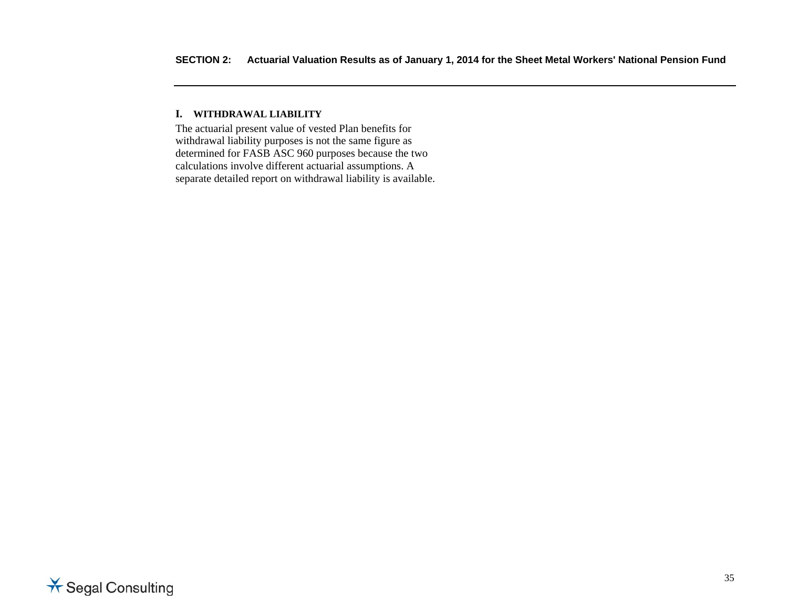#### **I. WITHDRAWAL LIABILITY**

The actuarial present value of vested Plan benefits for withdrawal liability purposes is not the same figure as determined for FASB ASC 960 purposes because the two calculations involve different actuarial assumptions. A separate detailed report on withdrawal liability is available.

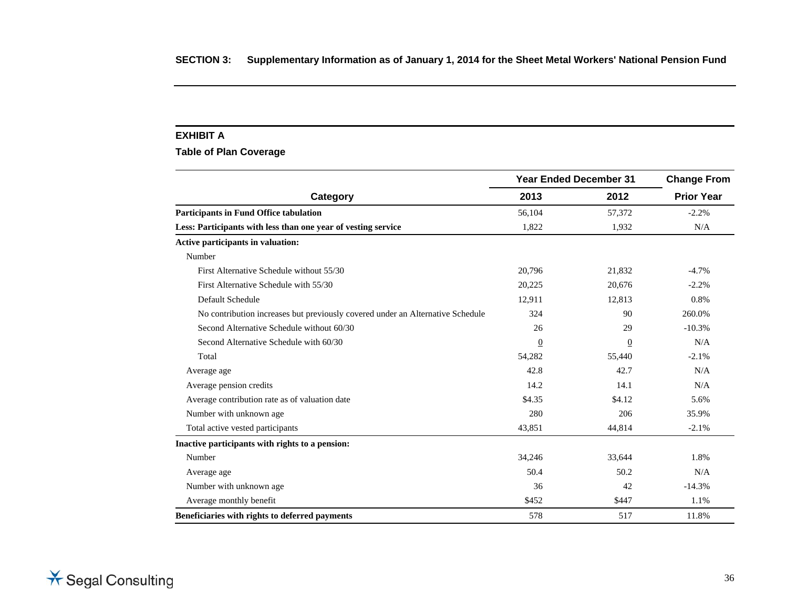#### **EXHIBIT A**

**Table of Plan Coverage** 

|                                                                                | <b>Year Ended December 31</b> | <b>Change From</b> |                   |
|--------------------------------------------------------------------------------|-------------------------------|--------------------|-------------------|
| Category                                                                       | 2013                          | 2012               | <b>Prior Year</b> |
| <b>Participants in Fund Office tabulation</b>                                  | 56,104                        | 57,372             | $-2.2%$           |
| Less: Participants with less than one year of vesting service                  | 1,822                         | 1,932              | N/A               |
| Active participants in valuation:                                              |                               |                    |                   |
| Number                                                                         |                               |                    |                   |
| First Alternative Schedule without 55/30                                       | 20,796                        | 21,832             | $-4.7%$           |
| First Alternative Schedule with 55/30                                          | 20,225                        | 20.676             | $-2.2%$           |
| Default Schedule                                                               | 12,911                        | 12,813             | 0.8%              |
| No contribution increases but previously covered under an Alternative Schedule | 324                           | 90                 | 260.0%            |
| Second Alternative Schedule without 60/30                                      | 26                            | 29                 | $-10.3%$          |
| Second Alternative Schedule with 60/30                                         | $\overline{0}$                | $\overline{0}$     | N/A               |
| Total                                                                          | 54,282                        | 55,440             | $-2.1%$           |
| Average age                                                                    | 42.8                          | 42.7               | N/A               |
| Average pension credits                                                        | 14.2                          | 14.1               | N/A               |
| Average contribution rate as of valuation date                                 | \$4.35                        | \$4.12             | 5.6%              |
| Number with unknown age                                                        | 280                           | 206                | 35.9%             |
| Total active vested participants                                               | 43,851                        | 44,814             | $-2.1%$           |
| Inactive participants with rights to a pension:                                |                               |                    |                   |
| Number                                                                         | 34,246                        | 33,644             | 1.8%              |
| Average age                                                                    | 50.4                          | 50.2               | N/A               |
| Number with unknown age.                                                       | 36                            | 42                 | $-14.3%$          |
| Average monthly benefit                                                        | \$452                         | \$447              | 1.1%              |
| Beneficiaries with rights to deferred payments                                 | 578                           | 517                | 11.8%             |

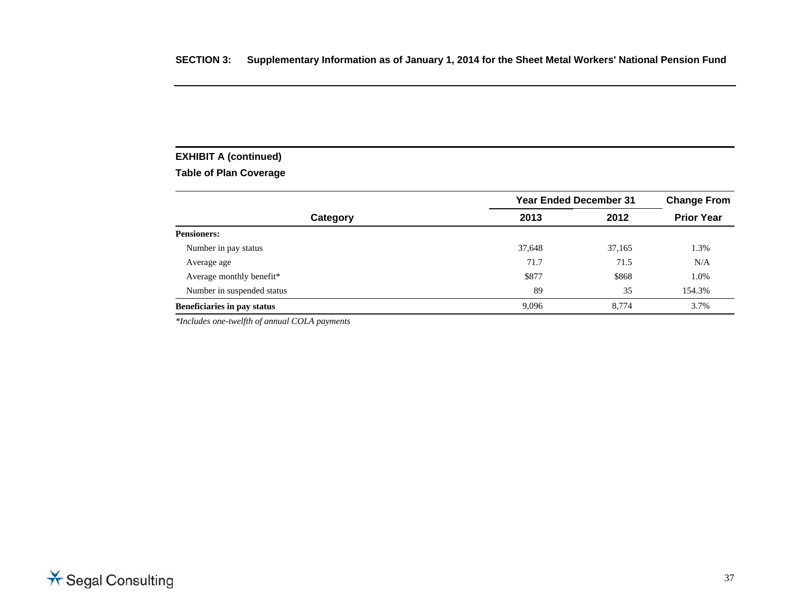# **EXHIBIT A (continued)**

# **Table of Plan Coverage**

|                             | <b>Year Ended December 31</b> | <b>Change From</b> |                   |
|-----------------------------|-------------------------------|--------------------|-------------------|
| Category                    | 2013                          | 2012               | <b>Prior Year</b> |
| <b>Pensioners:</b>          |                               |                    |                   |
| Number in pay status        | 37,648                        | 37,165             | 1.3%              |
| Average age                 | 71.7                          | 71.5               | N/A               |
| Average monthly benefit*    | \$877                         | \$868              | 1.0%              |
| Number in suspended status  | 89                            | 35                 | 154.3%            |
| Beneficiaries in pay status | 9,096                         | 8.774              | 3.7%              |

*\*Includes one-twelfth of annual COLA payments* 

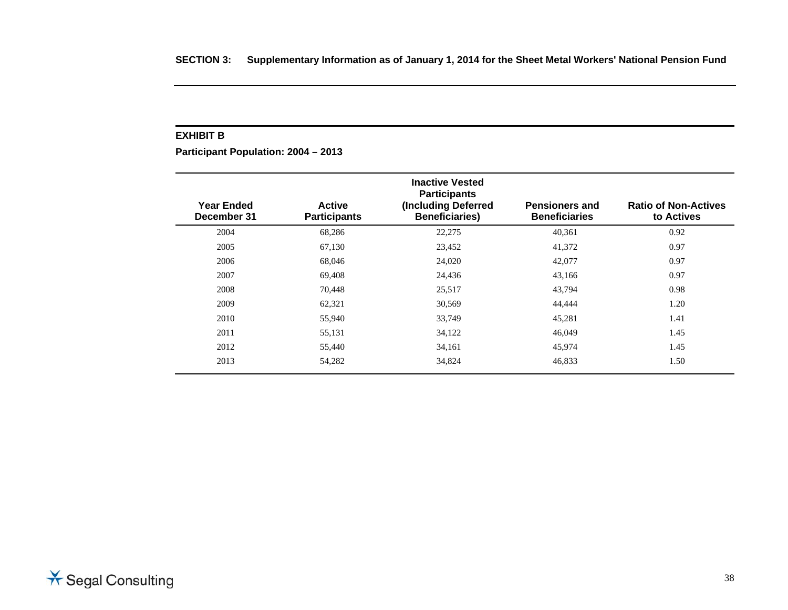#### **EXHIBIT B**

**Participant Population: 2004 – 2013** 

| <b>Year Ended</b><br>December 31 | <b>Active</b><br><b>Participants</b> | <b>Inactive Vested</b><br><b>Participants</b><br>(Including Deferred<br><b>Beneficiaries)</b> | <b>Pensioners and</b><br><b>Beneficiaries</b> | <b>Ratio of Non-Actives</b><br>to Actives |
|----------------------------------|--------------------------------------|-----------------------------------------------------------------------------------------------|-----------------------------------------------|-------------------------------------------|
| 2004                             | 68,286                               | 22,275                                                                                        | 40,361                                        | 0.92                                      |
| 2005                             | 67,130                               | 23,452                                                                                        | 41,372                                        | 0.97                                      |
| 2006                             | 68,046                               | 24,020                                                                                        | 42,077                                        | 0.97                                      |
| 2007                             | 69,408                               | 24,436                                                                                        | 43,166                                        | 0.97                                      |
| 2008                             | 70,448                               | 25,517                                                                                        | 43,794                                        | 0.98                                      |
| 2009                             | 62,321                               | 30,569                                                                                        | 44,444                                        | 1.20                                      |
| 2010                             | 55,940                               | 33,749                                                                                        | 45,281                                        | 1.41                                      |
| 2011                             | 55,131                               | 34,122                                                                                        | 46,049                                        | 1.45                                      |
| 2012                             | 55,440                               | 34,161                                                                                        | 45,974                                        | 1.45                                      |
| 2013                             | 54,282                               | 34,824                                                                                        | 46,833                                        | 1.50                                      |

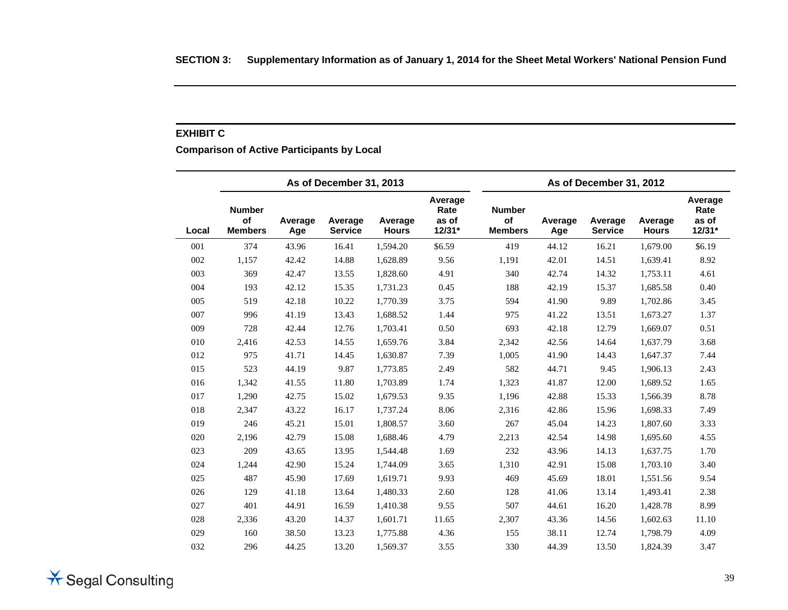#### **EXHIBIT C**

# **Comparison of Active Participants by Local**

|       |                                       |                | As of December 31, 2013   |                         |                                    | As of December 31, 2012               |                |                           |                         |                                    |  |
|-------|---------------------------------------|----------------|---------------------------|-------------------------|------------------------------------|---------------------------------------|----------------|---------------------------|-------------------------|------------------------------------|--|
| Local | <b>Number</b><br>of<br><b>Members</b> | Average<br>Age | Average<br><b>Service</b> | Average<br><b>Hours</b> | Average<br>Rate<br>as of<br>12/31* | <b>Number</b><br>of<br><b>Members</b> | Average<br>Age | Average<br><b>Service</b> | Average<br><b>Hours</b> | Average<br>Rate<br>as of<br>12/31* |  |
| 001   | 374                                   | 43.96          | 16.41                     | 1,594.20                | \$6.59                             | 419                                   | 44.12          | 16.21                     | 1,679.00                | \$6.19                             |  |
| 002   | 1,157                                 | 42.42          | 14.88                     | 1,628.89                | 9.56                               | 1,191                                 | 42.01          | 14.51                     | 1,639.41                | 8.92                               |  |
| 003   | 369                                   | 42.47          | 13.55                     | 1,828.60                | 4.91                               | 340                                   | 42.74          | 14.32                     | 1,753.11                | 4.61                               |  |
| 004   | 193                                   | 42.12          | 15.35                     | 1,731.23                | 0.45                               | 188                                   | 42.19          | 15.37                     | 1,685.58                | 0.40                               |  |
| 005   | 519                                   | 42.18          | 10.22                     | 1,770.39                | 3.75                               | 594                                   | 41.90          | 9.89                      | 1,702.86                | 3.45                               |  |
| 007   | 996                                   | 41.19          | 13.43                     | 1,688.52                | 1.44                               | 975                                   | 41.22          | 13.51                     | 1,673.27                | 1.37                               |  |
| 009   | 728                                   | 42.44          | 12.76                     | 1,703.41                | 0.50                               | 693                                   | 42.18          | 12.79                     | 1,669.07                | 0.51                               |  |
| 010   | 2,416                                 | 42.53          | 14.55                     | 1,659.76                | 3.84                               | 2,342                                 | 42.56          | 14.64                     | 1,637.79                | 3.68                               |  |
| 012   | 975                                   | 41.71          | 14.45                     | 1,630.87                | 7.39                               | 1,005                                 | 41.90          | 14.43                     | 1,647.37                | 7.44                               |  |
| 015   | 523                                   | 44.19          | 9.87                      | 1,773.85                | 2.49                               | 582                                   | 44.71          | 9.45                      | 1,906.13                | 2.43                               |  |
| 016   | 1,342                                 | 41.55          | 11.80                     | 1,703.89                | 1.74                               | 1,323                                 | 41.87          | 12.00                     | 1,689.52                | 1.65                               |  |
| 017   | 1,290                                 | 42.75          | 15.02                     | 1,679.53                | 9.35                               | 1,196                                 | 42.88          | 15.33                     | 1,566.39                | 8.78                               |  |
| 018   | 2,347                                 | 43.22          | 16.17                     | 1,737.24                | 8.06                               | 2,316                                 | 42.86          | 15.96                     | 1,698.33                | 7.49                               |  |
| 019   | 246                                   | 45.21          | 15.01                     | 1,808.57                | 3.60                               | 267                                   | 45.04          | 14.23                     | 1,807.60                | 3.33                               |  |
| 020   | 2,196                                 | 42.79          | 15.08                     | 1,688.46                | 4.79                               | 2,213                                 | 42.54          | 14.98                     | 1,695.60                | 4.55                               |  |
| 023   | 209                                   | 43.65          | 13.95                     | 1,544.48                | 1.69                               | 232                                   | 43.96          | 14.13                     | 1,637.75                | 1.70                               |  |
| 024   | 1,244                                 | 42.90          | 15.24                     | 1,744.09                | 3.65                               | 1,310                                 | 42.91          | 15.08                     | 1,703.10                | 3.40                               |  |
| 025   | 487                                   | 45.90          | 17.69                     | 1,619.71                | 9.93                               | 469                                   | 45.69          | 18.01                     | 1,551.56                | 9.54                               |  |
| 026   | 129                                   | 41.18          | 13.64                     | 1,480.33                | 2.60                               | 128                                   | 41.06          | 13.14                     | 1,493.41                | 2.38                               |  |
| 027   | 401                                   | 44.91          | 16.59                     | 1,410.38                | 9.55                               | 507                                   | 44.61          | 16.20                     | 1,428.78                | 8.99                               |  |
| 028   | 2,336                                 | 43.20          | 14.37                     | 1,601.71                | 11.65                              | 2,307                                 | 43.36          | 14.56                     | 1,602.63                | 11.10                              |  |
| 029   | 160                                   | 38.50          | 13.23                     | 1,775.88                | 4.36                               | 155                                   | 38.11          | 12.74                     | 1,798.79                | 4.09                               |  |
| 032   | 296                                   | 44.25          | 13.20                     | 1,569.37                | 3.55                               | 330                                   | 44.39          | 13.50                     | 1,824.39                | 3.47                               |  |

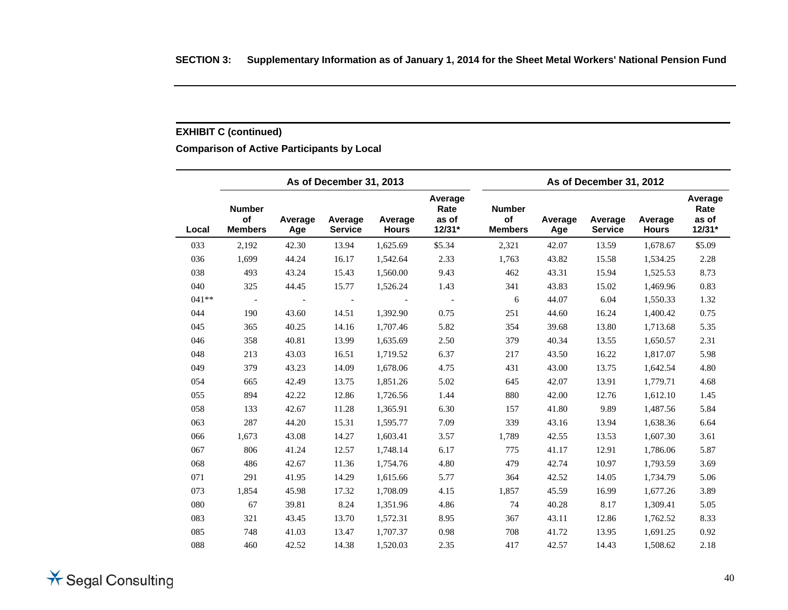# **EXHIBIT C (continued)**

# **Comparison of Active Participants by Local**

|         |                                       |                | As of December 31, 2013   |                         |                                      | As of December 31, 2012               |                |                           |                         |                                    |
|---------|---------------------------------------|----------------|---------------------------|-------------------------|--------------------------------------|---------------------------------------|----------------|---------------------------|-------------------------|------------------------------------|
| Local   | <b>Number</b><br>of<br><b>Members</b> | Average<br>Age | Average<br><b>Service</b> | Average<br><b>Hours</b> | Average<br>Rate<br>as of<br>$12/31*$ | <b>Number</b><br>of<br><b>Members</b> | Average<br>Age | Average<br><b>Service</b> | Average<br><b>Hours</b> | Average<br>Rate<br>as of<br>12/31* |
| 033     | 2,192                                 | 42.30          | 13.94                     | 1,625.69                | \$5.34                               | 2,321                                 | 42.07          | 13.59                     | 1,678.67                | \$5.09                             |
| 036     | 1,699                                 | 44.24          | 16.17                     | 1,542.64                | 2.33                                 | 1,763                                 | 43.82          | 15.58                     | 1,534.25                | 2.28                               |
| 038     | 493                                   | 43.24          | 15.43                     | 1,560.00                | 9.43                                 | 462                                   | 43.31          | 15.94                     | 1,525.53                | 8.73                               |
| 040     | 325                                   | 44.45          | 15.77                     | 1,526.24                | 1.43                                 | 341                                   | 43.83          | 15.02                     | 1,469.96                | 0.83                               |
| $041**$ |                                       |                |                           |                         |                                      | 6                                     | 44.07          | 6.04                      | 1,550.33                | 1.32                               |
| 044     | 190                                   | 43.60          | 14.51                     | 1,392.90                | 0.75                                 | 251                                   | 44.60          | 16.24                     | 1,400.42                | 0.75                               |
| 045     | 365                                   | 40.25          | 14.16                     | 1,707.46                | 5.82                                 | 354                                   | 39.68          | 13.80                     | 1,713.68                | 5.35                               |
| 046     | 358                                   | 40.81          | 13.99                     | 1,635.69                | 2.50                                 | 379                                   | 40.34          | 13.55                     | 1,650.57                | 2.31                               |
| 048     | 213                                   | 43.03          | 16.51                     | 1,719.52                | 6.37                                 | 217                                   | 43.50          | 16.22                     | 1,817.07                | 5.98                               |
| 049     | 379                                   | 43.23          | 14.09                     | 1,678.06                | 4.75                                 | 431                                   | 43.00          | 13.75                     | 1,642.54                | 4.80                               |
| 054     | 665                                   | 42.49          | 13.75                     | 1,851.26                | 5.02                                 | 645                                   | 42.07          | 13.91                     | 1,779.71                | 4.68                               |
| 055     | 894                                   | 42.22          | 12.86                     | 1,726.56                | 1.44                                 | 880                                   | 42.00          | 12.76                     | 1,612.10                | 1.45                               |
| 058     | 133                                   | 42.67          | 11.28                     | 1,365.91                | 6.30                                 | 157                                   | 41.80          | 9.89                      | 1,487.56                | 5.84                               |
| 063     | 287                                   | 44.20          | 15.31                     | 1,595.77                | 7.09                                 | 339                                   | 43.16          | 13.94                     | 1,638.36                | 6.64                               |
| 066     | 1,673                                 | 43.08          | 14.27                     | 1,603.41                | 3.57                                 | 1,789                                 | 42.55          | 13.53                     | 1,607.30                | 3.61                               |
| 067     | 806                                   | 41.24          | 12.57                     | 1,748.14                | 6.17                                 | 775                                   | 41.17          | 12.91                     | 1,786.06                | 5.87                               |
| 068     | 486                                   | 42.67          | 11.36                     | 1,754.76                | 4.80                                 | 479                                   | 42.74          | 10.97                     | 1,793.59                | 3.69                               |
| 071     | 291                                   | 41.95          | 14.29                     | 1,615.66                | 5.77                                 | 364                                   | 42.52          | 14.05                     | 1,734.79                | 5.06                               |
| 073     | 1,854                                 | 45.98          | 17.32                     | 1,708.09                | 4.15                                 | 1,857                                 | 45.59          | 16.99                     | 1,677.26                | 3.89                               |
| 080     | 67                                    | 39.81          | 8.24                      | 1,351.96                | 4.86                                 | 74                                    | 40.28          | 8.17                      | 1,309.41                | 5.05                               |
| 083     | 321                                   | 43.45          | 13.70                     | 1,572.31                | 8.95                                 | 367                                   | 43.11          | 12.86                     | 1,762.52                | 8.33                               |
| 085     | 748                                   | 41.03          | 13.47                     | 1,707.37                | 0.98                                 | 708                                   | 41.72          | 13.95                     | 1,691.25                | 0.92                               |
| 088     | 460                                   | 42.52          | 14.38                     | 1,520.03                | 2.35                                 | 417                                   | 42.57          | 14.43                     | 1,508.62                | 2.18                               |

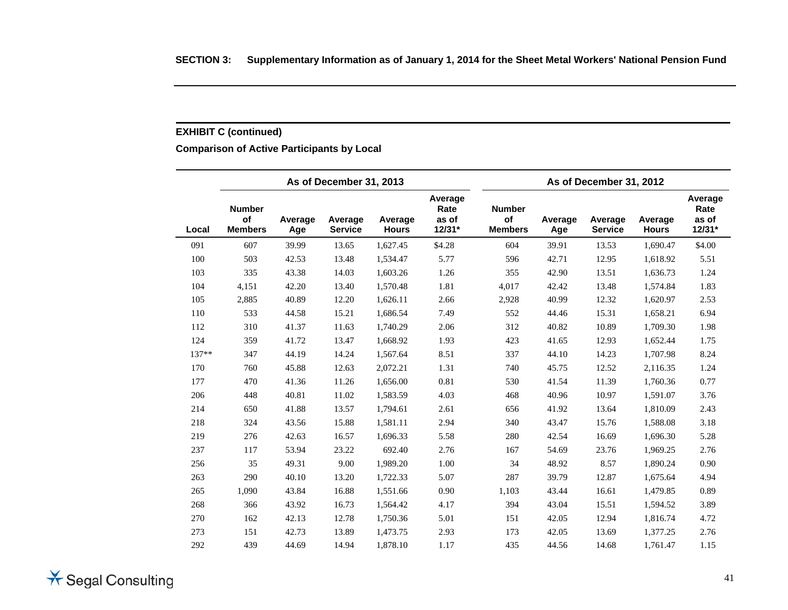# **EXHIBIT C (continued)**

# **Comparison of Active Participants by Local**

|         |                                       |                | As of December 31, 2013   |                         |                                      | As of December 31, 2012               |                |                           |                         |                                    |
|---------|---------------------------------------|----------------|---------------------------|-------------------------|--------------------------------------|---------------------------------------|----------------|---------------------------|-------------------------|------------------------------------|
| Local   | <b>Number</b><br>of<br><b>Members</b> | Average<br>Age | Average<br><b>Service</b> | Average<br><b>Hours</b> | Average<br>Rate<br>as of<br>$12/31*$ | <b>Number</b><br>of<br><b>Members</b> | Average<br>Age | Average<br><b>Service</b> | Average<br><b>Hours</b> | Average<br>Rate<br>as of<br>12/31* |
| 091     | 607                                   | 39.99          | 13.65                     | 1,627.45                | \$4.28                               | 604                                   | 39.91          | 13.53                     | 1,690.47                | \$4.00                             |
| 100     | 503                                   | 42.53          | 13.48                     | 1,534.47                | 5.77                                 | 596                                   | 42.71          | 12.95                     | 1,618.92                | 5.51                               |
| 103     | 335                                   | 43.38          | 14.03                     | 1,603.26                | 1.26                                 | 355                                   | 42.90          | 13.51                     | 1,636.73                | 1.24                               |
| 104     | 4,151                                 | 42.20          | 13.40                     | 1,570.48                | 1.81                                 | 4,017                                 | 42.42          | 13.48                     | 1,574.84                | 1.83                               |
| 105     | 2,885                                 | 40.89          | 12.20                     | 1,626.11                | 2.66                                 | 2,928                                 | 40.99          | 12.32                     | 1,620.97                | 2.53                               |
| 110     | 533                                   | 44.58          | 15.21                     | 1,686.54                | 7.49                                 | 552                                   | 44.46          | 15.31                     | 1,658.21                | 6.94                               |
| 112     | 310                                   | 41.37          | 11.63                     | 1,740.29                | 2.06                                 | 312                                   | 40.82          | 10.89                     | 1,709.30                | 1.98                               |
| 124     | 359                                   | 41.72          | 13.47                     | 1,668.92                | 1.93                                 | 423                                   | 41.65          | 12.93                     | 1,652.44                | 1.75                               |
| $137**$ | 347                                   | 44.19          | 14.24                     | 1,567.64                | 8.51                                 | 337                                   | 44.10          | 14.23                     | 1,707.98                | 8.24                               |
| 170     | 760                                   | 45.88          | 12.63                     | 2,072.21                | 1.31                                 | 740                                   | 45.75          | 12.52                     | 2,116.35                | 1.24                               |
| 177     | 470                                   | 41.36          | 11.26                     | 1,656.00                | 0.81                                 | 530                                   | 41.54          | 11.39                     | 1,760.36                | 0.77                               |
| 206     | 448                                   | 40.81          | 11.02                     | 1,583.59                | 4.03                                 | 468                                   | 40.96          | 10.97                     | 1,591.07                | 3.76                               |
| 214     | 650                                   | 41.88          | 13.57                     | 1,794.61                | 2.61                                 | 656                                   | 41.92          | 13.64                     | 1,810.09                | 2.43                               |
| 218     | 324                                   | 43.56          | 15.88                     | 1,581.11                | 2.94                                 | 340                                   | 43.47          | 15.76                     | 1,588.08                | 3.18                               |
| 219     | 276                                   | 42.63          | 16.57                     | 1,696.33                | 5.58                                 | 280                                   | 42.54          | 16.69                     | 1,696.30                | 5.28                               |
| 237     | 117                                   | 53.94          | 23.22                     | 692.40                  | 2.76                                 | 167                                   | 54.69          | 23.76                     | 1,969.25                | 2.76                               |
| 256     | 35                                    | 49.31          | 9.00                      | 1,989.20                | 1.00                                 | 34                                    | 48.92          | 8.57                      | 1,890.24                | 0.90                               |
| 263     | 290                                   | 40.10          | 13.20                     | 1,722.33                | 5.07                                 | 287                                   | 39.79          | 12.87                     | 1,675.64                | 4.94                               |
| 265     | 1,090                                 | 43.84          | 16.88                     | 1,551.66                | 0.90                                 | 1,103                                 | 43.44          | 16.61                     | 1,479.85                | 0.89                               |
| 268     | 366                                   | 43.92          | 16.73                     | 1,564.42                | 4.17                                 | 394                                   | 43.04          | 15.51                     | 1,594.52                | 3.89                               |
| 270     | 162                                   | 42.13          | 12.78                     | 1,750.36                | 5.01                                 | 151                                   | 42.05          | 12.94                     | 1,816.74                | 4.72                               |
| 273     | 151                                   | 42.73          | 13.89                     | 1,473.75                | 2.93                                 | 173                                   | 42.05          | 13.69                     | 1,377.25                | 2.76                               |
| 292     | 439                                   | 44.69          | 14.94                     | 1,878.10                | 1.17                                 | 435                                   | 44.56          | 14.68                     | 1,761.47                | 1.15                               |

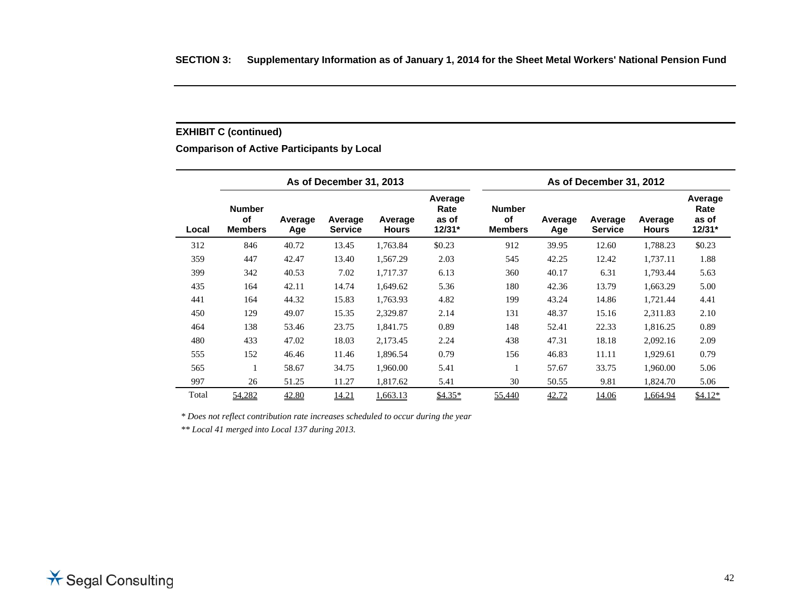# **EXHIBIT C (continued)**

# **Comparison of Active Participants by Local**

|       | As of December 31, 2013                      |                |                           |                         |                                      |                                       | As of December 31, 2012 |                           |                         |                                    |  |
|-------|----------------------------------------------|----------------|---------------------------|-------------------------|--------------------------------------|---------------------------------------|-------------------------|---------------------------|-------------------------|------------------------------------|--|
| Local | <b>Number</b><br><b>of</b><br><b>Members</b> | Average<br>Age | Average<br><b>Service</b> | Average<br><b>Hours</b> | Average<br>Rate<br>as of<br>$12/31*$ | <b>Number</b><br>of<br><b>Members</b> | Average<br>Age          | Average<br><b>Service</b> | Average<br><b>Hours</b> | Average<br>Rate<br>as of<br>12/31* |  |
| 312   | 846                                          | 40.72          | 13.45                     | 1,763.84                | \$0.23                               | 912                                   | 39.95                   | 12.60                     | 1,788.23                | \$0.23                             |  |
| 359   | 447                                          | 42.47          | 13.40                     | 1,567.29                | 2.03                                 | 545                                   | 42.25                   | 12.42                     | 1,737.11                | 1.88                               |  |
| 399   | 342                                          | 40.53          | 7.02                      | 1.717.37                | 6.13                                 | 360                                   | 40.17                   | 6.31                      | 1,793.44                | 5.63                               |  |
| 435   | 164                                          | 42.11          | 14.74                     | 1,649.62                | 5.36                                 | 180                                   | 42.36                   | 13.79                     | 1,663.29                | 5.00                               |  |
| 441   | 164                                          | 44.32          | 15.83                     | 1,763.93                | 4.82                                 | 199                                   | 43.24                   | 14.86                     | 1,721.44                | 4.41                               |  |
| 450   | 129                                          | 49.07          | 15.35                     | 2,329.87                | 2.14                                 | 131                                   | 48.37                   | 15.16                     | 2,311.83                | 2.10                               |  |
| 464   | 138                                          | 53.46          | 23.75                     | 1,841.75                | 0.89                                 | 148                                   | 52.41                   | 22.33                     | 1,816.25                | 0.89                               |  |
| 480   | 433                                          | 47.02          | 18.03                     | 2,173.45                | 2.24                                 | 438                                   | 47.31                   | 18.18                     | 2,092.16                | 2.09                               |  |
| 555   | 152                                          | 46.46          | 11.46                     | 1,896.54                | 0.79                                 | 156                                   | 46.83                   | 11.11                     | 1,929.61                | 0.79                               |  |
| 565   |                                              | 58.67          | 34.75                     | 1,960.00                | 5.41                                 | 1                                     | 57.67                   | 33.75                     | 1,960.00                | 5.06                               |  |
| 997   | 26                                           | 51.25          | 11.27                     | 1,817.62                | 5.41                                 | 30                                    | 50.55                   | 9.81                      | 1,824.70                | 5.06                               |  |
| Total | 54,282                                       | 42.80          | 14.21                     | 1,663.13                | $$4.35*$                             | 55,440                                | 42.72                   | 14.06                     | 1,664.94                | $$4.12*$                           |  |

*\* Does not reflect contribution rate increases scheduled to occur during the year* 

*\*\* Local 41 merged into Local 137 during 2013.*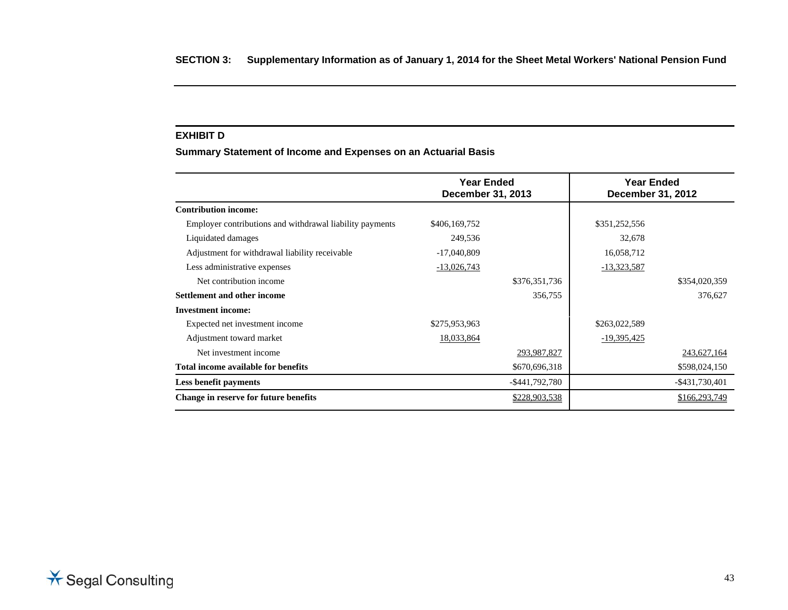#### **EXHIBIT D**

**Summary Statement of Income and Expenses on an Actuarial Basis** 

|                                                          | Year Ended<br><b>December 31, 2013</b> |                | <b>Year Ended</b><br>December 31, 2012 |                   |
|----------------------------------------------------------|----------------------------------------|----------------|----------------------------------------|-------------------|
| <b>Contribution income:</b>                              |                                        |                |                                        |                   |
| Employer contributions and withdrawal liability payments | \$406,169,752                          |                | \$351,252,556                          |                   |
| Liquidated damages                                       | 249,536                                |                | 32,678                                 |                   |
| Adjustment for withdrawal liability receivable           | $-17,040,809$                          |                | 16,058,712                             |                   |
| Less administrative expenses                             | $-13,026,743$                          |                | $-13,323,587$                          |                   |
| Net contribution income                                  |                                        | \$376,351,736  |                                        | \$354,020,359     |
| <b>Settlement and other income</b>                       |                                        | 356,755        |                                        | 376,627           |
| <b>Investment income:</b>                                |                                        |                |                                        |                   |
| Expected net investment income                           | \$275,953,963                          |                | \$263,022,589                          |                   |
| Adjustment toward market                                 | 18,033,864                             |                | $-19,395,425$                          |                   |
| Net investment income                                    |                                        | 293,987,827    |                                        | 243,627,164       |
| Total income available for benefits                      |                                        | \$670,696,318  |                                        | \$598,024,150     |
| Less benefit payments                                    |                                        | -\$441,792,780 |                                        | $-$ \$431,730,401 |
| Change in reserve for future benefits                    |                                        | \$228,903,538  |                                        | \$166,293,749     |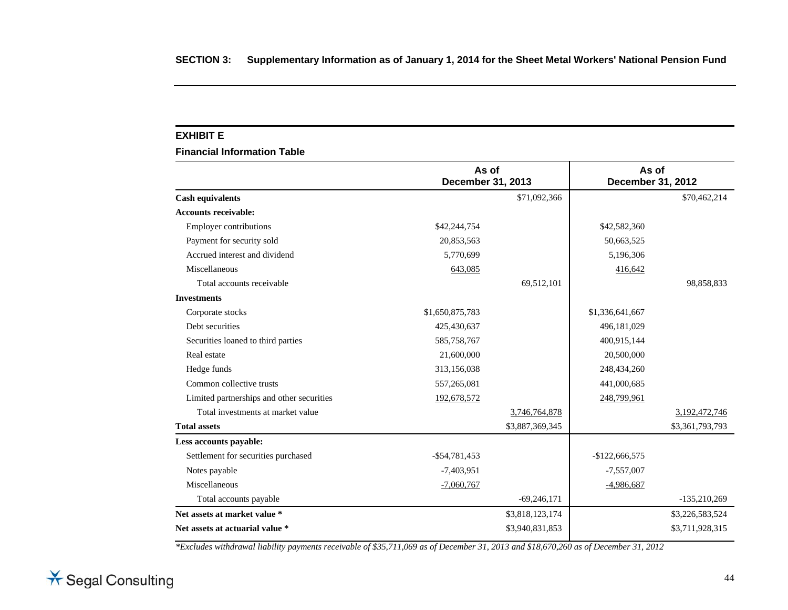#### **EXHIBIT E**

**Financial Information Table** 

|                                           | As of<br>December 31, 2013 |                 | As of<br><b>December 31, 2012</b> |                 |
|-------------------------------------------|----------------------------|-----------------|-----------------------------------|-----------------|
| <b>Cash equivalents</b>                   |                            | \$71,092,366    |                                   | \$70,462,214    |
| <b>Accounts receivable:</b>               |                            |                 |                                   |                 |
| <b>Employer contributions</b>             | \$42,244,754               |                 | \$42,582,360                      |                 |
| Payment for security sold                 | 20,853,563                 |                 | 50,663,525                        |                 |
| Accrued interest and dividend             | 5,770,699                  |                 | 5,196,306                         |                 |
| Miscellaneous                             | 643,085                    |                 | 416,642                           |                 |
| Total accounts receivable                 |                            | 69,512,101      |                                   | 98,858,833      |
| <b>Investments</b>                        |                            |                 |                                   |                 |
| Corporate stocks                          | \$1,650,875,783            |                 | \$1,336,641,667                   |                 |
| Debt securities                           | 425,430,637                |                 | 496,181,029                       |                 |
| Securities loaned to third parties        | 585,758,767                |                 | 400,915,144                       |                 |
| Real estate                               | 21,600,000                 |                 | 20,500,000                        |                 |
| Hedge funds                               | 313,156,038                |                 | 248,434,260                       |                 |
| Common collective trusts                  | 557,265,081                |                 | 441,000,685                       |                 |
| Limited partnerships and other securities | 192,678,572                |                 | 248,799,961                       |                 |
| Total investments at market value         |                            | 3,746,764,878   |                                   | 3,192,472,746   |
| <b>Total assets</b>                       |                            | \$3,887,369,345 |                                   | \$3,361,793,793 |
| Less accounts payable:                    |                            |                 |                                   |                 |
| Settlement for securities purchased       | $-$ \$54,781,453           |                 | $-$122,666,575$                   |                 |
| Notes payable                             | $-7,403,951$               |                 | $-7,557,007$                      |                 |
| Miscellaneous                             | $-7,060,767$               |                 | $-4,986,687$                      |                 |
| Total accounts payable                    |                            | $-69,246,171$   |                                   | $-135,210,269$  |
| Net assets at market value *              |                            | \$3,818,123,174 |                                   | \$3,226,583,524 |
| Net assets at actuarial value *           |                            | \$3,940,831,853 |                                   | \$3,711,928,315 |

*\*Excludes withdrawal liability payments receivable of \$35,711,069 as of December 31, 2013 and \$18,670,260 as of December 31, 2012* 

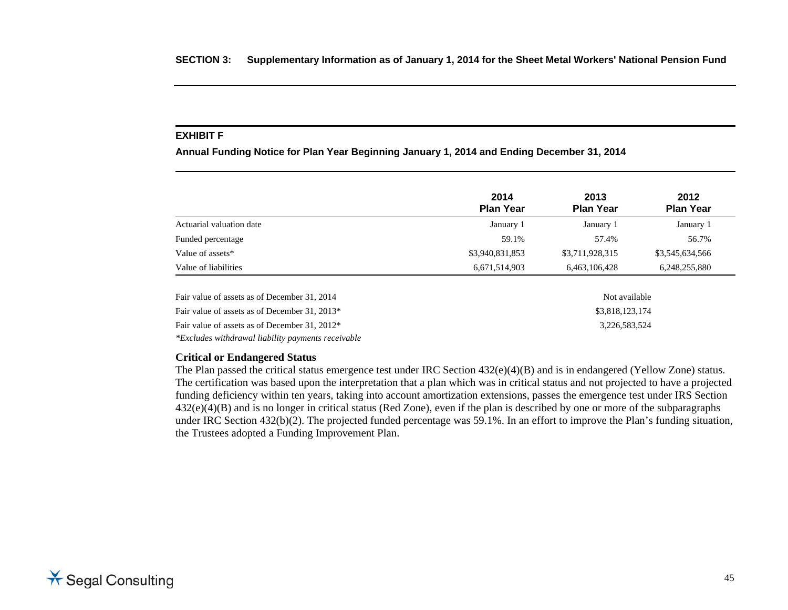#### **EXHIBIT F**

**Annual Funding Notice for Plan Year Beginning January 1, 2014 and Ending December 31, 2014** 

|                          | 2014<br><b>Plan Year</b> | 2013<br><b>Plan Year</b> | 2012<br><b>Plan Year</b> |
|--------------------------|--------------------------|--------------------------|--------------------------|
| Actuarial valuation date | January 1                | January 1                | January 1                |
| Funded percentage        | 59.1%                    | 57.4%                    | 56.7%                    |
| Value of assets*         | \$3,940,831,853          | \$3,711,928,315          | \$3,545,634,566          |
| Value of liabilities     | 6,671,514,903            | 6,463,106,428            | 6,248,255,880            |

| Fair value of assets as of December 31, 2014       | Not available   |
|----------------------------------------------------|-----------------|
| Fair value of assets as of December 31, 2013*      | \$3,818,123,174 |
| Fair value of assets as of December 31, 2012*      | 3.226.583.524   |
| *Excludes withdrawal liability payments receivable |                 |

#### **Critical or Endangered Status**

The Plan passed the critical status emergence test under IRC Section 432(e)(4)(B) and is in endangered (Yellow Zone) status. The certification was based upon the interpretation that a plan which was in critical status and not projected to have a projected funding deficiency within ten years, taking into account amortization extensions, passes the emergence test under IRS Section 432(e)(4)(B) and is no longer in critical status (Red Zone), even if the plan is described by one or more of the subparagraphs under IRC Section 432(b)(2). The projected funded percentage was 59.1%. In an effort to improve the Plan's funding situation, the Trustees adopted a Funding Improvement Plan.

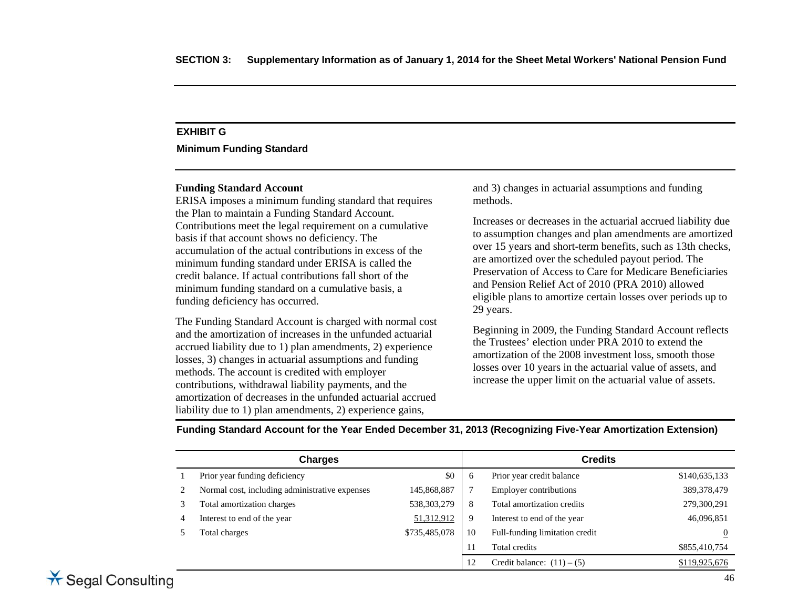# **EXHIBIT G**

**Minimum Funding Standard** 

#### **Funding Standard Account**

ERISA imposes a minimum funding standard that requires the Plan to maintain a Funding Standard Account. Contributions meet the legal requirement on a cumulative basis if that account shows no deficiency. The accumulation of the actual contributions in excess of the minimum funding standard under ERISA is called the credit balance. If actual contributions fall short of the minimum funding standard on a cumulative basis, a funding deficiency has occurred.

The Funding Standard Account is charged with normal cost and the amortization of increases in the unfunded actuarial accrued liability due to 1) plan amendments, 2) experience losses, 3) changes in actuarial assumptions and funding methods. The account is credited with employer contributions, withdrawal liability payments, and the amortization of decreases in the unfunded actuarial accrued liability due to 1) plan amendments, 2) experience gains,

and 3) changes in actuarial assumptions and funding methods.

Increases or decreases in the actuarial accrued liability due to assumption changes and plan amendments are amortized over 15 years and short-term benefits, such as 13th checks, are amortized over the scheduled payout period. The Preservation of Access to Care for Medicare Beneficiaries and Pension Relief Act of 2010 (PRA 2010) allowed eligible plans to amortize certain losses over periods up to 29 years.

Beginning in 2009, the Funding Standard Account reflects the Trustees' election under PRA 2010 to extend the amortization of the 2008 investment loss, smooth those losses over 10 years in the actuarial value of assets, and increase the upper limit on the actuarial value of assets.

**Funding Standard Account for the Year Ended December 31, 2013 (Recognizing Five-Year Amortization Extension)**

|   | <b>Charges</b>                                 |               |    | <b>Credits</b>                 |                |
|---|------------------------------------------------|---------------|----|--------------------------------|----------------|
|   | Prior year funding deficiency                  | \$0           | 6  | Prior year credit balance      | \$140,635,133  |
|   | Normal cost, including administrative expenses | 145,868,887   |    | <b>Employer contributions</b>  | 389, 378, 479  |
|   | Total amortization charges                     | 538, 303, 279 | 8  | Total amortization credits     | 279,300,291    |
| 4 | Interest to end of the year                    | 51,312,912    | 9  | Interest to end of the year    | 46,096,851     |
|   | Total charges                                  | \$735,485,078 | 10 | Full-funding limitation credit | $\overline{0}$ |
|   |                                                |               |    | Total credits                  | \$855,410,754  |
|   |                                                |               | 12 | Credit balance: $(11) - (5)$   | \$119,925,676  |

# \* Segal Consulting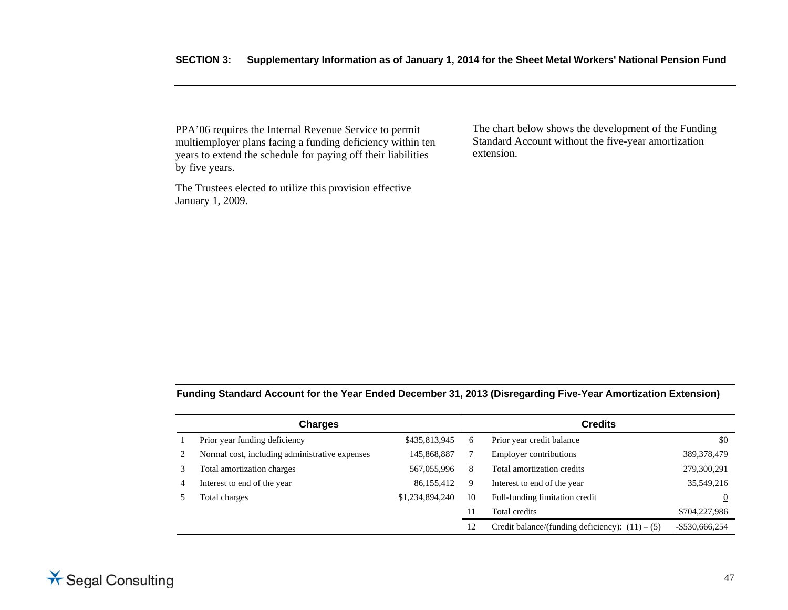PPA'06 requires the Internal Revenue Service to permit multiemployer plans facing a funding deficiency within ten years to extend the schedule for paying off their liabilities by five years.

The Trustees elected to utilize this provision effective January 1, 2009.

The chart below shows the development of the Funding Standard Account without the five-year amortization extension.

**Funding Standard Account for the Year Ended December 31, 2013 (Disregarding Five-Year Amortization Extension)**

|   | <b>Charges</b>                                 |                 | <b>Credits</b> |                                                   |                   |  |
|---|------------------------------------------------|-----------------|----------------|---------------------------------------------------|-------------------|--|
|   | Prior year funding deficiency                  | \$435,813,945   | $\sigma$       | Prior year credit balance                         | \$0               |  |
|   | Normal cost, including administrative expenses | 145,868,887     |                | <b>Employer contributions</b>                     | 389, 378, 479     |  |
|   | Total amortization charges                     | 567,055,996     | 8              | Total amortization credits                        | 279,300,291       |  |
| 4 | Interest to end of the year                    | 86,155,412      | -9             | Interest to end of the year                       | 35,549,216        |  |
|   | Total charges                                  | \$1,234,894,240 | 10             | Full-funding limitation credit                    | $\overline{0}$    |  |
|   |                                                |                 | 11             | Total credits                                     | \$704,227,986     |  |
|   |                                                |                 | 12             | Credit balance/(funding deficiency): $(11) - (5)$ | $-$ \$530,666,254 |  |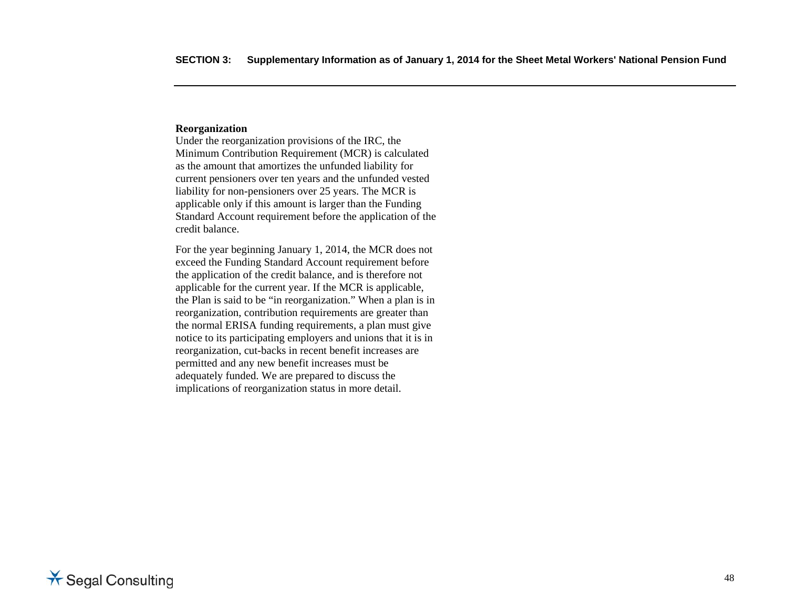#### **Reorganization**

Under the reorganization provisions of the IRC, the Minimum Contribution Requirement (MCR) is calculated as the amount that amortizes the unfunded liability for current pensioners over ten years and the unfunded vested liability for non-pensioners over 25 years. The MCR is applicable only if this amount is larger than the Funding Standard Account requirement before the application of the credit balance.

For the year beginning January 1, 2014, the MCR does not exceed the Funding Standard Account requirement before the application of the credit balance, and is therefore not applicable for the current year. If the MCR is applicable, the Plan is said to be "in reorganization." When a plan is in reorganization, contribution requirements are greater than the normal ERISA funding requirements, a plan must give notice to its participating employers and unions that it is in reorganization, cut-backs in recent benefit increases are permitted and any new benefit increases must be adequately funded. We are prepared to discuss the implications of reorganization status in more detail.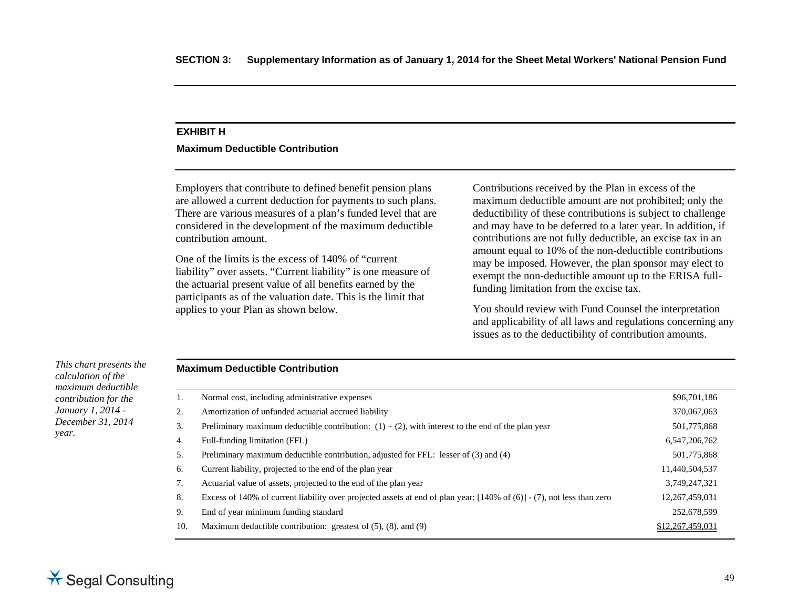## **EXHIBIT H**

#### **Maximum Deductible Contribution**

Employers that contribute to defined benefit pension plans are allowed a current deduction for payments to such plans. There are various measures of a plan's funded level that are considered in the development of the maximum deductible contribution amount.

One of the limits is the excess of 140% of "current liability" over assets. "Current liability" is one measure of the actuarial present value of all benefits earned by the participants as of the valuation date. This is the limit that applies to your Plan as shown below.

Contributions received by the Plan in excess of the maximum deductible amount are not prohibited; only the deductibility of these contributions is subject to challenge and may have to be deferred to a later year. In addition, if contributions are not fully deductible, an excise tax in an amount equal to 10% of the non-deductible contributions may be imposed. However, the plan sponsor may elect to exempt the non-deductible amount up to the ERISA fullfunding limitation from the excise tax.

You should review with Fund Counsel the interpretation and applicability of all laws and regulations concerning any issues as to the deductibility of contribution amounts.

*This chart presents the calculation of the maximum deductible contribution for the January 1, 2014 - December 31, 2014 year.* 

## **Maximum Deductible Contribution**

|     | Normal cost, including administrative expenses                                                                                     | \$96,701,186     |
|-----|------------------------------------------------------------------------------------------------------------------------------------|------------------|
| 2.  | Amortization of unfunded actuarial accrued liability                                                                               | 370,067,063      |
| 3.  | Preliminary maximum deductible contribution: $(1) + (2)$ , with interest to the end of the plan year                               | 501,775,868      |
| 4.  | Full-funding limitation (FFL)                                                                                                      | 6,547,206,762    |
| 5.  | Preliminary maximum deductible contribution, adjusted for FFL: lesser of (3) and (4)                                               | 501,775,868      |
| 6.  | Current liability, projected to the end of the plan year                                                                           | 11,440,504,537   |
| 7.  | Actuarial value of assets, projected to the end of the plan year                                                                   | 3,749,247,321    |
| 8.  | Excess of 140% of current liability over projected assets at end of plan year: $[140\% \text{ of } (6)]$ - (7), not less than zero | 12,267,459,031   |
| 9.  | End of year minimum funding standard                                                                                               | 252,678,599      |
| 10. | Maximum deductible contribution: greatest of $(5)$ , $(8)$ , and $(9)$                                                             | \$12,267,459,031 |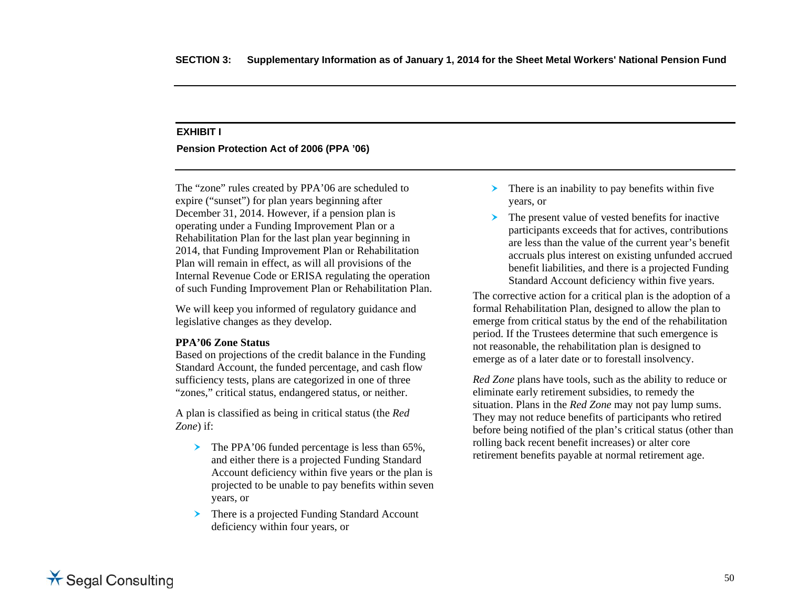#### **EXHIBIT I**

**Pension Protection Act of 2006 (PPA '06)** 

The "zone" rules created by PPA'06 are scheduled to expire ("sunset") for plan years beginning after December 31, 2014. However, if a pension plan is operating under a Funding Improvement Plan or a Rehabilitation Plan for the last plan year beginning in 2014, that Funding Improvement Plan or Rehabilitation Plan will remain in effect, as will all provisions of the Internal Revenue Code or ERISA regulating the operation of such Funding Improvement Plan or Rehabilitation Plan.

We will keep you informed of regulatory guidance and legislative changes as they develop.

#### **PPA'06 Zone Status**

Based on projections of the credit balance in the Funding Standard Account, the funded percentage, and cash flow sufficiency tests, plans are categorized in one of three "zones," critical status, endangered status, or neither.

A plan is classified as being in critical status (the *Red Zone*) if:

- ➤ The PPA'06 funded percentage is less than 65%, and either there is a projected Funding Standard Account deficiency within five years or the plan is projected to be unable to pay benefits within seven years, or
- ➤ There is a projected Funding Standard Account deficiency within four years, or
- $\triangleright$  There is an inability to pay benefits within five years, or
- The present value of vested benefits for inactive participants exceeds that for actives, contributions are less than the value of the current year's benefit accruals plus interest on existing unfunded accrued benefit liabilities, and there is a projected Funding Standard Account deficiency within five years.

The corrective action for a critical plan is the adoption of a formal Rehabilitation Plan, designed to allow the plan to emerge from critical status by the end of the rehabilitation period. If the Trustees determine that such emergence is not reasonable, the rehabilitation plan is designed to emerge as of a later date or to forestall insolvency.

*Red Zone* plans have tools, such as the ability to reduce or eliminate early retirement subsidies, to remedy the situation. Plans in the *Red Zone* may not pay lump sums. They may not reduce benefits of participants who retired before being notified of the plan's critical status (other than rolling back recent benefit increases) or alter core retirement benefits payable at normal retirement age.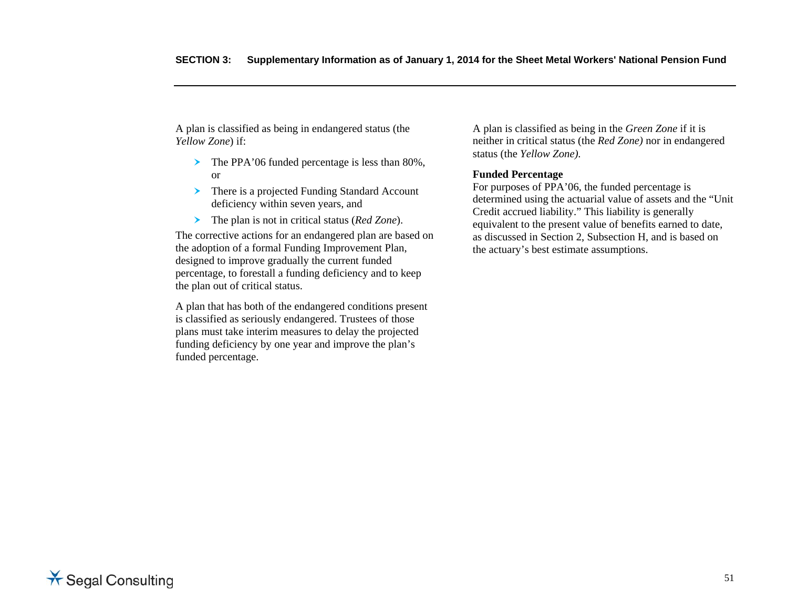A plan is classified as being in endangered status (the *Yellow Zone*) if:

- The PPA'06 funded percentage is less than 80%, or
- There is a projected Funding Standard Account deficiency within seven years, and
- The plan is not in critical status (*Red Zone*).

The corrective actions for an endangered plan are based on the adoption of a formal Funding Improvement Plan, designed to improve gradually the current funded percentage, to forestall a funding deficiency and to keep the plan out of critical status.

A plan that has both of the endangered conditions present is classified as seriously endangered. Trustees of those plans must take interim measures to delay the projected funding deficiency by one year and improve the plan's funded percentage.

A plan is classified as being in the *Green Zone* if it is neither in critical status (the *Red Zone)* nor in endangered status (the *Yellow Zone).*

#### **Funded Percentage**

For purposes of PPA'06, the funded percentage is determined using the actuarial value of assets and the "Unit Credit accrued liability." This liability is generally equivalent to the present value of benefits earned to date, as discussed in Section 2, Subsection H, and is based on the actuary's best estimate assumptions.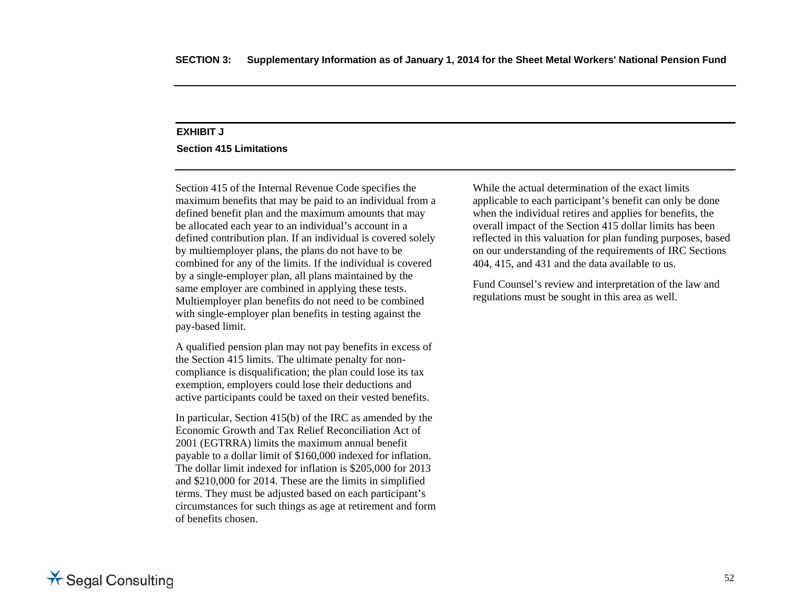# **EXHIBIT J**

**Section 415 Limitations** 

Section 415 of the Internal Revenue Code specifies the maximum benefits that may be paid to an individual from a defined benefit plan and the maximum amounts that may be allocated each year to an individual's account in a defined contribution plan. If an individual is covered solely by multiemployer plans, the plans do not have to be combined for any of the limits. If the individual is covered by a single-employer plan, all plans maintained by the same employer are combined in applying these tests. Multiemployer plan benefits do not need to be combined with single-employer plan benefits in testing against the pay-based limit.

A qualified pension plan may not pay benefits in excess of the Section 415 limits. The ultimate penalty for noncompliance is disqualification; the plan could lose its tax exemption, employers could lose their deductions and active participants could be taxed on their vested benefits.

In particular, Section 415(b) of the IRC as amended by the Economic Growth and Tax Relief Reconciliation Act of 2001 (EGTRRA) limits the maximum annual benefit payable to a dollar limit of \$160,000 indexed for inflation. The dollar limit indexed for inflation is \$205,000 for 2013 and \$210,000 for 2014. These are the limits in simplified terms. They must be adjusted based on each participant's circumstances for such things as age at retirement and form of benefits chosen.

While the actual determination of the exact limits applicable to each participant's benefit can only be done when the individual retires and applies for benefits, the overall impact of the Section 415 dollar limits has been reflected in this valuation for plan funding purposes, based on our understanding of the requirements of IRC Sections 404, 415, and 431 and the data available to us.

Fund Counsel's review and interpretation of the law and regulations must be sought in this area as well.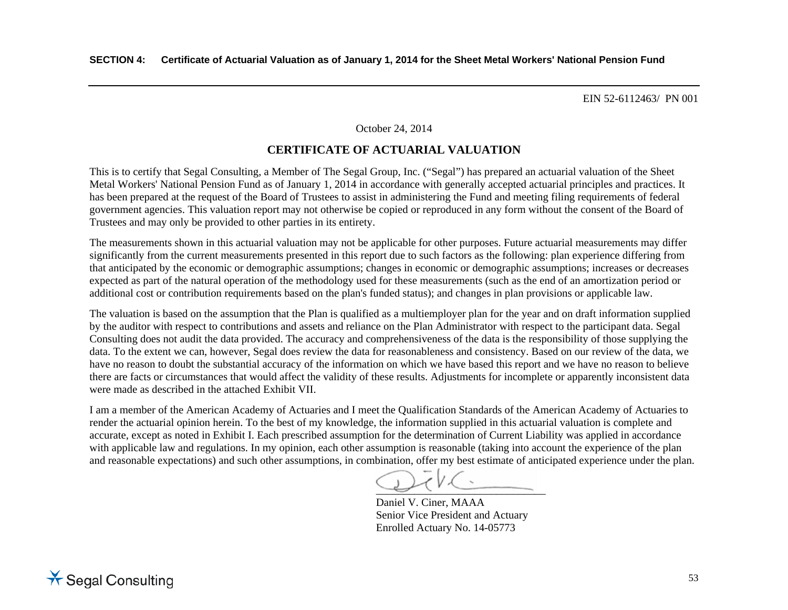#### October 24, 2014

# **CERTIFICATE OF ACTUARIAL VALUATION**

This is to certify that Segal Consulting, a Member of The Segal Group, Inc. ("Segal") has prepared an actuarial valuation of the Sheet Metal Workers' National Pension Fund as of January 1, 2014 in accordance with generally accepted actuarial principles and practices. It has been prepared at the request of the Board of Trustees to assist in administering the Fund and meeting filing requirements of federal government agencies. This valuation report may not otherwise be copied or reproduced in any form without the consent of the Board of Trustees and may only be provided to other parties in its entirety.

The measurements shown in this actuarial valuation may not be applicable for other purposes. Future actuarial measurements may differ significantly from the current measurements presented in this report due to such factors as the following: plan experience differing from that anticipated by the economic or demographic assumptions; changes in economic or demographic assumptions; increases or decreases expected as part of the natural operation of the methodology used for these measurements (such as the end of an amortization period or additional cost or contribution requirements based on the plan's funded status); and changes in plan provisions or applicable law.

The valuation is based on the assumption that the Plan is qualified as a multiemployer plan for the year and on draft information supplied by the auditor with respect to contributions and assets and reliance on the Plan Administrator with respect to the participant data. Segal Consulting does not audit the data provided. The accuracy and comprehensiveness of the data is the responsibility of those supplying the data. To the extent we can, however, Segal does review the data for reasonableness and consistency. Based on our review of the data, we have no reason to doubt the substantial accuracy of the information on which we have based this report and we have no reason to believe there are facts or circumstances that would affect the validity of these results. Adjustments for incomplete or apparently inconsistent data were made as described in the attached Exhibit VII.

I am a member of the American Academy of Actuaries and I meet the Qualification Standards of the American Academy of Actuaries to render the actuarial opinion herein. To the best of my knowledge, the information supplied in this actuarial valuation is complete and accurate, except as noted in Exhibit I. Each prescribed assumption for the determination of Current Liability was applied in accordance with applicable law and regulations. In my opinion, each other assumption is reasonable (taking into account the experience of the plan and reasonable expectations) and such other assumptions, in combination, offer my best estimate of anticipated experience under the plan.

 $\overline{\phantom{a}}$  , and the contract of the contract of the contract of the contract of the contract of the contract of the contract of the contract of the contract of the contract of the contract of the contract of the contrac

Daniel V. Ciner, MAAA Senior Vice President and Actuary Enrolled Actuary No. 14-05773

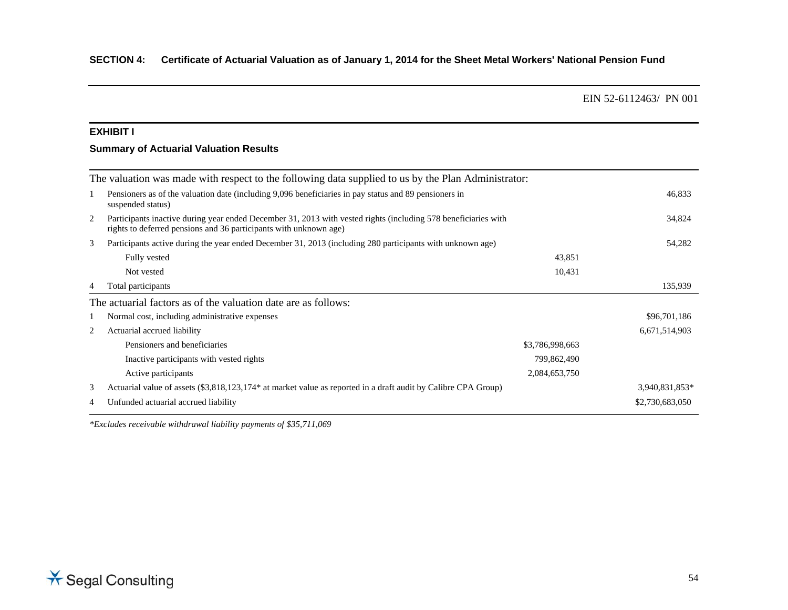#### **EXHIBIT I**

# **Summary of Actuarial Valuation Results**

|   | The valuation was made with respect to the following data supplied to us by the Plan Administrator:                                                                                 |                 |                 |
|---|-------------------------------------------------------------------------------------------------------------------------------------------------------------------------------------|-----------------|-----------------|
|   | Pensioners as of the valuation date (including 9,096 beneficiaries in pay status and 89 pensioners in<br>suspended status)                                                          |                 | 46,833          |
| 2 | Participants inactive during year ended December 31, 2013 with vested rights (including 578 beneficiaries with<br>rights to deferred pensions and 36 participants with unknown age) |                 | 34,824          |
| 3 | Participants active during the year ended December 31, 2013 (including 280 participants with unknown age)                                                                           |                 | 54,282          |
|   | Fully vested                                                                                                                                                                        | 43,851          |                 |
|   | Not vested                                                                                                                                                                          | 10,431          |                 |
| 4 | Total participants                                                                                                                                                                  |                 | 135,939         |
|   | The actuarial factors as of the valuation date are as follows:                                                                                                                      |                 |                 |
|   | Normal cost, including administrative expenses                                                                                                                                      |                 | \$96,701,186    |
| 2 | Actuarial accrued liability                                                                                                                                                         |                 | 6,671,514,903   |
|   | Pensioners and beneficiaries                                                                                                                                                        | \$3,786,998,663 |                 |
|   | Inactive participants with vested rights                                                                                                                                            | 799,862,490     |                 |
|   | Active participants                                                                                                                                                                 | 2,084,653,750   |                 |
| 3 | Actuarial value of assets (\$3,818,123,174* at market value as reported in a draft audit by Calibre CPA Group)                                                                      |                 | 3,940,831,853*  |
| 4 | Unfunded actuarial accrued liability                                                                                                                                                |                 | \$2,730,683,050 |
|   |                                                                                                                                                                                     |                 |                 |

*\*Excludes receivable withdrawal liability payments of \$35,711,069*

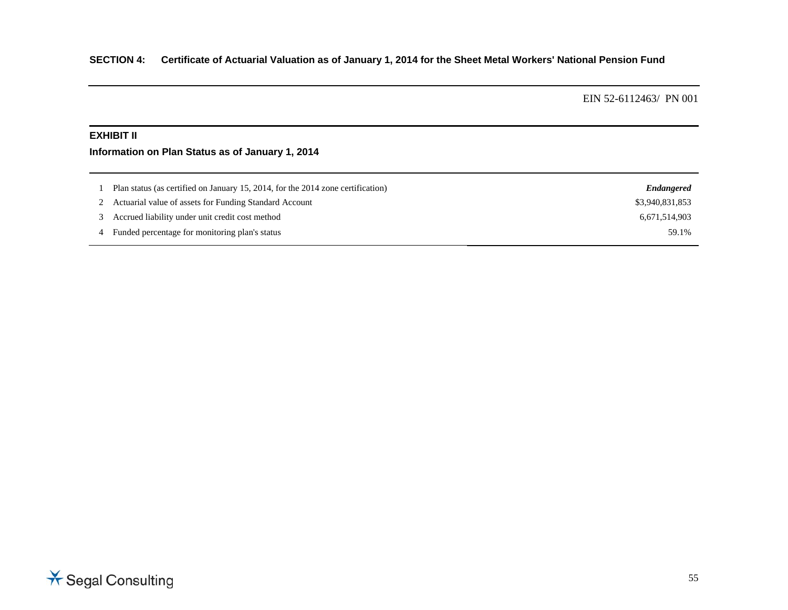#### **EXHIBIT II**

# **Information on Plan Status as of January 1, 2014**

| Plan status (as certified on January 15, 2014, for the 2014 zone certification) | Endangered      |
|---------------------------------------------------------------------------------|-----------------|
| Actuarial value of assets for Funding Standard Account                          | \$3,940,831,853 |
| Accrued liability under unit credit cost method                                 | 6.671.514.903   |
| Funded percentage for monitoring plan's status                                  | 59.1%           |

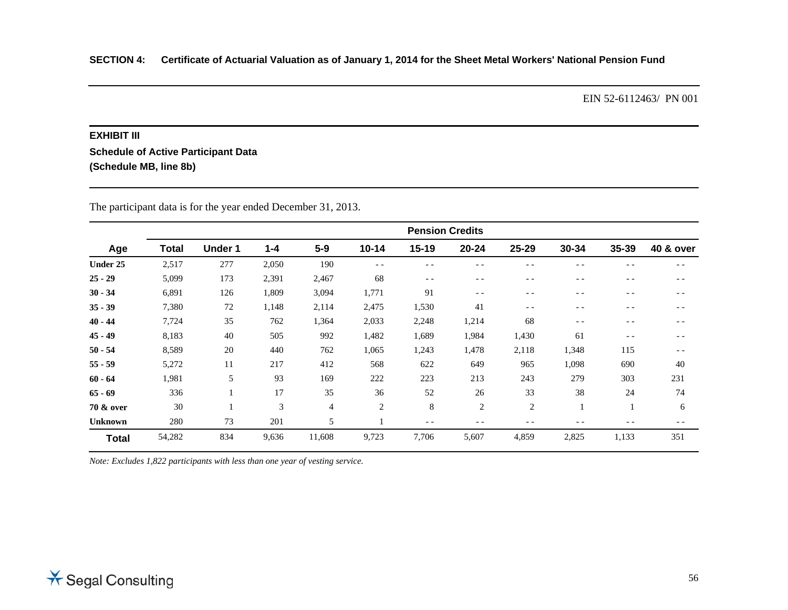#### **EXHIBIT III**

**Schedule of Active Participant Data (Schedule MB, line 8b)**

|                |              | <b>Pension Credits</b> |         |        |           |       |                |                |       |       |                      |
|----------------|--------------|------------------------|---------|--------|-----------|-------|----------------|----------------|-------|-------|----------------------|
| Age            | <b>Total</b> | <b>Under 1</b>         | $1 - 4$ | $5-9$  | $10 - 14$ | 15-19 | $20 - 24$      | 25-29          | 30-34 | 35-39 | <b>40 &amp; over</b> |
| Under 25       | 2,517        | 277                    | 2,050   | 190    | $- -$     | $ -$  | $ -$           | - -            | $ -$  | - -   | $ -$                 |
| $25 - 29$      | 5,099        | 173                    | 2,391   | 2,467  | 68        | $- -$ | $ -$           | $ -$           | $ -$  | $- -$ | $ -$                 |
| $30 - 34$      | 6,891        | 126                    | 1,809   | 3,094  | 1,771     | 91    | $ -$           | - -            | $ -$  | $ -$  | $ -$                 |
| $35 - 39$      | 7,380        | 72                     | 1,148   | 2,114  | 2,475     | 1,530 | 41             | $ -$           | $ -$  | $- -$ | $ -$                 |
| $40 - 44$      | 7,724        | 35                     | 762     | 1,364  | 2,033     | 2,248 | 1,214          | 68             | $- -$ | - -   | $ -$                 |
| $45 - 49$      | 8,183        | 40                     | 505     | 992    | 1,482     | 1,689 | 1,984          | 1,430          | 61    | $- -$ | $ -$                 |
| $50 - 54$      | 8,589        | 20                     | 440     | 762    | 1,065     | 1,243 | 1,478          | 2,118          | 1,348 | 115   | $ -$                 |
| $55 - 59$      | 5,272        | 11                     | 217     | 412    | 568       | 622   | 649            | 965            | 1,098 | 690   | 40                   |
| $60 - 64$      | 1,981        | 5                      | 93      | 169    | 222       | 223   | 213            | 243            | 279   | 303   | 231                  |
| $65 - 69$      | 336          |                        | 17      | 35     | 36        | 52    | 26             | 33             | 38    | 24    | 74                   |
| 70 & over      | 30           |                        | 3       | 4      | 2         | 8     | $\overline{2}$ | $\overline{2}$ | 1     | -1    | 6                    |
| <b>Unknown</b> | 280          | 73                     | 201     | 5      |           | $- -$ | $ -$           | $- -$          | $ -$  | - -   | $- -$                |
| <b>Total</b>   | 54,282       | 834                    | 9,636   | 11,608 | 9,723     | 7,706 | 5,607          | 4,859          | 2,825 | 1,133 | 351                  |

The participant data is for the year ended December 31, 2013.

*Note: Excludes 1,822 participants with less than one year of vesting service.*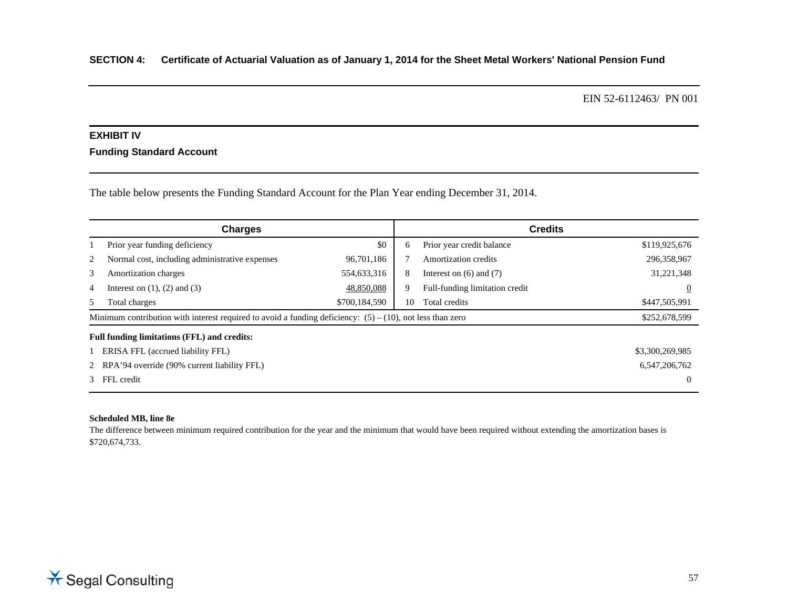# **EXHIBIT IV**

## **Funding Standard Account**

The table below presents the Funding Standard Account for the Plan Year ending December 31, 2014.

|                                                                                                              | <b>Charges</b>                                 |               | <b>Credits</b> |                                |                 |  |
|--------------------------------------------------------------------------------------------------------------|------------------------------------------------|---------------|----------------|--------------------------------|-----------------|--|
|                                                                                                              | Prior year funding deficiency                  | \$0           | 6              | Prior year credit balance      | \$119,925,676   |  |
| 2                                                                                                            | Normal cost, including administrative expenses | 96,701,186    |                | Amortization credits           | 296,358,967     |  |
| 3                                                                                                            | Amortization charges                           | 554,633,316   | 8              | Interest on $(6)$ and $(7)$    | 31,221,348      |  |
| 4                                                                                                            | Interest on $(1)$ , $(2)$ and $(3)$            | 48,850,088    | 9              | Full-funding limitation credit | $\overline{0}$  |  |
| 5                                                                                                            | Total charges                                  | \$700,184,590 | 10             | Total credits                  | \$447,505,991   |  |
| Minimum contribution with interest required to avoid a funding deficiency: $(5) - (10)$ , not less than zero |                                                |               |                |                                | \$252,678,599   |  |
|                                                                                                              | Full funding limitations (FFL) and credits:    |               |                |                                |                 |  |
|                                                                                                              | ERISA FFL (accrued liability FFL)              |               |                |                                | \$3,300,269,985 |  |
|                                                                                                              | 2 RPA'94 override (90% current liability FFL)  |               |                |                                | 6,547,206,762   |  |
| 3 FFL credit                                                                                                 |                                                |               |                |                                |                 |  |

#### **Scheduled MB, line 8e**

The difference between minimum required contribution for the year and the minimum that would have been required without extending the amortization bases is \$720,674,733.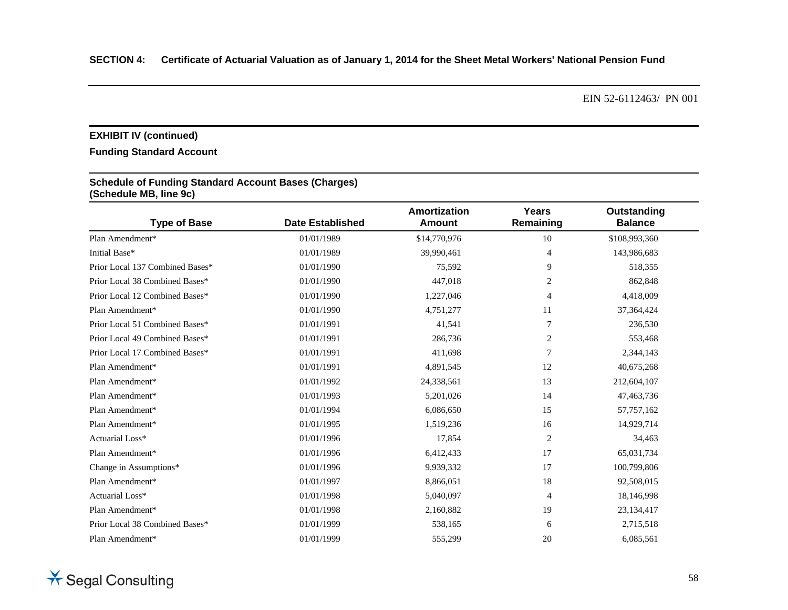# **EXHIBIT IV (continued)**

# **Funding Standard Account**

#### **Schedule of Funding Standard Account Bases (Charges) (Schedule MB, line 9c)**

| <b>Type of Base</b>             | <b>Date Established</b> | <b>Amortization</b><br>Amount | <b>Years</b><br>Remaining | Outstanding<br><b>Balance</b> |
|---------------------------------|-------------------------|-------------------------------|---------------------------|-------------------------------|
| Plan Amendment*                 | 01/01/1989              | \$14,770,976                  | 10                        | \$108,993,360                 |
| Initial Base*                   | 01/01/1989              | 39,990,461                    | $\overline{4}$            | 143,986,683                   |
| Prior Local 137 Combined Bases* | 01/01/1990              | 75,592                        | 9                         | 518,355                       |
| Prior Local 38 Combined Bases*  | 01/01/1990              | 447,018                       | $\overline{c}$            | 862,848                       |
| Prior Local 12 Combined Bases*  | 01/01/1990              | 1,227,046                     | 4                         | 4,418,009                     |
| Plan Amendment*                 | 01/01/1990              | 4,751,277                     | 11                        | 37, 364, 424                  |
| Prior Local 51 Combined Bases*  | 01/01/1991              | 41,541                        | 7                         | 236,530                       |
| Prior Local 49 Combined Bases*  | 01/01/1991              | 286,736                       | 2                         | 553,468                       |
| Prior Local 17 Combined Bases*  | 01/01/1991              | 411,698                       | 7                         | 2,344,143                     |
| Plan Amendment*                 | 01/01/1991              | 4,891,545                     | 12                        | 40,675,268                    |
| Plan Amendment*                 | 01/01/1992              | 24,338,561                    | 13                        | 212,604,107                   |
| Plan Amendment*                 | 01/01/1993              | 5,201,026                     | 14                        | 47,463,736                    |
| Plan Amendment*                 | 01/01/1994              | 6,086,650                     | 15                        | 57,757,162                    |
| Plan Amendment*                 | 01/01/1995              | 1,519,236                     | 16                        | 14,929,714                    |
| Actuarial Loss*                 | 01/01/1996              | 17,854                        | 2                         | 34,463                        |
| Plan Amendment*                 | 01/01/1996              | 6,412,433                     | 17                        | 65,031,734                    |
| Change in Assumptions*          | 01/01/1996              | 9,939,332                     | 17                        | 100,799,806                   |
| Plan Amendment*                 | 01/01/1997              | 8,866,051                     | 18                        | 92,508,015                    |
| Actuarial Loss*                 | 01/01/1998              | 5,040,097                     | $\overline{4}$            | 18,146,998                    |
| Plan Amendment*                 | 01/01/1998              | 2,160,882                     | 19                        | 23, 134, 417                  |
| Prior Local 38 Combined Bases*  | 01/01/1999              | 538,165                       | 6                         | 2,715,518                     |
| Plan Amendment*                 | 01/01/1999              | 555,299                       | 20                        | 6,085,561                     |

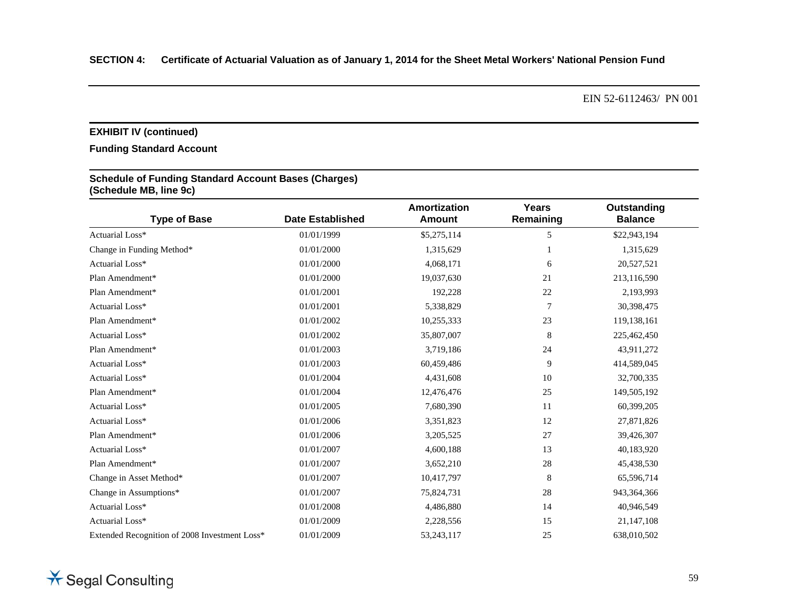# **EXHIBIT IV (continued)**

# **Funding Standard Account**

## **Schedule of Funding Standard Account Bases (Charges) (Schedule MB, line 9c)**

| <b>Type of Base</b>                           | <b>Date Established</b> | Amortization<br><b>Amount</b> | Years<br>Remaining | Outstanding<br><b>Balance</b> |
|-----------------------------------------------|-------------------------|-------------------------------|--------------------|-------------------------------|
| Actuarial Loss*                               | 01/01/1999              | \$5,275,114                   | 5                  | \$22,943,194                  |
| Change in Funding Method*                     | 01/01/2000              | 1,315,629                     |                    | 1,315,629                     |
| Actuarial Loss*                               | 01/01/2000              | 4,068,171                     | 6                  | 20,527,521                    |
| Plan Amendment*                               | 01/01/2000              | 19,037,630                    | 21                 | 213,116,590                   |
| Plan Amendment*                               | 01/01/2001              | 192,228                       | 22                 | 2,193,993                     |
| Actuarial Loss*                               | 01/01/2001              | 5,338,829                     | 7                  | 30,398,475                    |
| Plan Amendment*                               | 01/01/2002              | 10,255,333                    | 23                 | 119,138,161                   |
| Actuarial Loss*                               | 01/01/2002              | 35,807,007                    | 8                  | 225,462,450                   |
| Plan Amendment*                               | 01/01/2003              | 3,719,186                     | 24                 | 43,911,272                    |
| Actuarial Loss*                               | 01/01/2003              | 60,459,486                    | 9                  | 414,589,045                   |
| Actuarial Loss*                               | 01/01/2004              | 4,431,608                     | 10                 | 32,700,335                    |
| Plan Amendment*                               | 01/01/2004              | 12,476,476                    | 25                 | 149,505,192                   |
| Actuarial Loss*                               | 01/01/2005              | 7,680,390                     | 11                 | 60,399,205                    |
| Actuarial Loss*                               | 01/01/2006              | 3,351,823                     | 12                 | 27,871,826                    |
| Plan Amendment*                               | 01/01/2006              | 3,205,525                     | 27                 | 39,426,307                    |
| Actuarial Loss*                               | 01/01/2007              | 4,600,188                     | 13                 | 40,183,920                    |
| Plan Amendment*                               | 01/01/2007              | 3,652,210                     | 28                 | 45,438,530                    |
| Change in Asset Method*                       | 01/01/2007              | 10,417,797                    | 8                  | 65,596,714                    |
| Change in Assumptions*                        | 01/01/2007              | 75,824,731                    | $28\,$             | 943, 364, 366                 |
| Actuarial Loss*                               | 01/01/2008              | 4,486,880                     | 14                 | 40,946,549                    |
| Actuarial Loss*                               | 01/01/2009              | 2,228,556                     | 15                 | 21,147,108                    |
| Extended Recognition of 2008 Investment Loss* | 01/01/2009              | 53,243,117                    | 25                 | 638,010,502                   |

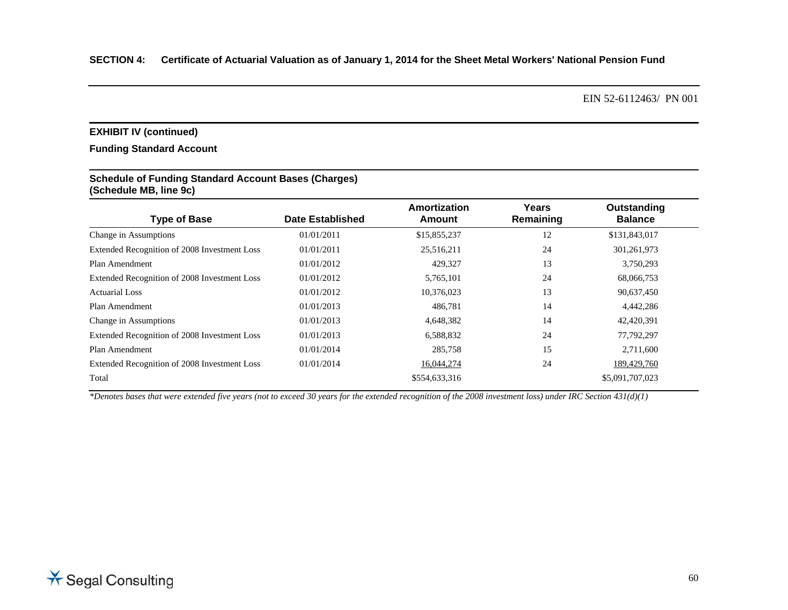#### **EXHIBIT IV (continued)**

#### **Funding Standard Account**

#### **Schedule of Funding Standard Account Bases (Charges) (Schedule MB, line 9c)**

| <b>Type of Base</b>                          | Date Established | Amortization<br>Amount | Years<br>Remaining | Outstanding<br><b>Balance</b> |
|----------------------------------------------|------------------|------------------------|--------------------|-------------------------------|
| Change in Assumptions                        | 01/01/2011       | \$15,855,237           | 12                 | \$131,843,017                 |
| Extended Recognition of 2008 Investment Loss | 01/01/2011       | 25,516,211             | 24                 | 301,261,973                   |
| Plan Amendment                               | 01/01/2012       | 429,327                | 13                 | 3,750,293                     |
| Extended Recognition of 2008 Investment Loss | 01/01/2012       | 5,765,101              | 24                 | 68,066,753                    |
| <b>Actuarial Loss</b>                        | 01/01/2012       | 10,376,023             | 13                 | 90,637,450                    |
| Plan Amendment                               | 01/01/2013       | 486,781                | 14                 | 4,442,286                     |
| Change in Assumptions                        | 01/01/2013       | 4,648,382              | 14                 | 42,420,391                    |
| Extended Recognition of 2008 Investment Loss | 01/01/2013       | 6,588,832              | 24                 | 77,792,297                    |
| Plan Amendment                               | 01/01/2014       | 285,758                | 15                 | 2,711,600                     |
| Extended Recognition of 2008 Investment Loss | 01/01/2014       | 16,044,274             | 24                 | 189,429,760                   |
| Total                                        |                  | \$554,633,316          |                    | \$5,091,707,023               |

*\*Denotes bases that were extended five years (not to exceed 30 years for the extended recognition of the 2008 investment loss) under IRC Section 431(d)(1)*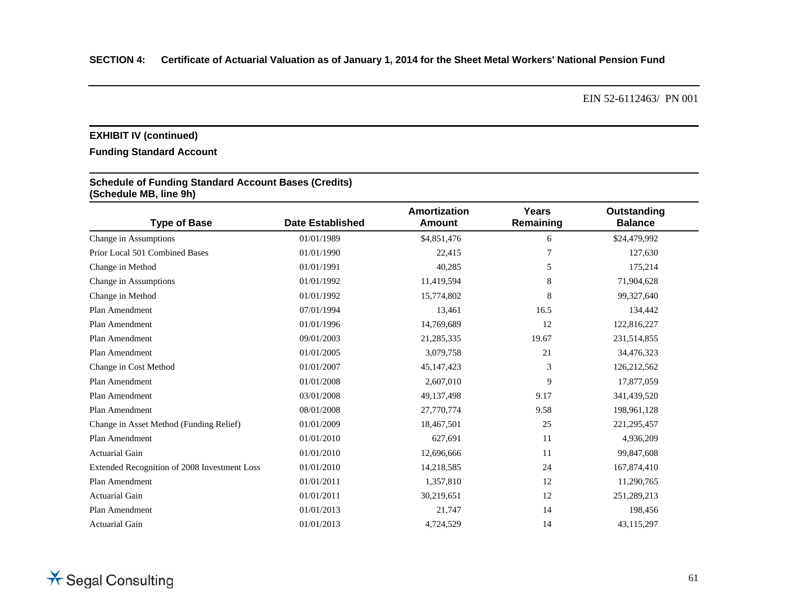# **EXHIBIT IV (continued)**

# **Funding Standard Account**

#### **Schedule of Funding Standard Account Bases (Credits) (Schedule MB, line 9h)**

| <b>Type of Base</b>                          | <b>Date Established</b> | Amortization<br><b>Amount</b> | Years<br>Remaining | Outstanding<br><b>Balance</b> |
|----------------------------------------------|-------------------------|-------------------------------|--------------------|-------------------------------|
| Change in Assumptions                        | 01/01/1989              | \$4,851,476                   | 6                  | \$24,479,992                  |
| Prior Local 501 Combined Bases               | 01/01/1990              | 22,415                        | 7                  | 127,630                       |
| Change in Method                             | 01/01/1991              | 40,285                        | 5                  | 175,214                       |
| Change in Assumptions                        | 01/01/1992              | 11,419,594                    | 8                  | 71,904,628                    |
| Change in Method                             | 01/01/1992              | 15,774,802                    | 8                  | 99,327,640                    |
| Plan Amendment                               | 07/01/1994              | 13,461                        | 16.5               | 134,442                       |
| Plan Amendment                               | 01/01/1996              | 14,769,689                    | 12                 | 122,816,227                   |
| Plan Amendment                               | 09/01/2003              | 21,285,335                    | 19.67              | 231,514,855                   |
| Plan Amendment                               | 01/01/2005              | 3,079,758                     | 21                 | 34,476,323                    |
| Change in Cost Method                        | 01/01/2007              | 45,147,423                    | 3                  | 126,212,562                   |
| Plan Amendment                               | 01/01/2008              | 2,607,010                     | 9                  | 17,877,059                    |
| Plan Amendment                               | 03/01/2008              | 49,137,498                    | 9.17               | 341,439,520                   |
| Plan Amendment                               | 08/01/2008              | 27,770,774                    | 9.58               | 198,961,128                   |
| Change in Asset Method (Funding Relief)      | 01/01/2009              | 18,467,501                    | 25                 | 221, 295, 457                 |
| Plan Amendment                               | 01/01/2010              | 627,691                       | 11                 | 4,936,209                     |
| <b>Actuarial Gain</b>                        | 01/01/2010              | 12,696,666                    | 11                 | 99,847,608                    |
| Extended Recognition of 2008 Investment Loss | 01/01/2010              | 14,218,585                    | 24                 | 167,874,410                   |
| Plan Amendment                               | 01/01/2011              | 1,357,810                     | 12                 | 11,290,765                    |
| <b>Actuarial Gain</b>                        | 01/01/2011              | 30,219,651                    | 12                 | 251,289,213                   |
| Plan Amendment                               | 01/01/2013              | 21,747                        | 14                 | 198,456                       |
| <b>Actuarial Gain</b>                        | 01/01/2013              | 4,724,529                     | 14                 | 43,115,297                    |

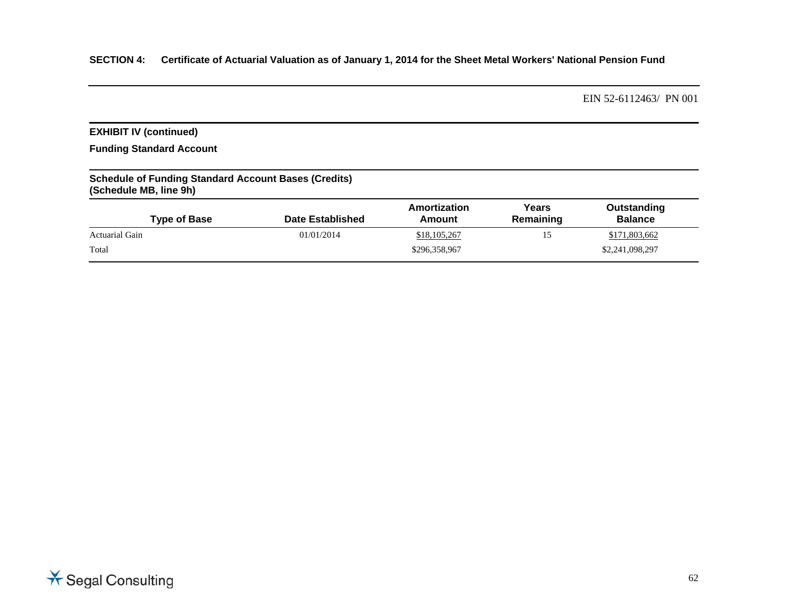# **SECTION 4: Certificate of Actuarial Valuation as of January 1, 2014 for the Sheet Metal Workers' National Pension Fund**

EIN 52-6112463/ PN 001

# **EXHIBIT IV (continued)**

**Funding Standard Account** 

## **Schedule of Funding Standard Account Bases (Credits) (Schedule MB, line 9h)**

| <b>Type of Base</b>   | <b>Date Established</b> | Amortization<br>Amount | Years<br>Remaining | Outstanding<br><b>Balance</b> |
|-----------------------|-------------------------|------------------------|--------------------|-------------------------------|
| <b>Actuarial Gain</b> | 01/01/2014              | \$18,105,267           | 15                 | \$171,803,662                 |
| Total                 |                         | \$296,358,967          |                    | \$2,241,098,297               |

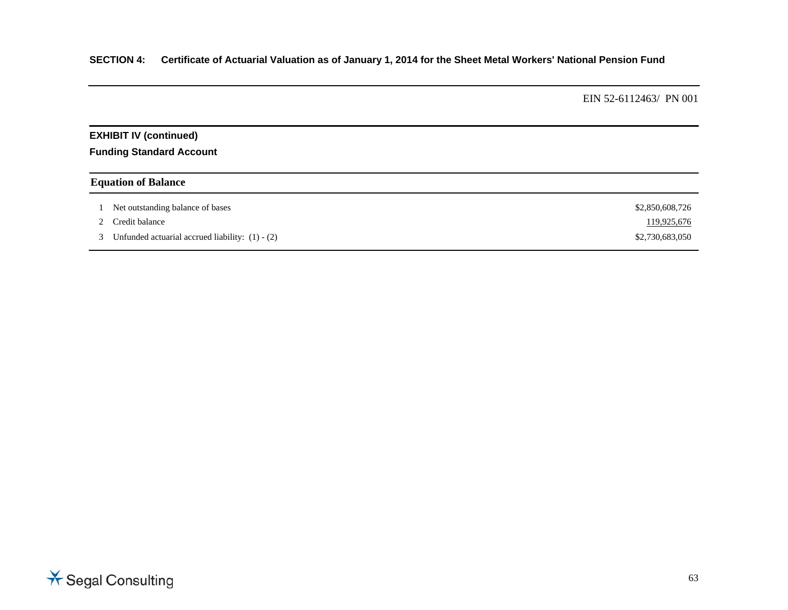# **SECTION 4: Certificate of Actuarial Valuation as of January 1, 2014 for the Sheet Metal Workers' National Pension Fund**

EIN 52-6112463/ PN 001

# **EXHIBIT IV (continued)**

**Funding Standard Account** 

# **Equation of Balance**

| Net outstanding balance of bases                  | \$2,850,608,726 |
|---------------------------------------------------|-----------------|
| 2 Credit balance                                  | 119,925,676     |
| Unfunded actuarial accrued liability: $(1) - (2)$ | \$2,730,683,050 |

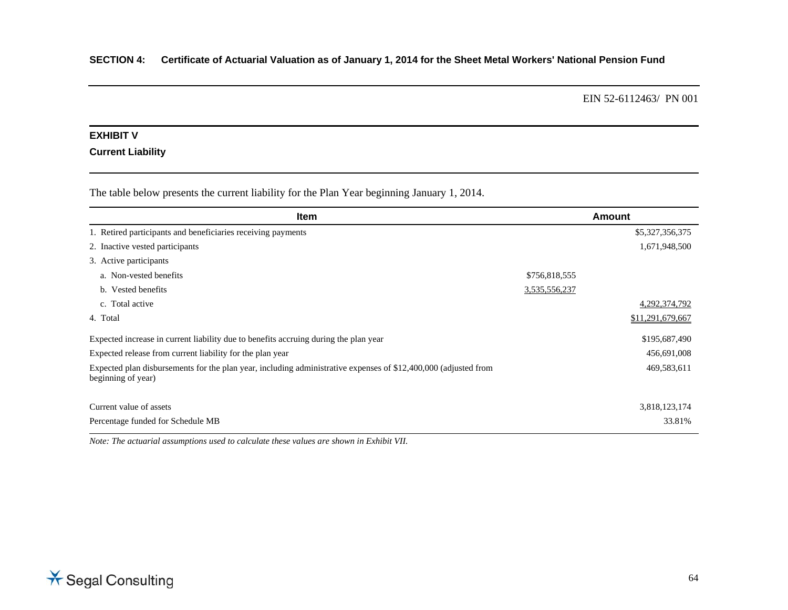#### **EXHIBIT V**

## **Current Liability**

The table below presents the current liability for the Plan Year beginning January 1, 2014.

| <b>Item</b>                                                                                                                           |               | <b>Amount</b>    |
|---------------------------------------------------------------------------------------------------------------------------------------|---------------|------------------|
| 1. Retired participants and beneficiaries receiving payments                                                                          |               | \$5,327,356,375  |
| 2. Inactive vested participants                                                                                                       |               | 1,671,948,500    |
| 3. Active participants                                                                                                                |               |                  |
| a. Non-vested benefits                                                                                                                | \$756,818,555 |                  |
| b. Vested benefits                                                                                                                    | 3,535,556,237 |                  |
| c. Total active                                                                                                                       |               | 4, 292, 374, 792 |
| 4. Total                                                                                                                              |               | \$11,291,679,667 |
| Expected increase in current liability due to benefits accruing during the plan year                                                  |               | \$195,687,490    |
| Expected release from current liability for the plan year                                                                             |               | 456,691,008      |
| Expected plan disbursements for the plan year, including administrative expenses of \$12,400,000 (adjusted from<br>beginning of year) |               | 469,583,611      |
| Current value of assets                                                                                                               |               | 3,818,123,174    |
| Percentage funded for Schedule MB                                                                                                     |               | 33.81%           |

*Note: The actuarial assumptions used to calculate these values are shown in Exhibit VII.* 

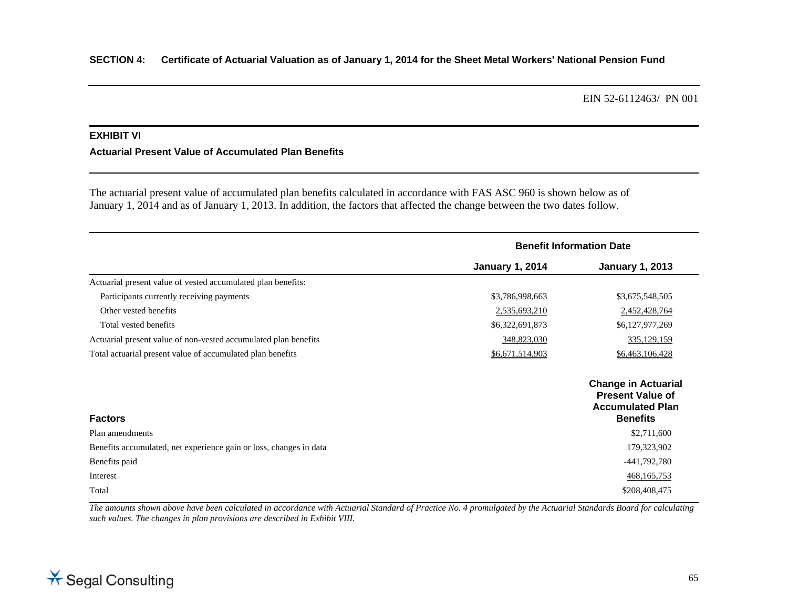# **EXHIBIT VI**

#### **Actuarial Present Value of Accumulated Plan Benefits**

The actuarial present value of accumulated plan benefits calculated in accordance with FAS ASC 960 is shown below as of January 1, 2014 and as of January 1, 2013. In addition, the factors that affected the change between the two dates follow.

|                                                                    | <b>Benefit Information Date</b> |                                                                                                     |
|--------------------------------------------------------------------|---------------------------------|-----------------------------------------------------------------------------------------------------|
|                                                                    | <b>January 1, 2014</b>          | <b>January 1, 2013</b>                                                                              |
| Actuarial present value of vested accumulated plan benefits:       |                                 |                                                                                                     |
| Participants currently receiving payments                          | \$3,786,998,663                 | \$3,675,548,505                                                                                     |
| Other vested benefits                                              | 2,535,693,210                   | 2,452,428,764                                                                                       |
| Total vested benefits                                              | \$6,322,691,873                 | \$6,127,977,269                                                                                     |
| Actuarial present value of non-vested accumulated plan benefits    | 348,823,030                     | 335,129,159                                                                                         |
| Total actuarial present value of accumulated plan benefits         | \$6,671,514,903                 | \$6,463,106,428                                                                                     |
| <b>Factors</b>                                                     |                                 | <b>Change in Actuarial</b><br><b>Present Value of</b><br><b>Accumulated Plan</b><br><b>Benefits</b> |
| Plan amendments                                                    |                                 | \$2,711,600                                                                                         |
| Benefits accumulated, net experience gain or loss, changes in data |                                 | 179,323,902                                                                                         |
| Benefits paid                                                      |                                 | -441,792,780                                                                                        |
| Interest                                                           |                                 | 468, 165, 753                                                                                       |
| Total                                                              |                                 | \$208,408,475                                                                                       |

*The amounts shown above have been calculated in accordance with Actuarial Standard of Practice No. 4 promulgated by the Actuarial Standards Board for calculating such values. The changes in plan provisions are described in Exhibit VIII.* 

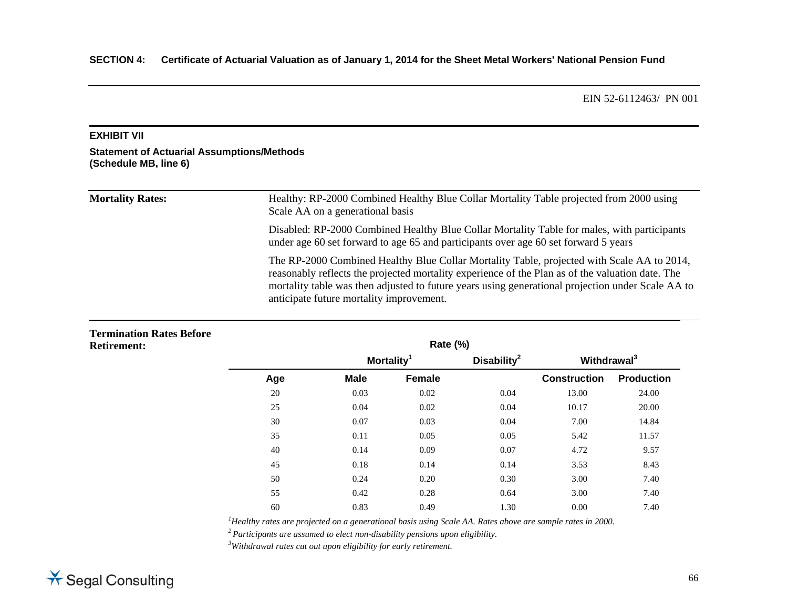#### **EXHIBIT VII**

#### **Statement of Actuarial Assumptions/Methods (Schedule MB, line 6)**

# Mortality Rates: Healthy: RP-2000 Combined Healthy Blue Collar Mortality Table projected from 2000 using Scale AA on a generational basis Disabled: RP-2000 Combined Healthy Blue Collar Mortality Table for males, with participants under age 60 set forward to age 65 and participants over age 60 set forward 5 years The RP-2000 Combined Healthy Blue Collar Mortality Table, projected with Scale AA to 2014, reasonably reflects the projected mortality experience of the Plan as of the valuation date. The mortality table was then adjusted to future years using generational projection under Scale AA to anticipate future mortality improvement.

# **Termination Rates Before Retirement: Rate (%) Mortality1 Disability2 Withdrawal3**

|     |             | <b>MORTALITY</b> | <b>DISABILITY</b> | <u>withdrawal</u>   |                   |
|-----|-------------|------------------|-------------------|---------------------|-------------------|
| Age | <b>Male</b> | Female           |                   | <b>Construction</b> | <b>Production</b> |
| 20  | 0.03        | 0.02             | 0.04              | 13.00               | 24.00             |
| 25  | 0.04        | 0.02             | 0.04              | 10.17               | 20.00             |
| 30  | 0.07        | 0.03             | 0.04              | 7.00                | 14.84             |
| 35  | 0.11        | 0.05             | 0.05              | 5.42                | 11.57             |
| 40  | 0.14        | 0.09             | 0.07              | 4.72                | 9.57              |
| 45  | 0.18        | 0.14             | 0.14              | 3.53                | 8.43              |
| 50  | 0.24        | 0.20             | 0.30              | 3.00                | 7.40              |
| 55  | 0.42        | 0.28             | 0.64              | 3.00                | 7.40              |
| 60  | 0.83        | 0.49             | 1.30              | 0.00                | 7.40              |
|     |             |                  |                   |                     |                   |

*1Healthy rates are projected on a generational basis using Scale AA. Rates above are sample rates in 2000.* 

*2 Participants are assumed to elect non-disability pensions upon eligibility. 3Withdrawal rates cut out upon eligibility for early retirement.* 

# \* Segal Consulting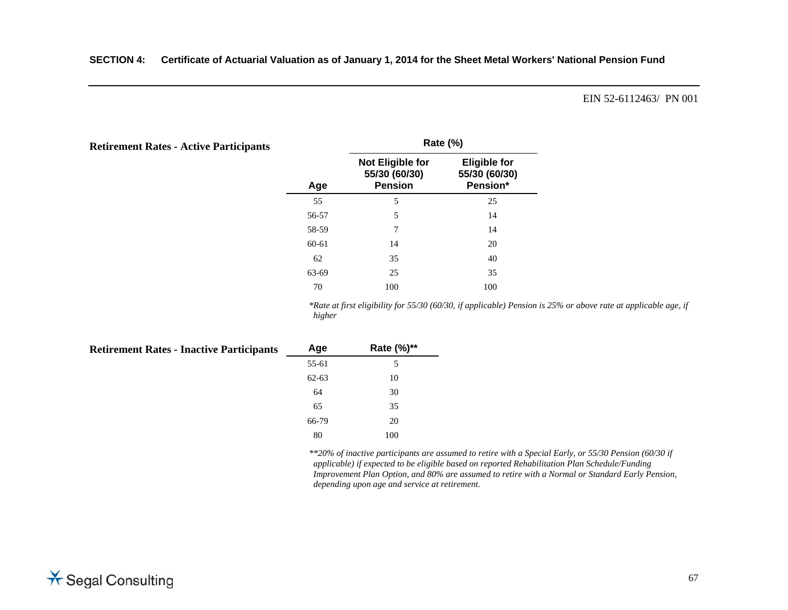| <b>Retirement Rates - Active Participants</b> |       | <b>Rate (%)</b>                                            |                                                  |  |
|-----------------------------------------------|-------|------------------------------------------------------------|--------------------------------------------------|--|
|                                               | Age   | <b>Not Eligible for</b><br>55/30 (60/30)<br><b>Pension</b> | <b>Eligible for</b><br>55/30 (60/30)<br>Pension* |  |
|                                               | 55    | 5                                                          | 25                                               |  |
|                                               | 56-57 | 5                                                          | 14                                               |  |
|                                               | 58-59 | 7                                                          | 14                                               |  |
|                                               | 60-61 | 14                                                         | 20                                               |  |
|                                               | 62    | 35                                                         | 40                                               |  |
|                                               | 63-69 | 25                                                         | 35                                               |  |
|                                               | 70    | 100                                                        | 100                                              |  |

*\*Rate at first eligibility for 55/30 (60/30, if applicable) Pension is 25% or above rate at applicable age, if higher* 

| <b>Retirement Rates - Inactive Participants</b> | Age       | Rate (%)** |
|-------------------------------------------------|-----------|------------|
|                                                 | 55-61     | 5          |
|                                                 | $62 - 63$ | 10         |
|                                                 | 64        | 30         |
|                                                 | 65        | 35         |
|                                                 | 66-79     | 20         |
|                                                 | 80        | 100        |

*\*\*20% of inactive participants are assumed to retire with a Special Early, or 55/30 Pension (60/30 if applicable) if expected to be eligible based on reported Rehabilitation Plan Schedule/Funding Improvement Plan Option, and 80% are assumed to retire with a Normal or Standard Early Pension, depending upon age and service at retirement.*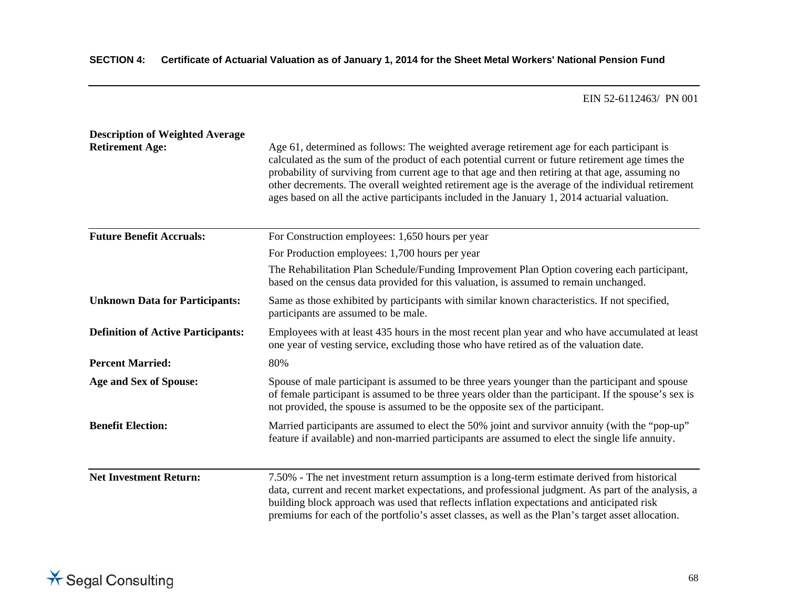| <b>Description of Weighted Average</b><br><b>Retirement Age:</b> | Age 61, determined as follows: The weighted average retirement age for each participant is<br>calculated as the sum of the product of each potential current or future retirement age times the<br>probability of surviving from current age to that age and then retiring at that age, assuming no<br>other decrements. The overall weighted retirement age is the average of the individual retirement<br>ages based on all the active participants included in the January 1, 2014 actuarial valuation. |
|------------------------------------------------------------------|------------------------------------------------------------------------------------------------------------------------------------------------------------------------------------------------------------------------------------------------------------------------------------------------------------------------------------------------------------------------------------------------------------------------------------------------------------------------------------------------------------|
| <b>Future Benefit Accruals:</b>                                  | For Construction employees: 1,650 hours per year                                                                                                                                                                                                                                                                                                                                                                                                                                                           |
|                                                                  | For Production employees: 1,700 hours per year                                                                                                                                                                                                                                                                                                                                                                                                                                                             |
|                                                                  | The Rehabilitation Plan Schedule/Funding Improvement Plan Option covering each participant,<br>based on the census data provided for this valuation, is assumed to remain unchanged.                                                                                                                                                                                                                                                                                                                       |
| <b>Unknown Data for Participants:</b>                            | Same as those exhibited by participants with similar known characteristics. If not specified,<br>participants are assumed to be male.                                                                                                                                                                                                                                                                                                                                                                      |
| <b>Definition of Active Participants:</b>                        | Employees with at least 435 hours in the most recent plan year and who have accumulated at least<br>one year of vesting service, excluding those who have retired as of the valuation date.                                                                                                                                                                                                                                                                                                                |
| <b>Percent Married:</b>                                          | 80%                                                                                                                                                                                                                                                                                                                                                                                                                                                                                                        |
| <b>Age and Sex of Spouse:</b>                                    | Spouse of male participant is assumed to be three years younger than the participant and spouse<br>of female participant is assumed to be three years older than the participant. If the spouse's sex is<br>not provided, the spouse is assumed to be the opposite sex of the participant.                                                                                                                                                                                                                 |
| <b>Benefit Election:</b>                                         | Married participants are assumed to elect the 50% joint and survivor annuity (with the "pop-up"<br>feature if available) and non-married participants are assumed to elect the single life annuity.                                                                                                                                                                                                                                                                                                        |
| <b>Net Investment Return:</b>                                    | 7.50% - The net investment return assumption is a long-term estimate derived from historical<br>data, current and recent market expectations, and professional judgment. As part of the analysis, a<br>building block approach was used that reflects inflation expectations and anticipated risk<br>premiums for each of the portfolio's asset classes, as well as the Plan's target asset allocation.                                                                                                    |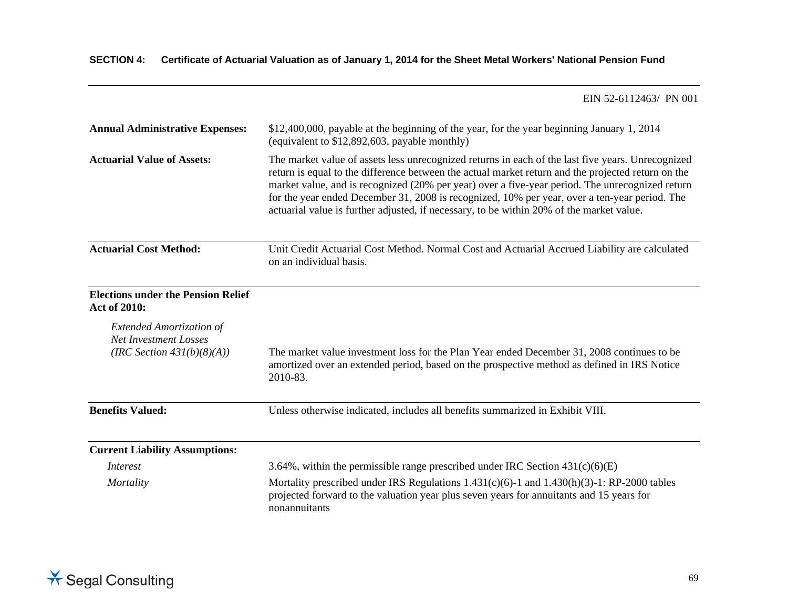| <b>Annual Administrative Expenses:</b>                                                           | \$12,400,000, payable at the beginning of the year, for the year beginning January 1, 2014<br>(equivalent to \$12,892,603, payable monthly)                                                                                                                                                                                                                                                                                                                                                             |  |
|--------------------------------------------------------------------------------------------------|---------------------------------------------------------------------------------------------------------------------------------------------------------------------------------------------------------------------------------------------------------------------------------------------------------------------------------------------------------------------------------------------------------------------------------------------------------------------------------------------------------|--|
| <b>Actuarial Value of Assets:</b>                                                                | The market value of assets less unrecognized returns in each of the last five years. Unrecognized<br>return is equal to the difference between the actual market return and the projected return on the<br>market value, and is recognized (20% per year) over a five-year period. The unrecognized return<br>for the year ended December 31, 2008 is recognized, 10% per year, over a ten-year period. The<br>actuarial value is further adjusted, if necessary, to be within 20% of the market value. |  |
| <b>Actuarial Cost Method:</b>                                                                    | Unit Credit Actuarial Cost Method. Normal Cost and Actuarial Accrued Liability are calculated<br>on an individual basis.                                                                                                                                                                                                                                                                                                                                                                                |  |
| <b>Elections under the Pension Relief</b><br><b>Act of 2010:</b>                                 |                                                                                                                                                                                                                                                                                                                                                                                                                                                                                                         |  |
| <b>Extended Amortization of</b><br><b>Net Investment Losses</b><br>(IRC Section $431(b)(8)(A)$ ) | The market value investment loss for the Plan Year ended December 31, 2008 continues to be<br>amortized over an extended period, based on the prospective method as defined in IRS Notice<br>2010-83.                                                                                                                                                                                                                                                                                                   |  |
| <b>Benefits Valued:</b>                                                                          | Unless otherwise indicated, includes all benefits summarized in Exhibit VIII.                                                                                                                                                                                                                                                                                                                                                                                                                           |  |
| <b>Current Liability Assumptions:</b>                                                            |                                                                                                                                                                                                                                                                                                                                                                                                                                                                                                         |  |
| <i>Interest</i>                                                                                  | 3.64%, within the permissible range prescribed under IRC Section $431(c)(6)(E)$                                                                                                                                                                                                                                                                                                                                                                                                                         |  |
| Mortality                                                                                        | Mortality prescribed under IRS Regulations $1.431(c)(6)-1$ and $1.430(h)(3)-1$ : RP-2000 tables<br>projected forward to the valuation year plus seven years for annuitants and 15 years for<br>nonannuitants                                                                                                                                                                                                                                                                                            |  |

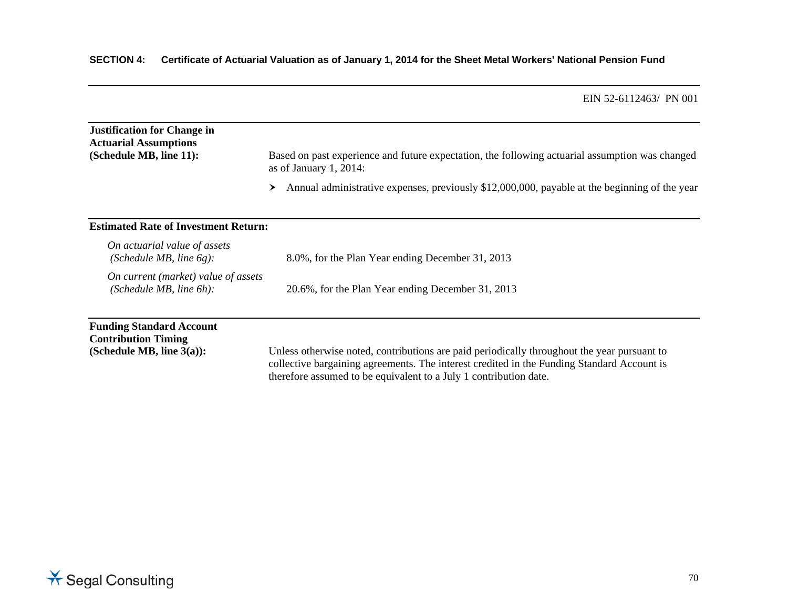# **SECTION 4: Certificate of Actuarial Valuation as of January 1, 2014 for the Sheet Metal Workers' National Pension Fund**

|                                                                                               | EIIN 32-0112403/ PIN UUI                                                                                                                                                                                                                                       |
|-----------------------------------------------------------------------------------------------|----------------------------------------------------------------------------------------------------------------------------------------------------------------------------------------------------------------------------------------------------------------|
| <b>Justification for Change in</b><br><b>Actuarial Assumptions</b><br>(Schedule MB, line 11): | Based on past experience and future expectation, the following actuarial assumption was changed<br>as of January 1, 2014:                                                                                                                                      |
|                                                                                               | Annual administrative expenses, previously \$12,000,000, payable at the beginning of the year<br>≻                                                                                                                                                             |
| <b>Estimated Rate of Investment Return:</b>                                                   |                                                                                                                                                                                                                                                                |
| On actuarial value of assets<br>(Schedule MB, line $6g$ ):                                    | 8.0%, for the Plan Year ending December 31, 2013                                                                                                                                                                                                               |
| On current (market) value of assets<br>(Schedule MB, line $6h$ ):                             | 20.6%, for the Plan Year ending December 31, 2013                                                                                                                                                                                                              |
| <b>Funding Standard Account</b><br><b>Contribution Timing</b><br>(Schedule MB, line $3(a)$ ): | Unless otherwise noted, contributions are paid periodically throughout the year pursuant to<br>collective bargaining agreements. The interest credited in the Funding Standard Account is<br>therefore assumed to be equivalent to a July 1 contribution date. |

EIN 52-6112463/ PN 001

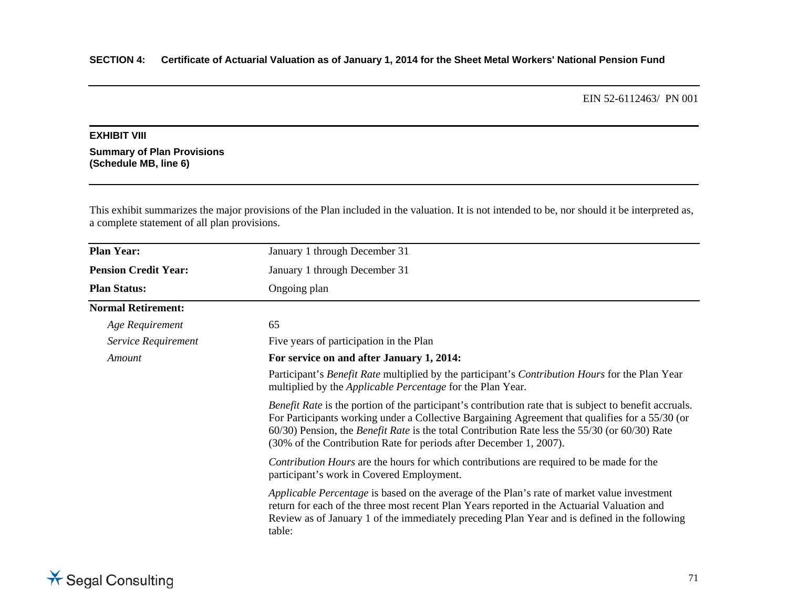# **EXHIBIT VIII**

**Summary of Plan Provisions (Schedule MB, line 6)** 

This exhibit summarizes the major provisions of the Plan included in the valuation. It is not intended to be, nor should it be interpreted as, a complete statement of all plan provisions.

| <b>Plan Year:</b>           | January 1 through December 31                                                                                                                                                                                                                                                                                                                                                                          |
|-----------------------------|--------------------------------------------------------------------------------------------------------------------------------------------------------------------------------------------------------------------------------------------------------------------------------------------------------------------------------------------------------------------------------------------------------|
| <b>Pension Credit Year:</b> | January 1 through December 31                                                                                                                                                                                                                                                                                                                                                                          |
| <b>Plan Status:</b>         | Ongoing plan                                                                                                                                                                                                                                                                                                                                                                                           |
| <b>Normal Retirement:</b>   |                                                                                                                                                                                                                                                                                                                                                                                                        |
| Age Requirement             | 65                                                                                                                                                                                                                                                                                                                                                                                                     |
| Service Requirement         | Five years of participation in the Plan                                                                                                                                                                                                                                                                                                                                                                |
| Amount                      | For service on and after January 1, 2014:                                                                                                                                                                                                                                                                                                                                                              |
|                             | Participant's Benefit Rate multiplied by the participant's Contribution Hours for the Plan Year<br>multiplied by the <i>Applicable Percentage</i> for the Plan Year.                                                                                                                                                                                                                                   |
|                             | <i>Benefit Rate</i> is the portion of the participant's contribution rate that is subject to benefit accruals.<br>For Participants working under a Collective Bargaining Agreement that qualifies for a 55/30 (or<br>$60/30$ ) Pension, the <i>Benefit Rate</i> is the total Contribution Rate less the 55/30 (or $60/30$ ) Rate<br>(30% of the Contribution Rate for periods after December 1, 2007). |
|                             | <i>Contribution Hours</i> are the hours for which contributions are required to be made for the<br>participant's work in Covered Employment.                                                                                                                                                                                                                                                           |
|                             | Applicable Percentage is based on the average of the Plan's rate of market value investment<br>return for each of the three most recent Plan Years reported in the Actuarial Valuation and<br>Review as of January 1 of the immediately preceding Plan Year and is defined in the following<br>table:                                                                                                  |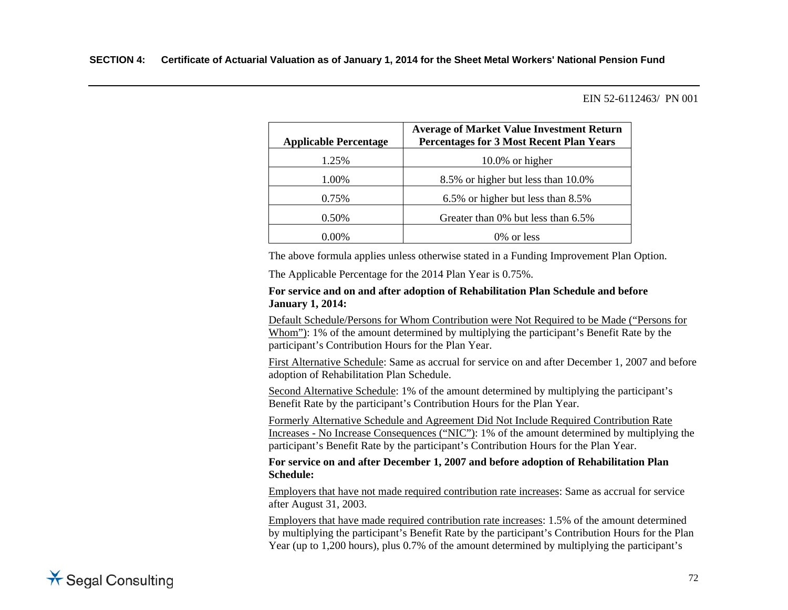| <b>Applicable Percentage</b> | <b>Average of Market Value Investment Return</b><br><b>Percentages for 3 Most Recent Plan Years</b> |
|------------------------------|-----------------------------------------------------------------------------------------------------|
| 1.25%                        | $10.0\%$ or higher                                                                                  |
| 1.00%                        | 8.5% or higher but less than 10.0%                                                                  |
| 0.75%                        | 6.5% or higher but less than 8.5%                                                                   |
| 0.50%                        | Greater than 0% but less than 6.5%                                                                  |
| .) በ()%                      | $0\%$ or less                                                                                       |

The above formula applies unless otherwise stated in a Funding Improvement Plan Option.

The Applicable Percentage for the 2014 Plan Year is 0.75%.

#### **For service and on and after adoption of Rehabilitation Plan Schedule and before January 1, 2014:**

Default Schedule/Persons for Whom Contribution were Not Required to be Made ("Persons for Whom"): 1% of the amount determined by multiplying the participant's Benefit Rate by the participant's Contribution Hours for the Plan Year.

First Alternative Schedule: Same as accrual for service on and after December 1, 2007 and before adoption of Rehabilitation Plan Schedule.

 Second Alternative Schedule: 1% of the amount determined by multiplying the participant's Benefit Rate by the participant's Contribution Hours for the Plan Year.

 Formerly Alternative Schedule and Agreement Did Not Include Required Contribution Rate Increases - No Increase Consequences ("NIC"): 1% of the amount determined by multiplying the participant's Benefit Rate by the participant's Contribution Hours for the Plan Year.

#### **For service on and after December 1, 2007 and before adoption of Rehabilitation Plan Schedule:**

 Employers that have not made required contribution rate increases: Same as accrual for service after August 31, 2003.

 Employers that have made required contribution rate increases: 1.5% of the amount determined by multiplying the participant's Benefit Rate by the participant's Contribution Hours for the Plan Year (up to 1,200 hours), plus 0.7% of the amount determined by multiplying the participant's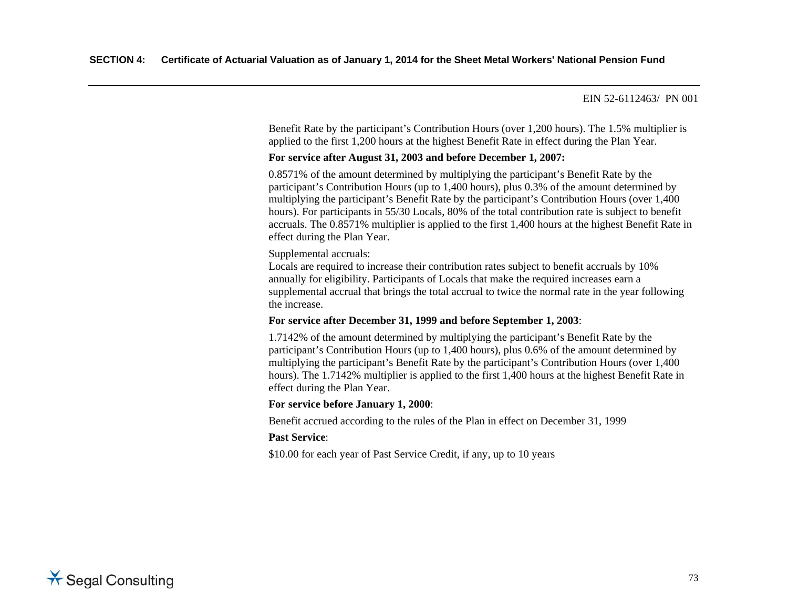Benefit Rate by the participant's Contribution Hours (over 1,200 hours). The 1.5% multiplier is applied to the first 1,200 hours at the highest Benefit Rate in effect during the Plan Year.

#### **For service after August 31, 2003 and before December 1, 2007:**

 0.8571% of the amount determined by multiplying the participant's Benefit Rate by the participant's Contribution Hours (up to 1,400 hours), plus 0.3% of the amount determined by multiplying the participant's Benefit Rate by the participant's Contribution Hours (over 1,400 hours). For participants in 55/30 Locals, 80% of the total contribution rate is subject to benefit accruals. The 0.8571% multiplier is applied to the first 1,400 hours at the highest Benefit Rate in effect during the Plan Year.

#### Supplemental accruals:

 Locals are required to increase their contribution rates subject to benefit accruals by 10% annually for eligibility. Participants of Locals that make the required increases earn a supplemental accrual that brings the total accrual to twice the normal rate in the year following the increase.

## **For service after December 31, 1999 and before September 1, 2003**:

 1.7142% of the amount determined by multiplying the participant's Benefit Rate by the participant's Contribution Hours (up to 1,400 hours), plus 0.6% of the amount determined by multiplying the participant's Benefit Rate by the participant's Contribution Hours (over 1,400 hours). The 1.7142% multiplier is applied to the first 1,400 hours at the highest Benefit Rate in effect during the Plan Year.

## **For service before January 1, 2000**:

Benefit accrued according to the rules of the Plan in effect on December 31, 1999

## **Past Service**:

\$10.00 for each year of Past Service Credit, if any, up to 10 years

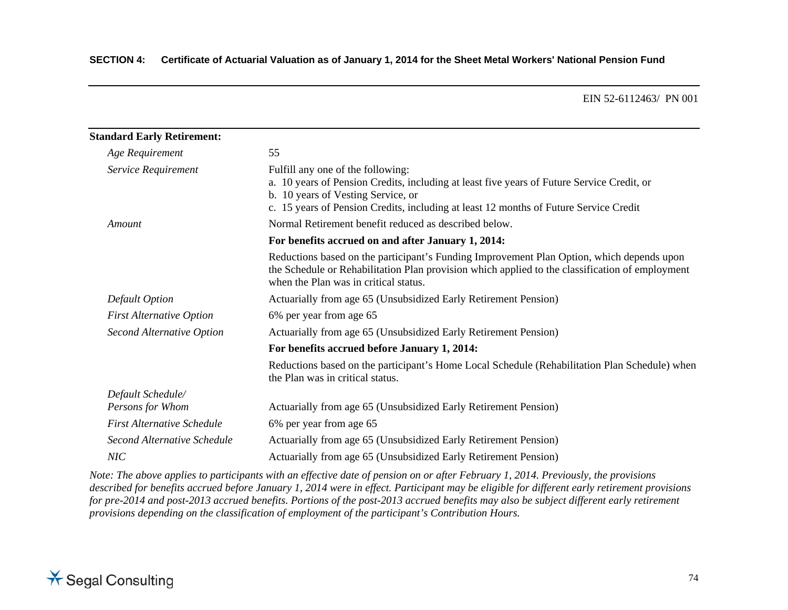| <b>Standard Early Retirement:</b> |                                                                                                                                                                                                                                                                |  |
|-----------------------------------|----------------------------------------------------------------------------------------------------------------------------------------------------------------------------------------------------------------------------------------------------------------|--|
| Age Requirement                   | 55                                                                                                                                                                                                                                                             |  |
| Service Requirement               | Fulfill any one of the following:<br>a. 10 years of Pension Credits, including at least five years of Future Service Credit, or<br>b. 10 years of Vesting Service, or<br>c. 15 years of Pension Credits, including at least 12 months of Future Service Credit |  |
| Amount                            | Normal Retirement benefit reduced as described below.                                                                                                                                                                                                          |  |
|                                   | For benefits accrued on and after January 1, 2014:                                                                                                                                                                                                             |  |
|                                   | Reductions based on the participant's Funding Improvement Plan Option, which depends upon<br>the Schedule or Rehabilitation Plan provision which applied to the classification of employment<br>when the Plan was in critical status.                          |  |
| Default Option                    | Actuarially from age 65 (Unsubsidized Early Retirement Pension)                                                                                                                                                                                                |  |
| <b>First Alternative Option</b>   | 6% per year from age 65                                                                                                                                                                                                                                        |  |
| <b>Second Alternative Option</b>  | Actuarially from age 65 (Unsubsidized Early Retirement Pension)                                                                                                                                                                                                |  |
|                                   | For benefits accrued before January 1, 2014:                                                                                                                                                                                                                   |  |
|                                   | Reductions based on the participant's Home Local Schedule (Rehabilitation Plan Schedule) when<br>the Plan was in critical status.                                                                                                                              |  |
| Default Schedule/                 |                                                                                                                                                                                                                                                                |  |
| Persons for Whom                  | Actuarially from age 65 (Unsubsidized Early Retirement Pension)                                                                                                                                                                                                |  |
| <b>First Alternative Schedule</b> | 6% per year from age 65                                                                                                                                                                                                                                        |  |
| Second Alternative Schedule       | Actuarially from age 65 (Unsubsidized Early Retirement Pension)                                                                                                                                                                                                |  |
| NIC                               | Actuarially from age 65 (Unsubsidized Early Retirement Pension)                                                                                                                                                                                                |  |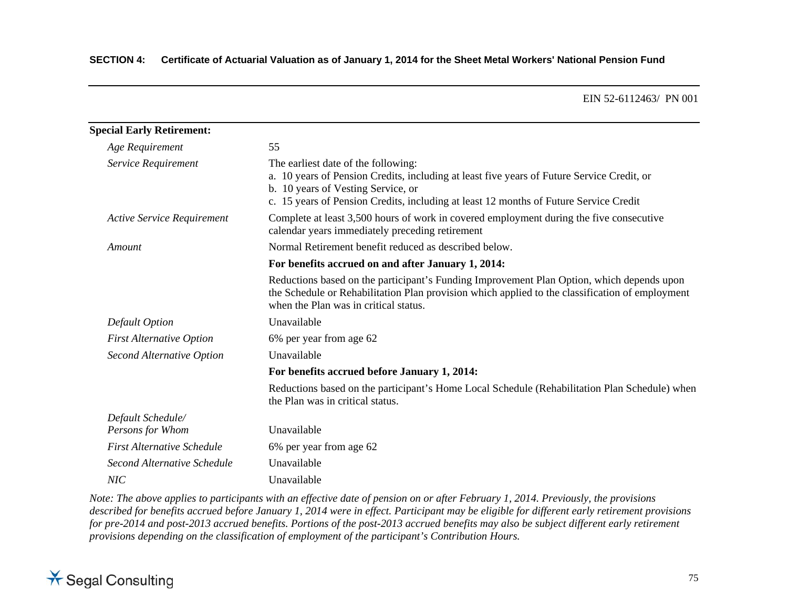| <b>Special Early Retirement:</b>  |                                                                                                                                                                                                                                                                  |  |
|-----------------------------------|------------------------------------------------------------------------------------------------------------------------------------------------------------------------------------------------------------------------------------------------------------------|--|
| Age Requirement                   | 55                                                                                                                                                                                                                                                               |  |
| Service Requirement               | The earliest date of the following:<br>a. 10 years of Pension Credits, including at least five years of Future Service Credit, or<br>b. 10 years of Vesting Service, or<br>c. 15 years of Pension Credits, including at least 12 months of Future Service Credit |  |
| <b>Active Service Requirement</b> | Complete at least 3,500 hours of work in covered employment during the five consecutive<br>calendar years immediately preceding retirement                                                                                                                       |  |
| Amount                            | Normal Retirement benefit reduced as described below.                                                                                                                                                                                                            |  |
|                                   | For benefits accrued on and after January 1, 2014:                                                                                                                                                                                                               |  |
|                                   | Reductions based on the participant's Funding Improvement Plan Option, which depends upon<br>the Schedule or Rehabilitation Plan provision which applied to the classification of employment<br>when the Plan was in critical status.                            |  |
| Default Option                    | Unavailable                                                                                                                                                                                                                                                      |  |
| <b>First Alternative Option</b>   | 6% per year from age 62                                                                                                                                                                                                                                          |  |
| Second Alternative Option         | Unavailable                                                                                                                                                                                                                                                      |  |
|                                   | For benefits accrued before January 1, 2014:                                                                                                                                                                                                                     |  |
|                                   | Reductions based on the participant's Home Local Schedule (Rehabilitation Plan Schedule) when<br>the Plan was in critical status.                                                                                                                                |  |
| Default Schedule/                 |                                                                                                                                                                                                                                                                  |  |
| Persons for Whom                  | Unavailable                                                                                                                                                                                                                                                      |  |
| <b>First Alternative Schedule</b> | 6% per year from age 62                                                                                                                                                                                                                                          |  |
| Second Alternative Schedule       | Unavailable                                                                                                                                                                                                                                                      |  |
| NIC                               | Unavailable                                                                                                                                                                                                                                                      |  |

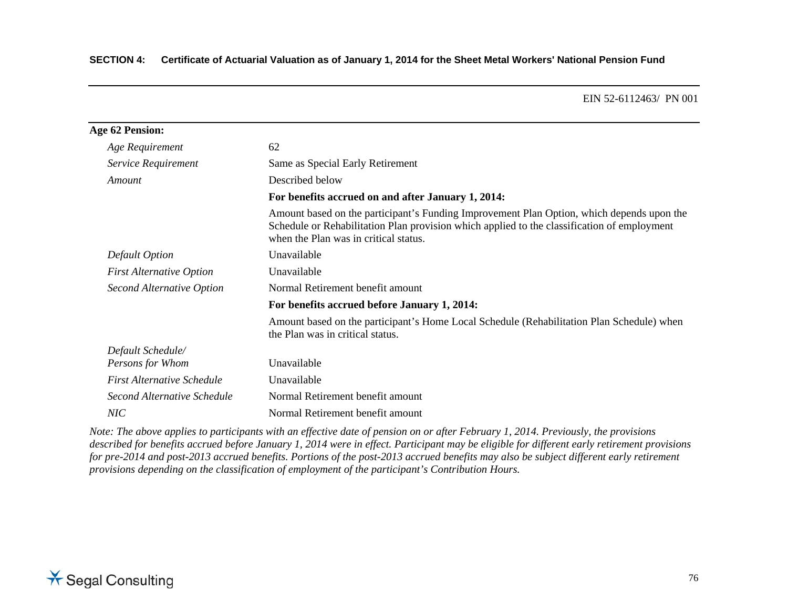## **SECTION 4: Certificate of Actuarial Valuation as of January 1, 2014 for the Sheet Metal Workers' National Pension Fund**

#### EIN 52-6112463/ PN 001

| Age 62 Pension:                   |                                                                                                                                                                                                                                   |  |
|-----------------------------------|-----------------------------------------------------------------------------------------------------------------------------------------------------------------------------------------------------------------------------------|--|
| Age Requirement                   | 62                                                                                                                                                                                                                                |  |
| Service Requirement               | Same as Special Early Retirement                                                                                                                                                                                                  |  |
| Amount                            | Described below                                                                                                                                                                                                                   |  |
|                                   | For benefits accrued on and after January 1, 2014:                                                                                                                                                                                |  |
|                                   | Amount based on the participant's Funding Improvement Plan Option, which depends upon the<br>Schedule or Rehabilitation Plan provision which applied to the classification of employment<br>when the Plan was in critical status. |  |
| Default Option                    | Unavailable                                                                                                                                                                                                                       |  |
| <b>First Alternative Option</b>   | Unavailable                                                                                                                                                                                                                       |  |
| <b>Second Alternative Option</b>  | Normal Retirement benefit amount                                                                                                                                                                                                  |  |
|                                   | For benefits accrued before January 1, 2014:                                                                                                                                                                                      |  |
|                                   | Amount based on the participant's Home Local Schedule (Rehabilitation Plan Schedule) when<br>the Plan was in critical status.                                                                                                     |  |
| Default Schedule/                 |                                                                                                                                                                                                                                   |  |
| Persons for Whom                  | Unavailable                                                                                                                                                                                                                       |  |
| <b>First Alternative Schedule</b> | Unavailable                                                                                                                                                                                                                       |  |
| Second Alternative Schedule       | Normal Retirement benefit amount                                                                                                                                                                                                  |  |
| NIC                               | Normal Retirement benefit amount                                                                                                                                                                                                  |  |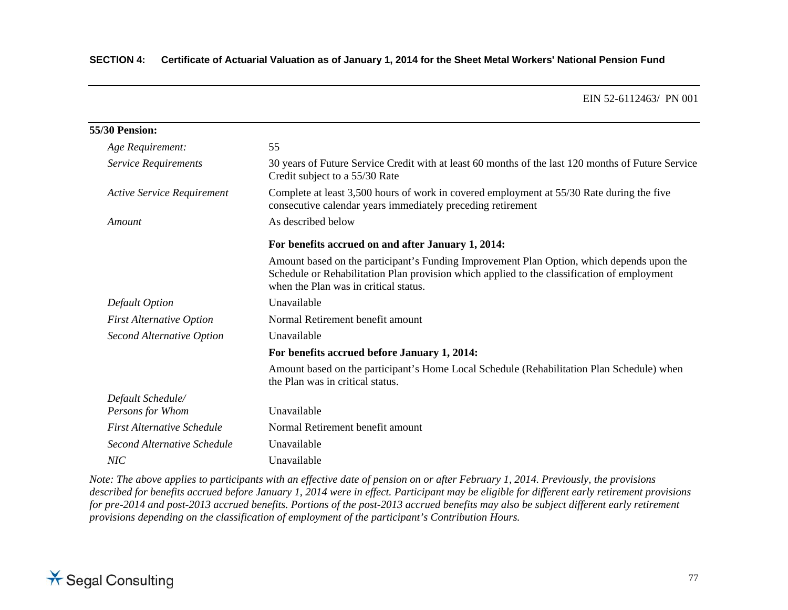| 55/30 Pension:                    |                                                                                                                                                                                                                                   |  |
|-----------------------------------|-----------------------------------------------------------------------------------------------------------------------------------------------------------------------------------------------------------------------------------|--|
| Age Requirement:                  | 55                                                                                                                                                                                                                                |  |
| Service Requirements              | 30 years of Future Service Credit with at least 60 months of the last 120 months of Future Service<br>Credit subject to a 55/30 Rate                                                                                              |  |
| <b>Active Service Requirement</b> | Complete at least 3,500 hours of work in covered employment at 55/30 Rate during the five<br>consecutive calendar years immediately preceding retirement                                                                          |  |
| Amount                            | As described below                                                                                                                                                                                                                |  |
|                                   | For benefits accrued on and after January 1, 2014:                                                                                                                                                                                |  |
|                                   | Amount based on the participant's Funding Improvement Plan Option, which depends upon the<br>Schedule or Rehabilitation Plan provision which applied to the classification of employment<br>when the Plan was in critical status. |  |
| Default Option                    | Unavailable                                                                                                                                                                                                                       |  |
| <b>First Alternative Option</b>   | Normal Retirement benefit amount                                                                                                                                                                                                  |  |
| Second Alternative Option         | Unavailable                                                                                                                                                                                                                       |  |
|                                   | For benefits accrued before January 1, 2014:                                                                                                                                                                                      |  |
|                                   | Amount based on the participant's Home Local Schedule (Rehabilitation Plan Schedule) when<br>the Plan was in critical status.                                                                                                     |  |
| Default Schedule/                 |                                                                                                                                                                                                                                   |  |
| Persons for Whom                  | Unavailable                                                                                                                                                                                                                       |  |
| <b>First Alternative Schedule</b> | Normal Retirement benefit amount                                                                                                                                                                                                  |  |
| Second Alternative Schedule       | Unavailable                                                                                                                                                                                                                       |  |
| NIC                               | Unavailable                                                                                                                                                                                                                       |  |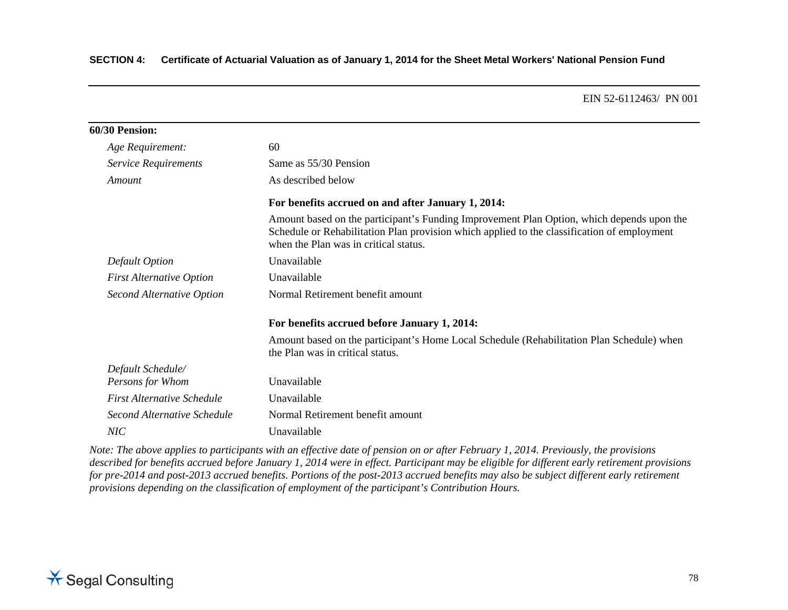## **SECTION 4: Certificate of Actuarial Valuation as of January 1, 2014 for the Sheet Metal Workers' National Pension Fund**

#### EIN 52-6112463/ PN 001

| 60/30 Pension:                    |                                                                                                                                                                                                                                   |
|-----------------------------------|-----------------------------------------------------------------------------------------------------------------------------------------------------------------------------------------------------------------------------------|
| Age Requirement:                  | 60                                                                                                                                                                                                                                |
| Service Requirements              | Same as 55/30 Pension                                                                                                                                                                                                             |
| Amount                            | As described below                                                                                                                                                                                                                |
|                                   | For benefits accrued on and after January 1, 2014:                                                                                                                                                                                |
|                                   | Amount based on the participant's Funding Improvement Plan Option, which depends upon the<br>Schedule or Rehabilitation Plan provision which applied to the classification of employment<br>when the Plan was in critical status. |
| Default Option                    | Unavailable                                                                                                                                                                                                                       |
| <b>First Alternative Option</b>   | Unavailable                                                                                                                                                                                                                       |
| <b>Second Alternative Option</b>  | Normal Retirement benefit amount                                                                                                                                                                                                  |
|                                   | For benefits accrued before January 1, 2014:                                                                                                                                                                                      |
|                                   | Amount based on the participant's Home Local Schedule (Rehabilitation Plan Schedule) when<br>the Plan was in critical status.                                                                                                     |
| Default Schedule/                 |                                                                                                                                                                                                                                   |
| Persons for Whom                  | Unavailable                                                                                                                                                                                                                       |
| <b>First Alternative Schedule</b> | Unavailable                                                                                                                                                                                                                       |
| Second Alternative Schedule       | Normal Retirement benefit amount                                                                                                                                                                                                  |
| NIC <sup></sup>                   | Unavailable                                                                                                                                                                                                                       |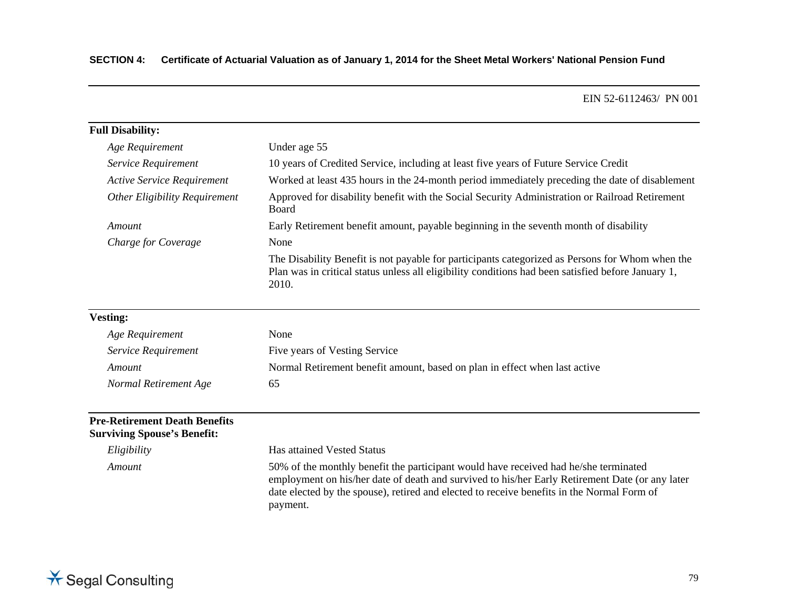| <b>Full Disability:</b>           |                                                                                                                                                                                                                |  |
|-----------------------------------|----------------------------------------------------------------------------------------------------------------------------------------------------------------------------------------------------------------|--|
| Age Requirement                   | Under age 55                                                                                                                                                                                                   |  |
| Service Requirement               | 10 years of Credited Service, including at least five years of Future Service Credit                                                                                                                           |  |
| <b>Active Service Requirement</b> | Worked at least 435 hours in the 24-month period immediately preceding the date of disablement                                                                                                                 |  |
| Other Eligibility Requirement     | Approved for disability benefit with the Social Security Administration or Railroad Retirement<br><b>Board</b>                                                                                                 |  |
| Amount                            | Early Retirement benefit amount, payable beginning in the seventh month of disability                                                                                                                          |  |
| Charge for Coverage               | None                                                                                                                                                                                                           |  |
|                                   | The Disability Benefit is not payable for participants categorized as Persons for Whom when the<br>Plan was in critical status unless all eligibility conditions had been satisfied before January 1,<br>2010. |  |

## **Vesting:**

| Age Requirement       | None                                                                       |
|-----------------------|----------------------------------------------------------------------------|
| Service Requirement   | Five years of Vesting Service                                              |
| Amount                | Normal Retirement benefit amount, based on plan in effect when last active |
| Normal Retirement Age | რბ                                                                         |

## **Pre-Retirement Death Benefits Surviving Spouse's Benefit:**

*Eligibility* Has attained Vested Status *Amount* 50% of the monthly benefit the participant would have received had he/she terminated employment on his/her date of death and survived to his/her Early Retirement Date (or any later date elected by the spouse), retired and elected to receive benefits in the Normal Form of payment.

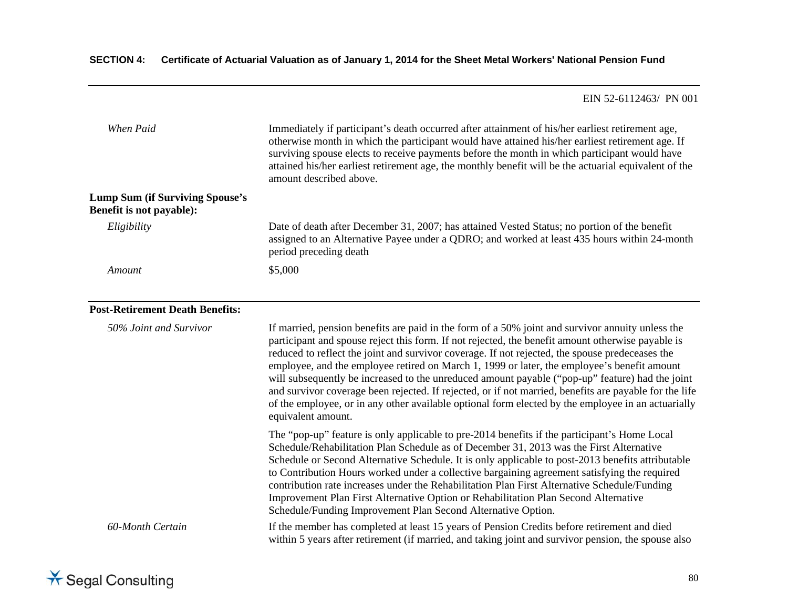| When Paid                                                          | Immediately if participant's death occurred after attainment of his/her earliest retirement age,<br>otherwise month in which the participant would have attained his/her earliest retirement age. If<br>surviving spouse elects to receive payments before the month in which participant would have<br>attained his/her earliest retirement age, the monthly benefit will be the actuarial equivalent of the<br>amount described above.                                                                                                                                                                                                                                                                                                         |  |
|--------------------------------------------------------------------|--------------------------------------------------------------------------------------------------------------------------------------------------------------------------------------------------------------------------------------------------------------------------------------------------------------------------------------------------------------------------------------------------------------------------------------------------------------------------------------------------------------------------------------------------------------------------------------------------------------------------------------------------------------------------------------------------------------------------------------------------|--|
| <b>Lump Sum (if Surviving Spouse's</b><br>Benefit is not payable): |                                                                                                                                                                                                                                                                                                                                                                                                                                                                                                                                                                                                                                                                                                                                                  |  |
| Eligibility                                                        | Date of death after December 31, 2007; has attained Vested Status; no portion of the benefit<br>assigned to an Alternative Payee under a QDRO; and worked at least 435 hours within 24-month<br>period preceding death                                                                                                                                                                                                                                                                                                                                                                                                                                                                                                                           |  |
| Amount                                                             | \$5,000                                                                                                                                                                                                                                                                                                                                                                                                                                                                                                                                                                                                                                                                                                                                          |  |
| <b>Post-Retirement Death Benefits:</b>                             |                                                                                                                                                                                                                                                                                                                                                                                                                                                                                                                                                                                                                                                                                                                                                  |  |
| 50% Joint and Survivor                                             | If married, pension benefits are paid in the form of a 50% joint and survivor annuity unless the<br>participant and spouse reject this form. If not rejected, the benefit amount otherwise payable is<br>reduced to reflect the joint and survivor coverage. If not rejected, the spouse predeceases the<br>employee, and the employee retired on March 1, 1999 or later, the employee's benefit amount<br>will subsequently be increased to the unreduced amount payable ("pop-up" feature) had the joint<br>and survivor coverage been rejected. If rejected, or if not married, benefits are payable for the life<br>of the employee, or in any other available optional form elected by the employee in an actuarially<br>equivalent amount. |  |
|                                                                    | The "pop-up" feature is only applicable to pre-2014 benefits if the participant's Home Local<br>Schedule/Rehabilitation Plan Schedule as of December 31, 2013 was the First Alternative<br>Schedule or Second Alternative Schedule. It is only applicable to post-2013 benefits attributable<br>to Contribution Hours worked under a collective bargaining agreement satisfying the required<br>contribution rate increases under the Rehabilitation Plan First Alternative Schedule/Funding<br>Improvement Plan First Alternative Option or Rehabilitation Plan Second Alternative<br>Schedule/Funding Improvement Plan Second Alternative Option.                                                                                              |  |
| 60-Month Certain                                                   | If the member has completed at least 15 years of Pension Credits before retirement and died<br>within 5 years after retirement (if married, and taking joint and survivor pension, the spouse also                                                                                                                                                                                                                                                                                                                                                                                                                                                                                                                                               |  |

# **X** Segal Consulting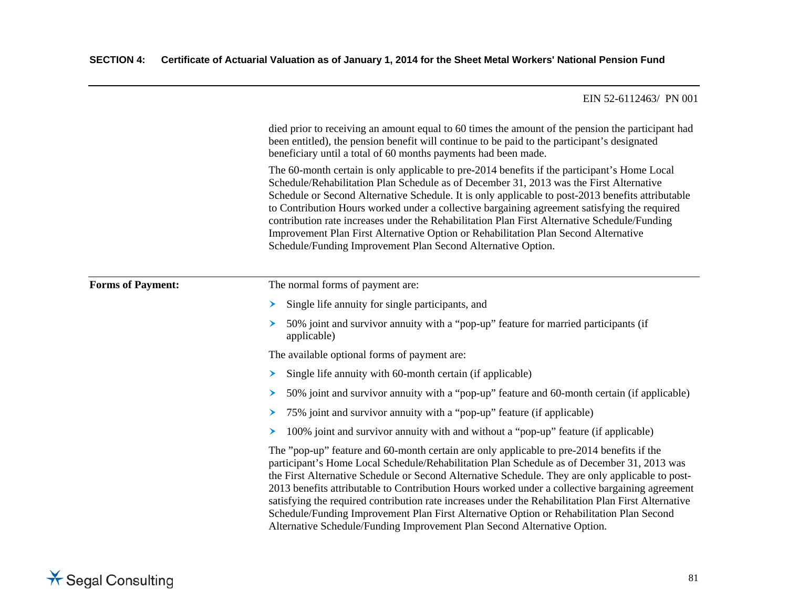|                          | died prior to receiving an amount equal to 60 times the amount of the pension the participant had<br>been entitled), the pension benefit will continue to be paid to the participant's designated<br>beneficiary until a total of 60 months payments had been made.                                                                                                                                                                                                                                                                                                                                                                                                           |  |
|--------------------------|-------------------------------------------------------------------------------------------------------------------------------------------------------------------------------------------------------------------------------------------------------------------------------------------------------------------------------------------------------------------------------------------------------------------------------------------------------------------------------------------------------------------------------------------------------------------------------------------------------------------------------------------------------------------------------|--|
|                          | The 60-month certain is only applicable to pre-2014 benefits if the participant's Home Local<br>Schedule/Rehabilitation Plan Schedule as of December 31, 2013 was the First Alternative<br>Schedule or Second Alternative Schedule. It is only applicable to post-2013 benefits attributable<br>to Contribution Hours worked under a collective bargaining agreement satisfying the required<br>contribution rate increases under the Rehabilitation Plan First Alternative Schedule/Funding<br>Improvement Plan First Alternative Option or Rehabilitation Plan Second Alternative<br>Schedule/Funding Improvement Plan Second Alternative Option.                           |  |
| <b>Forms of Payment:</b> | The normal forms of payment are:                                                                                                                                                                                                                                                                                                                                                                                                                                                                                                                                                                                                                                              |  |
|                          | Single life annuity for single participants, and<br>≻                                                                                                                                                                                                                                                                                                                                                                                                                                                                                                                                                                                                                         |  |
|                          | 50% joint and survivor annuity with a "pop-up" feature for married participants (if<br>➤<br>applicable)                                                                                                                                                                                                                                                                                                                                                                                                                                                                                                                                                                       |  |
|                          | The available optional forms of payment are:                                                                                                                                                                                                                                                                                                                                                                                                                                                                                                                                                                                                                                  |  |
|                          | Single life annuity with 60-month certain (if applicable)<br>➤                                                                                                                                                                                                                                                                                                                                                                                                                                                                                                                                                                                                                |  |
|                          | 50% joint and survivor annuity with a "pop-up" feature and 60-month certain (if applicable)<br>➤                                                                                                                                                                                                                                                                                                                                                                                                                                                                                                                                                                              |  |
|                          | 75% joint and survivor annuity with a "pop-up" feature (if applicable)<br>➤                                                                                                                                                                                                                                                                                                                                                                                                                                                                                                                                                                                                   |  |
|                          | 100% joint and survivor annuity with and without a "pop-up" feature (if applicable)<br>➤                                                                                                                                                                                                                                                                                                                                                                                                                                                                                                                                                                                      |  |
|                          | The "pop-up" feature and 60-month certain are only applicable to pre-2014 benefits if the<br>participant's Home Local Schedule/Rehabilitation Plan Schedule as of December 31, 2013 was<br>the First Alternative Schedule or Second Alternative Schedule. They are only applicable to post-<br>2013 benefits attributable to Contribution Hours worked under a collective bargaining agreement<br>satisfying the required contribution rate increases under the Rehabilitation Plan First Alternative<br>Schedule/Funding Improvement Plan First Alternative Option or Rehabilitation Plan Second<br>Alternative Schedule/Funding Improvement Plan Second Alternative Option. |  |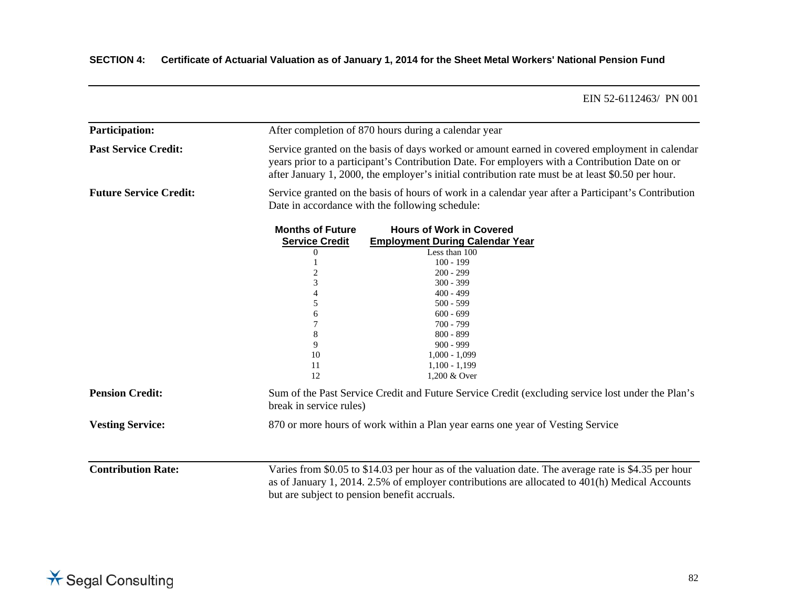| <b>Participation:</b>         |                                                                                                                                                                                                                                                        | After completion of 870 hours during a calendar year                                                                                                                                                                                                                                                  |  |
|-------------------------------|--------------------------------------------------------------------------------------------------------------------------------------------------------------------------------------------------------------------------------------------------------|-------------------------------------------------------------------------------------------------------------------------------------------------------------------------------------------------------------------------------------------------------------------------------------------------------|--|
| <b>Past Service Credit:</b>   |                                                                                                                                                                                                                                                        | Service granted on the basis of days worked or amount earned in covered employment in calendar<br>years prior to a participant's Contribution Date. For employers with a Contribution Date on or<br>after January 1, 2000, the employer's initial contribution rate must be at least \$0.50 per hour. |  |
| <b>Future Service Credit:</b> |                                                                                                                                                                                                                                                        | Service granted on the basis of hours of work in a calendar year after a Participant's Contribution<br>Date in accordance with the following schedule:                                                                                                                                                |  |
|                               | <b>Months of Future</b><br><b>Service Credit</b><br>0<br>3<br>4<br>5<br>6<br>7<br>8<br>9<br>10<br>11<br>12                                                                                                                                             | <b>Hours of Work in Covered</b><br><b>Employment During Calendar Year</b><br>Less than 100<br>$100 - 199$<br>$200 - 299$<br>$300 - 399$<br>$400 - 499$<br>$500 - 599$<br>$600 - 699$<br>$700 - 799$<br>$800 - 899$<br>$900 - 999$<br>$1,000 - 1,099$<br>$1,100 - 1,199$<br>1,200 & Over               |  |
| <b>Pension Credit:</b>        | Sum of the Past Service Credit and Future Service Credit (excluding service lost under the Plan's<br>break in service rules)                                                                                                                           |                                                                                                                                                                                                                                                                                                       |  |
| <b>Vesting Service:</b>       |                                                                                                                                                                                                                                                        | 870 or more hours of work within a Plan year earns one year of Vesting Service                                                                                                                                                                                                                        |  |
| <b>Contribution Rate:</b>     | Varies from \$0.05 to \$14.03 per hour as of the valuation date. The average rate is \$4.35 per hour<br>as of January 1, 2014. 2.5% of employer contributions are allocated to 401(h) Medical Accounts<br>but are subject to pension benefit accruals. |                                                                                                                                                                                                                                                                                                       |  |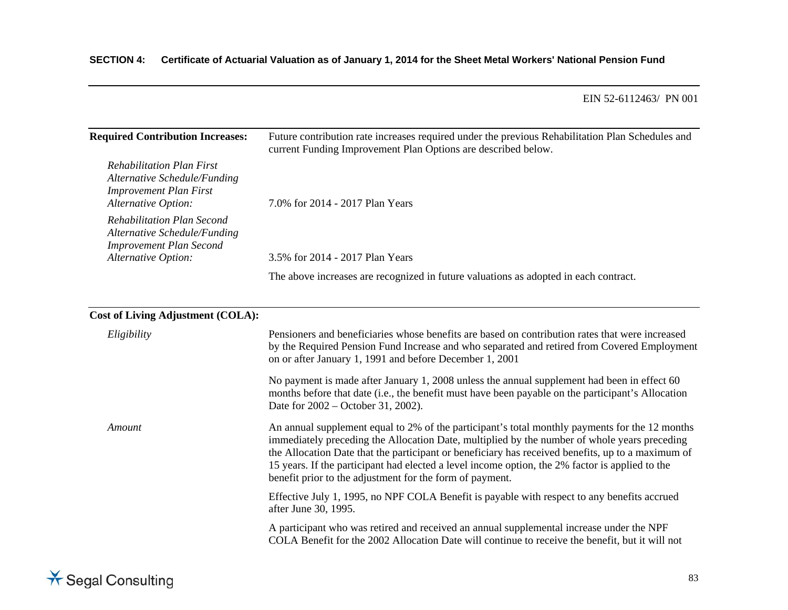## **SECTION 4: Certificate of Actuarial Valuation as of January 1, 2014 for the Sheet Metal Workers' National Pension Fund**

#### EIN 52-6112463/ PN 001

| <b>Required Contribution Increases:</b>                                                                                         | Future contribution rate increases required under the previous Rehabilitation Plan Schedules and<br>current Funding Improvement Plan Options are described below. |  |
|---------------------------------------------------------------------------------------------------------------------------------|-------------------------------------------------------------------------------------------------------------------------------------------------------------------|--|
| <b>Rehabilitation Plan First</b><br>Alternative Schedule/Funding<br><b>Improvement Plan First</b><br><b>Alternative Option:</b> | 7.0% for 2014 - 2017 Plan Years                                                                                                                                   |  |
| Rehabilitation Plan Second<br>Alternative Schedule/Funding<br><b>Improvement Plan Second</b><br>Alternative Option:             | 3.5% for 2014 - 2017 Plan Years                                                                                                                                   |  |
|                                                                                                                                 | The above increases are recognized in future valuations as adopted in each contract.                                                                              |  |

## **Cost of Living Adjustment (COLA):**

| Eligibility | Pensioners and beneficiaries whose benefits are based on contribution rates that were increased<br>by the Required Pension Fund Increase and who separated and retired from Covered Employment<br>on or after January 1, 1991 and before December 1, 2001                                                                                                                                                                                                          |
|-------------|--------------------------------------------------------------------------------------------------------------------------------------------------------------------------------------------------------------------------------------------------------------------------------------------------------------------------------------------------------------------------------------------------------------------------------------------------------------------|
|             | No payment is made after January 1, 2008 unless the annual supplement had been in effect 60<br>months before that date (i.e., the benefit must have been payable on the participant's Allocation<br>Date for 2002 – October 31, 2002).                                                                                                                                                                                                                             |
| Amount      | An annual supplement equal to 2% of the participant's total monthly payments for the 12 months<br>immediately preceding the Allocation Date, multiplied by the number of whole years preceding<br>the Allocation Date that the participant or beneficiary has received benefits, up to a maximum of<br>15 years. If the participant had elected a level income option, the 2% factor is applied to the<br>benefit prior to the adjustment for the form of payment. |
|             | Effective July 1, 1995, no NPF COLA Benefit is payable with respect to any benefits accrued<br>after June 30, 1995.                                                                                                                                                                                                                                                                                                                                                |
|             | A participant who was retired and received an annual supplemental increase under the NPF<br>COLA Benefit for the 2002 Allocation Date will continue to receive the benefit, but it will not                                                                                                                                                                                                                                                                        |
|             |                                                                                                                                                                                                                                                                                                                                                                                                                                                                    |